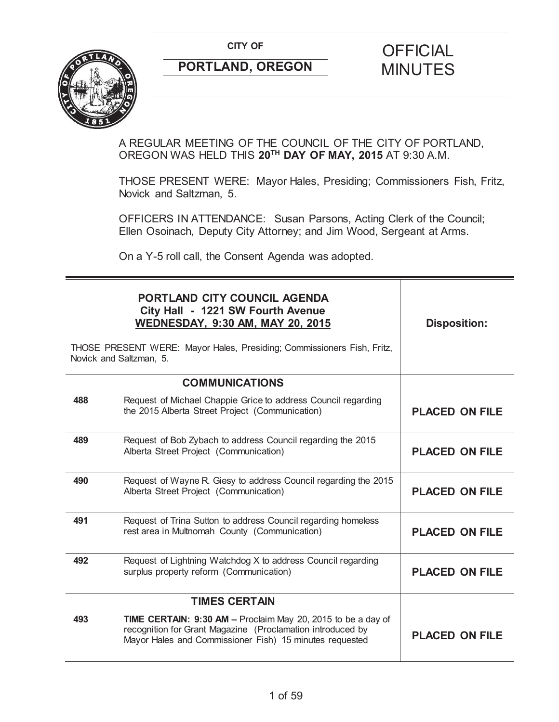**CITY OF CITY OF CITY OF CITY OF** 



# **PORTLAND, OREGON MINUTES**

## A REGULAR MEETING OF THE COUNCIL OF THE CITY OF PORTLAND, OREGON WAS HELD THIS **20TH DAY OF MAY, 2015** AT 9:30 A.M.

THOSE PRESENT WERE: Mayor Hales, Presiding; Commissioners Fish, Fritz, Novick and Saltzman, 5.

OFFICERS IN ATTENDANCE: Susan Parsons, Acting Clerk of the Council; Ellen Osoinach, Deputy City Attorney; and Jim Wood, Sergeant at Arms.

On a Y-5 roll call, the Consent Agenda was adopted.

|     | PORTLAND CITY COUNCIL AGENDA<br>City Hall - 1221 SW Fourth Avenue<br><b>WEDNESDAY, 9:30 AM, MAY 20, 2015</b><br>THOSE PRESENT WERE: Mayor Hales, Presiding; Commissioners Fish, Fritz,<br>Novick and Saltzman, 5. | <b>Disposition:</b>   |
|-----|-------------------------------------------------------------------------------------------------------------------------------------------------------------------------------------------------------------------|-----------------------|
|     | <b>COMMUNICATIONS</b>                                                                                                                                                                                             |                       |
| 488 | Request of Michael Chappie Grice to address Council regarding<br>the 2015 Alberta Street Project (Communication)                                                                                                  | <b>PLACED ON FILE</b> |
| 489 | Request of Bob Zybach to address Council regarding the 2015<br>Alberta Street Project (Communication)                                                                                                             | <b>PLACED ON FILE</b> |
| 490 | Request of Wayne R. Giesy to address Council regarding the 2015<br>Alberta Street Project (Communication)                                                                                                         | <b>PLACED ON FILE</b> |
| 491 | Request of Trina Sutton to address Council regarding homeless<br>rest area in Multnomah County (Communication)                                                                                                    | <b>PLACED ON FILE</b> |
| 492 | Request of Lightning Watchdog X to address Council regarding<br>surplus property reform (Communication)                                                                                                           | <b>PLACED ON FILE</b> |
|     | <b>TIMES CERTAIN</b>                                                                                                                                                                                              |                       |
| 493 | <b>TIME CERTAIN: 9:30 AM - Proclaim May 20, 2015 to be a day of</b><br>recognition for Grant Magazine (Proclamation introduced by<br>Mayor Hales and Commissioner Fish) 15 minutes requested                      | <b>PLACED ON FILE</b> |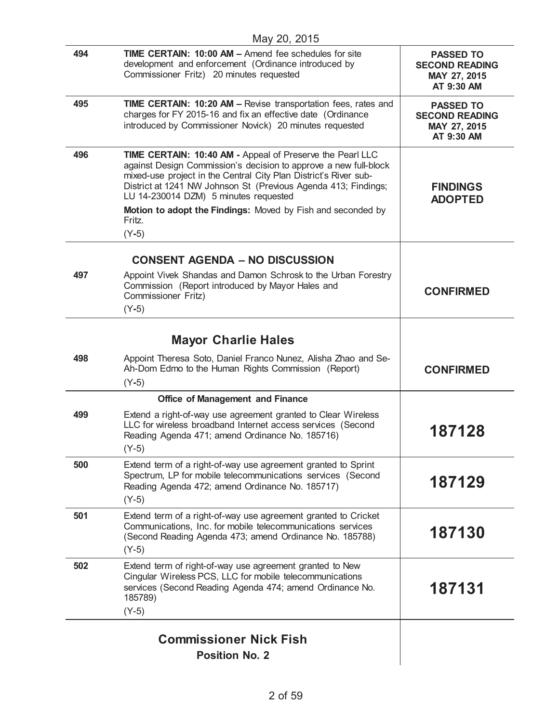| 494 | TIME CERTAIN: 10:00 AM - Amend fee schedules for site<br>development and enforcement (Ordinance introduced by<br>Commissioner Fritz) 20 minutes requested                                                                                                                                                                                                                                        | <b>PASSED TO</b><br><b>SECOND READING</b><br>MAY 27, 2015<br>AT 9:30 AM |
|-----|--------------------------------------------------------------------------------------------------------------------------------------------------------------------------------------------------------------------------------------------------------------------------------------------------------------------------------------------------------------------------------------------------|-------------------------------------------------------------------------|
| 495 | <b>TIME CERTAIN: 10:20 AM - Revise transportation fees, rates and</b><br>charges for FY 2015-16 and fix an effective date (Ordinance<br>introduced by Commissioner Novick) 20 minutes requested                                                                                                                                                                                                  | <b>PASSED TO</b><br><b>SECOND READING</b><br>MAY 27, 2015<br>AT 9:30 AM |
| 496 | TIME CERTAIN: 10:40 AM - Appeal of Preserve the Pearl LLC<br>against Design Commission's decision to approve a new full-block<br>mixed-use project in the Central City Plan District's River sub-<br>District at 1241 NW Johnson St (Previous Agenda 413; Findings;<br>LU 14-230014 DZM) 5 minutes requested<br>Motion to adopt the Findings: Moved by Fish and seconded by<br>Fritz.<br>$(Y-5)$ | <b>FINDINGS</b><br><b>ADOPTED</b>                                       |
|     | <b>CONSENT AGENDA - NO DISCUSSION</b>                                                                                                                                                                                                                                                                                                                                                            |                                                                         |
| 497 | Appoint Vivek Shandas and Damon Schrosk to the Urban Forestry<br>Commission (Report introduced by Mayor Hales and<br>Commissioner Fritz)<br>$(Y-5)$                                                                                                                                                                                                                                              | <b>CONFIRMED</b>                                                        |
|     |                                                                                                                                                                                                                                                                                                                                                                                                  |                                                                         |
| 498 | <b>Mayor Charlie Hales</b>                                                                                                                                                                                                                                                                                                                                                                       |                                                                         |
|     | Appoint Theresa Soto, Daniel Franco Nunez, Alisha Zhao and Se-<br>Ah-Dom Edmo to the Human Rights Commission (Report)<br>$(Y-5)$                                                                                                                                                                                                                                                                 | <b>CONFIRMED</b>                                                        |
|     | <b>Office of Management and Finance</b>                                                                                                                                                                                                                                                                                                                                                          |                                                                         |
| 499 | Extend a right-of-way use agreement granted to Clear Wireless<br>LLC for wireless broadband Internet access services (Second<br>Reading Agenda 471; amend Ordinance No. 185716)<br>$(Y-5)$                                                                                                                                                                                                       | 187128                                                                  |
| 500 | Extend term of a right-of-way use agreement granted to Sprint<br>Spectrum, LP for mobile telecommunications services (Second<br>Reading Agenda 472; amend Ordinance No. 185717)<br>$(Y-5)$                                                                                                                                                                                                       | 187129                                                                  |
| 501 | Extend term of a right-of-way use agreement granted to Cricket<br>Communications, Inc. for mobile telecommunications services<br>(Second Reading Agenda 473; amend Ordinance No. 185788)<br>$(Y-5)$                                                                                                                                                                                              | 187130                                                                  |
| 502 | Extend term of right-of-way use agreement granted to New<br>Cingular Wireless PCS, LLC for mobile telecommunications<br>services (Second Reading Agenda 474; amend Ordinance No.<br>185789)<br>$(Y-5)$                                                                                                                                                                                           | 187131                                                                  |
|     |                                                                                                                                                                                                                                                                                                                                                                                                  |                                                                         |
|     | <b>Commissioner Nick Fish</b>                                                                                                                                                                                                                                                                                                                                                                    |                                                                         |
|     | <b>Position No. 2</b>                                                                                                                                                                                                                                                                                                                                                                            |                                                                         |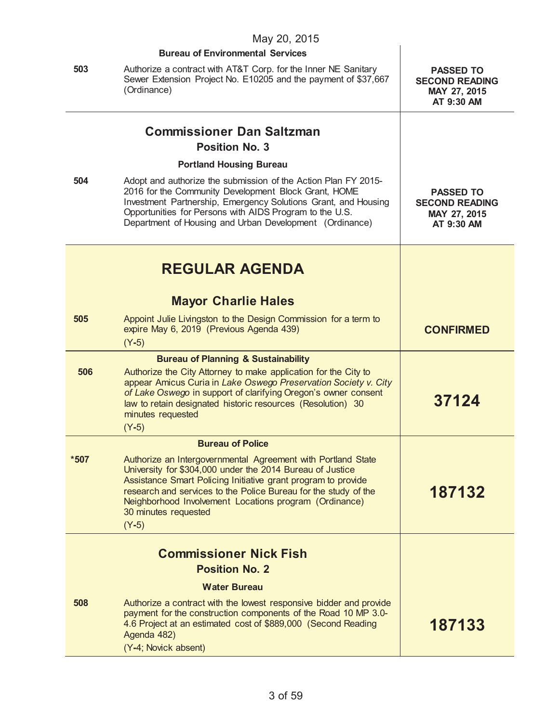|        | May 20, 2015                                                                                                                                                                                                                                                                                                                                               |                                                                         |
|--------|------------------------------------------------------------------------------------------------------------------------------------------------------------------------------------------------------------------------------------------------------------------------------------------------------------------------------------------------------------|-------------------------------------------------------------------------|
|        | <b>Bureau of Environmental Services</b>                                                                                                                                                                                                                                                                                                                    |                                                                         |
| 503    | Authorize a contract with AT&T Corp. for the Inner NE Sanitary<br>Sewer Extension Project No. E10205 and the payment of \$37,667<br>(Ordinance)                                                                                                                                                                                                            | <b>PASSED TO</b><br><b>SECOND READING</b><br>MAY 27, 2015<br>AT 9:30 AM |
|        | <b>Commissioner Dan Saltzman</b>                                                                                                                                                                                                                                                                                                                           |                                                                         |
|        | <b>Position No. 3</b>                                                                                                                                                                                                                                                                                                                                      |                                                                         |
|        | <b>Portland Housing Bureau</b>                                                                                                                                                                                                                                                                                                                             |                                                                         |
| 504    | Adopt and authorize the submission of the Action Plan FY 2015-<br>2016 for the Community Development Block Grant, HOME<br>Investment Partnership, Emergency Solutions Grant, and Housing<br>Opportunities for Persons with AIDS Program to the U.S.<br>Department of Housing and Urban Development (Ordinance)                                             | <b>PASSED TO</b><br><b>SECOND READING</b><br>MAY 27, 2015<br>AT 9:30 AM |
|        | <b>REGULAR AGENDA</b>                                                                                                                                                                                                                                                                                                                                      |                                                                         |
|        | <b>Mayor Charlie Hales</b>                                                                                                                                                                                                                                                                                                                                 |                                                                         |
| 505    | Appoint Julie Livingston to the Design Commission for a term to<br>expire May 6, 2019 (Previous Agenda 439)<br>$(Y-5)$                                                                                                                                                                                                                                     | <b>CONFIRMED</b>                                                        |
|        | <b>Bureau of Planning &amp; Sustainability</b>                                                                                                                                                                                                                                                                                                             |                                                                         |
| 506    | Authorize the City Attorney to make application for the City to<br>appear Amicus Curia in Lake Oswego Preservation Society v. City<br>of Lake Oswego in support of clarifying Oregon's owner consent<br>law to retain designated historic resources (Resolution) 30<br>minutes requested<br>$(Y-5)$                                                        | 37124                                                                   |
|        | <b>Bureau of Police</b>                                                                                                                                                                                                                                                                                                                                    |                                                                         |
| $*507$ | Authorize an Intergovernmental Agreement with Portland State<br>University for \$304,000 under the 2014 Bureau of Justice<br>Assistance Smart Policing Initiative grant program to provide<br>research and services to the Police Bureau for the study of the<br>Neighborhood Involvement Locations program (Ordinance)<br>30 minutes requested<br>$(Y-5)$ | 187132                                                                  |
|        | <b>Commissioner Nick Fish</b>                                                                                                                                                                                                                                                                                                                              |                                                                         |
|        | <b>Position No. 2</b>                                                                                                                                                                                                                                                                                                                                      |                                                                         |
|        | <b>Water Bureau</b>                                                                                                                                                                                                                                                                                                                                        |                                                                         |
| 508    | Authorize a contract with the lowest responsive bidder and provide<br>payment for the construction components of the Road 10 MP 3.0-<br>4.6 Project at an estimated cost of \$889,000 (Second Reading<br>Agenda 482)<br>(Y-4; Novick absent)                                                                                                               | 187133                                                                  |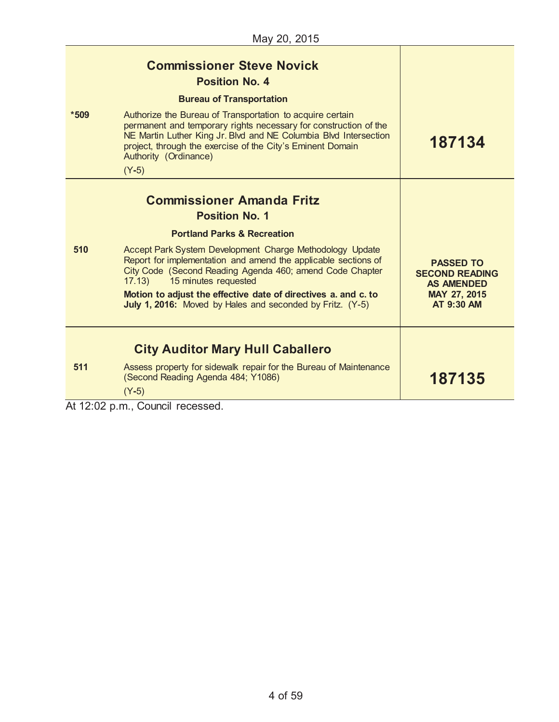| $*509$                                                 | <b>Commissioner Steve Novick</b><br><b>Position No. 4</b><br><b>Bureau of Transportation</b><br>Authorize the Bureau of Transportation to acquire certain<br>permanent and temporary rights necessary for construction of the<br>NE Martin Luther King Jr. Blvd and NE Columbia Blvd Intersection<br>project, through the exercise of the City's Eminent Domain<br>Authority (Ordinance)<br>$(Y-5)$                                                            | 187134                                                                                       |
|--------------------------------------------------------|----------------------------------------------------------------------------------------------------------------------------------------------------------------------------------------------------------------------------------------------------------------------------------------------------------------------------------------------------------------------------------------------------------------------------------------------------------------|----------------------------------------------------------------------------------------------|
| 510                                                    | <b>Commissioner Amanda Fritz</b><br><b>Position No. 1</b><br><b>Portland Parks &amp; Recreation</b><br>Accept Park System Development Charge Methodology Update<br>Report for implementation and amend the applicable sections of<br>City Code (Second Reading Agenda 460; amend Code Chapter<br>15 minutes requested<br>17.13)<br>Motion to adjust the effective date of directives a. and c. to<br>July 1, 2016: Moved by Hales and seconded by Fritz. (Y-5) | <b>PASSED TO</b><br><b>SECOND READING</b><br><b>AS AMENDED</b><br>MAY 27, 2015<br>AT 9:30 AM |
| 511<br>$\overline{11}$ $\overline{10}$ $\overline{00}$ | <b>City Auditor Mary Hull Caballero</b><br>Assess property for sidewalk repair for the Bureau of Maintenance<br>(Second Reading Agenda 484; Y1086)<br>$(Y-5)$<br>÷н.                                                                                                                                                                                                                                                                                           | 187135                                                                                       |

At 12:02 p.m., Council recessed.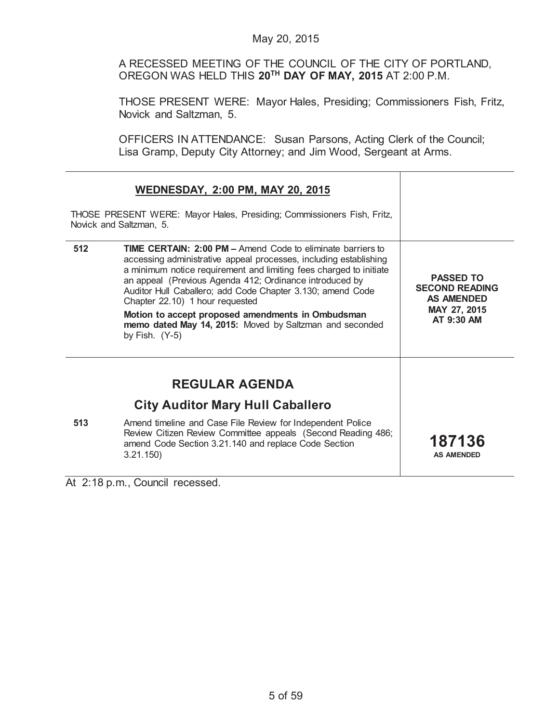A RECESSED MEETING OF THE COUNCIL OF THE CITY OF PORTLAND, OREGON WAS HELD THIS **20TH DAY OF MAY, 2015** AT 2:00 P.M.

THOSE PRESENT WERE: Mayor Hales, Presiding; Commissioners Fish, Fritz, Novick and Saltzman, 5.

OFFICERS IN ATTENDANCE: Susan Parsons, Acting Clerk of the Council; Lisa Gramp, Deputy City Attorney; and Jim Wood, Sergeant at Arms.

| <b>WEDNESDAY, 2:00 PM, MAY 20, 2015</b><br>THOSE PRESENT WERE: Mayor Hales, Presiding; Commissioners Fish, Fritz,<br>Novick and Saltzman, 5. |                                                                                                                                                                                                                                                                                                                                                                                                                                                                                                               |                                                                                              |
|----------------------------------------------------------------------------------------------------------------------------------------------|---------------------------------------------------------------------------------------------------------------------------------------------------------------------------------------------------------------------------------------------------------------------------------------------------------------------------------------------------------------------------------------------------------------------------------------------------------------------------------------------------------------|----------------------------------------------------------------------------------------------|
| 512                                                                                                                                          | <b>TIME CERTAIN: 2:00 PM - Amend Code to eliminate barriers to</b><br>accessing administrative appeal processes, including establishing<br>a minimum notice requirement and limiting fees charged to initiate<br>an appeal (Previous Agenda 412; Ordinance introduced by<br>Auditor Hull Caballero; add Code Chapter 3.130; amend Code<br>Chapter 22.10) 1 hour requested<br>Motion to accept proposed amendments in Ombudsman<br>memo dated May 14, 2015: Moved by Saltzman and seconded<br>by Fish. $(Y-5)$ | <b>PASSED TO</b><br><b>SECOND READING</b><br><b>AS AMENDED</b><br>MAY 27, 2015<br>AT 9:30 AM |
| 513                                                                                                                                          | <b>REGULAR AGENDA</b><br><b>City Auditor Mary Hull Caballero</b><br>Amend timeline and Case File Review for Independent Police<br>Review Citizen Review Committee appeals (Second Reading 486;<br>amend Code Section 3.21.140 and replace Code Section<br>3.21.150                                                                                                                                                                                                                                            | 187136<br><b>AS AMENDED</b>                                                                  |

At 2:18 p.m., Council recessed.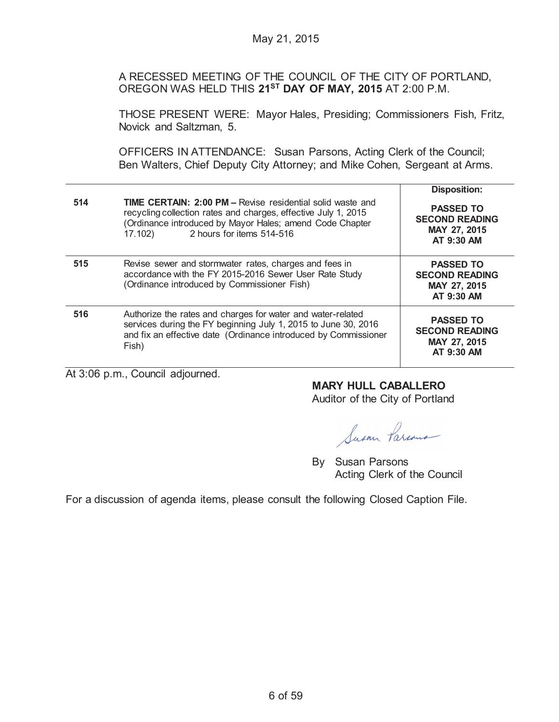A RECESSED MEETING OF THE COUNCIL OF THE CITY OF PORTLAND, OREGON WAS HELD THIS **21ST DAY OF MAY, 2015** AT 2:00 P.M.

THOSE PRESENT WERE: Mayor Hales, Presiding; Commissioners Fish, Fritz, Novick and Saltzman, 5.

OFFICERS IN ATTENDANCE: Susan Parsons, Acting Clerk of the Council; Ben Walters, Chief Deputy City Attorney; and Mike Cohen, Sergeant at Arms.

|     |                                                                                                                                                                                                                                         | <b>Disposition:</b>                                                     |
|-----|-----------------------------------------------------------------------------------------------------------------------------------------------------------------------------------------------------------------------------------------|-------------------------------------------------------------------------|
| 514 | <b>TIME CERTAIN: 2:00 PM - Revise residential solid waste and</b><br>recycling collection rates and charges, effective July 1, 2015<br>(Ordinance introduced by Mayor Hales; amend Code Chapter<br>2 hours for items 514-516<br>17.102) | <b>PASSED TO</b><br><b>SECOND READING</b><br>MAY 27, 2015<br>AT 9:30 AM |
| 515 | Revise sewer and stormwater rates, charges and fees in<br>accordance with the FY 2015-2016 Sewer User Rate Study<br>(Ordinance introduced by Commissioner Fish)                                                                         | <b>PASSED TO</b><br><b>SECOND READING</b><br>MAY 27, 2015<br>AT 9:30 AM |
| 516 | Authorize the rates and charges for water and water-related<br>services during the FY beginning July 1, 2015 to June 30, 2016<br>and fix an effective date (Ordinance introduced by Commissioner<br>Fish)                               | <b>PASSED TO</b><br><b>SECOND READING</b><br>MAY 27, 2015<br>AT 9:30 AM |

At 3:06 p.m., Council adjourned.

# **MARY HULL CABALLERO**

Auditor of the City of Portland

Susan Parcous

By Susan Parsons Acting Clerk of the Council

For a discussion of agenda items, please consult the following Closed Caption File.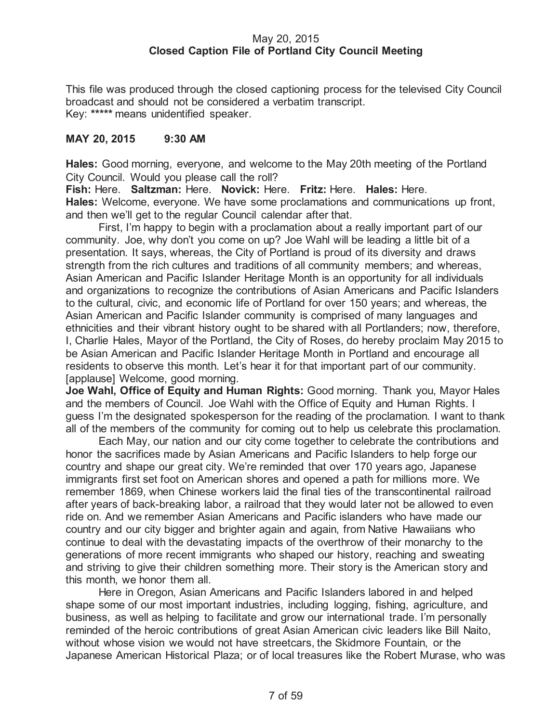## May 20, 2015 **Closed Caption File of Portland City Council Meeting**

This file was produced through the closed captioning process for the televised City Council broadcast and should not be considered a verbatim transcript. Key: **\*\*\*\*\*** means unidentified speaker.

## **MAY 20, 2015 9:30 AM**

**Hales:** Good morning, everyone, and welcome to the May 20th meeting of the Portland City Council. Would you please call the roll?

**Fish:** Here. **Saltzman:** Here. **Novick:** Here. **Fritz:** Here. **Hales:** Here. **Hales:** Welcome, everyone. We have some proclamations and communications up front, and then we'll get to the regular Council calendar after that.

First, I'm happy to begin with a proclamation about a really important part of our community. Joe, why don't you come on up? Joe Wahl will be leading a little bit of a presentation. It says, whereas, the City of Portland is proud of its diversity and draws strength from the rich cultures and traditions of all community members; and whereas, Asian American and Pacific Islander Heritage Month is an opportunity for all individuals and organizations to recognize the contributions of Asian Americans and Pacific Islanders to the cultural, civic, and economic life of Portland for over 150 years; and whereas, the Asian American and Pacific Islander community is comprised of many languages and ethnicities and their vibrant history ought to be shared with all Portlanders; now, therefore, I, Charlie Hales, Mayor of the Portland, the City of Roses, do hereby proclaim May 2015 to be Asian American and Pacific Islander Heritage Month in Portland and encourage all residents to observe this month. Let's hear it for that important part of our community. [applause] Welcome, good morning.

**Joe Wahl, Office of Equity and Human Rights:** Good morning. Thank you, Mayor Hales and the members of Council. Joe Wahl with the Office of Equity and Human Rights. I guess I'm the designated spokesperson for the reading of the proclamation. I want to thank all of the members of the community for coming out to help us celebrate this proclamation.

Each May, our nation and our city come together to celebrate the contributions and honor the sacrifices made by Asian Americans and Pacific Islanders to help forge our country and shape our great city. We're reminded that over 170 years ago, Japanese immigrants first set foot on American shores and opened a path for millions more. We remember 1869, when Chinese workers laid the final ties of the transcontinental railroad after years of back-breaking labor, a railroad that they would later not be allowed to even ride on. And we remember Asian Americans and Pacific islanders who have made our country and our city bigger and brighter again and again, from Native Hawaiians who continue to deal with the devastating impacts of the overthrow of their monarchy to the generations of more recent immigrants who shaped our history, reaching and sweating and striving to give their children something more. Their story is the American story and this month, we honor them all.

Here in Oregon, Asian Americans and Pacific Islanders labored in and helped shape some of our most important industries, including logging, fishing, agriculture, and business, as well as helping to facilitate and grow our international trade. I'm personally reminded of the heroic contributions of great Asian American civic leaders like Bill Naito, without whose vision we would not have streetcars, the Skidmore Fountain, or the Japanese American Historical Plaza; or of local treasures like the Robert Murase, who was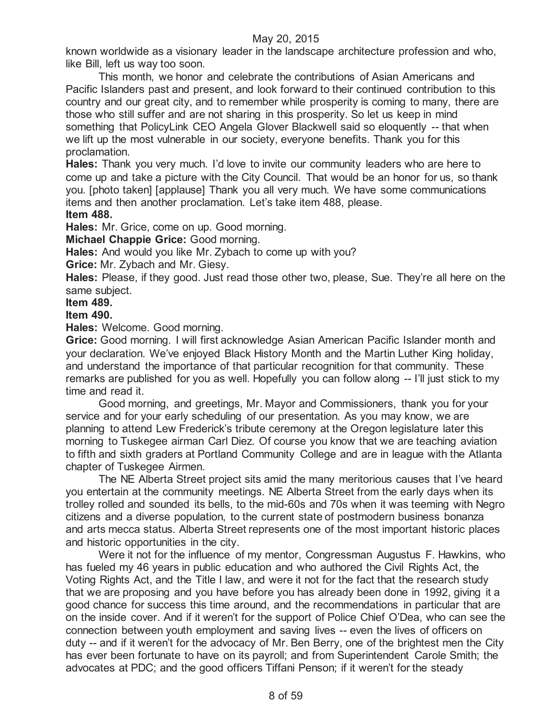known worldwide as a visionary leader in the landscape architecture profession and who, like Bill, left us way too soon.

This month, we honor and celebrate the contributions of Asian Americans and Pacific Islanders past and present, and look forward to their continued contribution to this country and our great city, and to remember while prosperity is coming to many, there are those who still suffer and are not sharing in this prosperity. So let us keep in mind something that PolicyLink CEO Angela Glover Blackwell said so eloquently -- that when we lift up the most vulnerable in our society, everyone benefits. Thank you for this proclamation.

**Hales:** Thank you very much. I'd love to invite our community leaders who are here to come up and take a picture with the City Council. That would be an honor for us, so thank you. [photo taken] [applause] Thank you all very much. We have some communications items and then another proclamation. Let's take item 488, please. **Item 488.**

**Hales:** Mr. Grice, come on up. Good morning.

**Michael Chappie Grice:** Good morning.

**Hales:** And would you like Mr. Zybach to come up with you?

**Grice:** Mr. Zybach and Mr. Giesy.

**Hales:** Please, if they good. Just read those other two, please, Sue. They're all here on the same subject.

**Item 489.**

## **Item 490.**

**Hales:** Welcome. Good morning.

**Grice:** Good morning. I will first acknowledge Asian American Pacific Islander month and your declaration. We've enjoyed Black History Month and the Martin Luther King holiday, and understand the importance of that particular recognition for that community. These remarks are published for you as well. Hopefully you can follow along -- I'll just stick to my time and read it.

Good morning, and greetings, Mr. Mayor and Commissioners, thank you for your service and for your early scheduling of our presentation. As you may know, we are planning to attend Lew Frederick's tribute ceremony at the Oregon legislature later this morning to Tuskegee airman Carl Diez. Of course you know that we are teaching aviation to fifth and sixth graders at Portland Community College and are in league with the Atlanta chapter of Tuskegee Airmen.

The NE Alberta Street project sits amid the many meritorious causes that I've heard you entertain at the community meetings. NE Alberta Street from the early days when its trolley rolled and sounded its bells, to the mid-60s and 70s when it was teeming with Negro citizens and a diverse population, to the current state of postmodern business bonanza and arts mecca status. Alberta Street represents one of the most important historic places and historic opportunities in the city.

Were it not for the influence of my mentor, Congressman Augustus F. Hawkins, who has fueled my 46 years in public education and who authored the Civil Rights Act, the Voting Rights Act, and the Title I law, and were it not for the fact that the research study that we are proposing and you have before you has already been done in 1992, giving it a good chance for success this time around, and the recommendations in particular that are on the inside cover. And if it weren't for the support of Police Chief O'Dea, who can see the connection between youth employment and saving lives -- even the lives of officers on duty -- and if it weren't for the advocacy of Mr. Ben Berry, one of the brightest men the City has ever been fortunate to have on its payroll; and from Superintendent Carole Smith; the advocates at PDC; and the good officers Tiffani Penson; if it weren't for the steady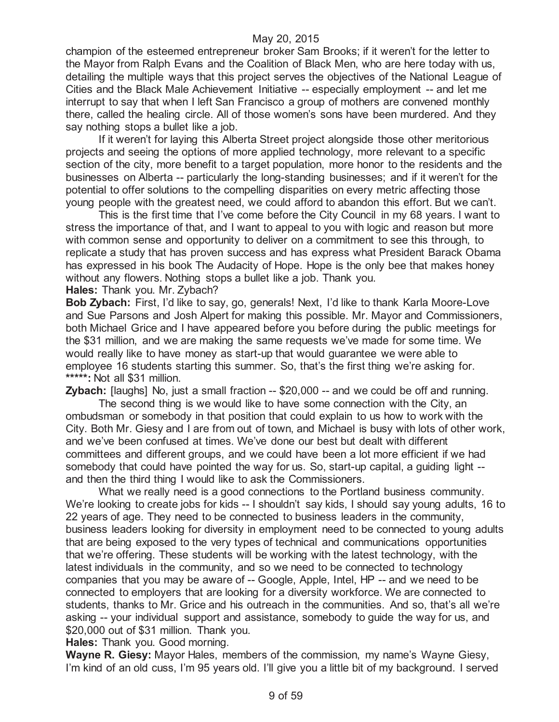champion of the esteemed entrepreneur broker Sam Brooks; if it weren't for the letter to the Mayor from Ralph Evans and the Coalition of Black Men, who are here today with us, detailing the multiple ways that this project serves the objectives of the National League of Cities and the Black Male Achievement Initiative -- especially employment -- and let me interrupt to say that when I left San Francisco a group of mothers are convened monthly there, called the healing circle. All of those women's sons have been murdered. And they say nothing stops a bullet like a job.

If it weren't for laying this Alberta Street project alongside those other meritorious projects and seeing the options of more applied technology, more relevant to a specific section of the city, more benefit to a target population, more honor to the residents and the businesses on Alberta -- particularly the long-standing businesses; and if it weren't for the potential to offer solutions to the compelling disparities on every metric affecting those young people with the greatest need, we could afford to abandon this effort. But we can't.

This is the first time that I've come before the City Council in my 68 years. I want to stress the importance of that, and I want to appeal to you with logic and reason but more with common sense and opportunity to deliver on a commitment to see this through, to replicate a study that has proven success and has express what President Barack Obama has expressed in his book The Audacity of Hope. Hope is the only bee that makes honey without any flowers. Nothing stops a bullet like a job. Thank you.

**Hales:** Thank you. Mr. Zybach?

**Bob Zybach:** First, I'd like to say, go, generals! Next, I'd like to thank Karla Moore-Love and Sue Parsons and Josh Alpert for making this possible. Mr. Mayor and Commissioners, both Michael Grice and I have appeared before you before during the public meetings for the \$31 million, and we are making the same requests we've made for some time. We would really like to have money as start-up that would guarantee we were able to employee 16 students starting this summer. So, that's the first thing we're asking for. **\*\*\*\*\*:** Not all \$31 million.

**Zybach:** [laughs] No, just a small fraction -- \$20,000 -- and we could be off and running.

The second thing is we would like to have some connection with the City, an ombudsman or somebody in that position that could explain to us how to work with the City. Both Mr. Giesy and I are from out of town, and Michael is busy with lots of other work, and we've been confused at times. We've done our best but dealt with different committees and different groups, and we could have been a lot more efficient if we had somebody that could have pointed the way for us. So, start-up capital, a guiding light - and then the third thing I would like to ask the Commissioners.

What we really need is a good connections to the Portland business community. We're looking to create jobs for kids -- I shouldn't say kids, I should say young adults, 16 to 22 years of age. They need to be connected to business leaders in the community, business leaders looking for diversity in employment need to be connected to young adults that are being exposed to the very types of technical and communications opportunities that we're offering. These students will be working with the latest technology, with the latest individuals in the community, and so we need to be connected to technology companies that you may be aware of -- Google, Apple, Intel, HP -- and we need to be connected to employers that are looking for a diversity workforce. We are connected to students, thanks to Mr. Grice and his outreach in the communities. And so, that's all we're asking -- your individual support and assistance, somebody to guide the way for us, and \$20,000 out of \$31 million. Thank you.

**Hales:** Thank you. Good morning.

**Wayne R. Giesy:** Mayor Hales, members of the commission, my name's Wayne Giesy, I'm kind of an old cuss, I'm 95 years old. I'll give you a little bit of my background. I served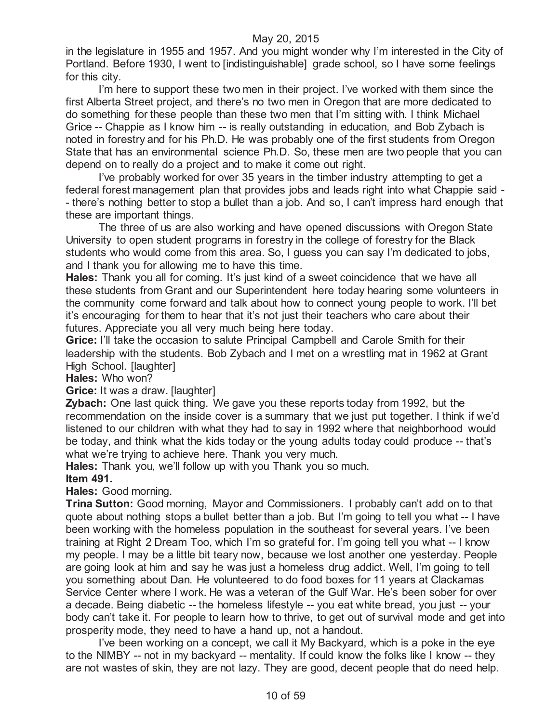in the legislature in 1955 and 1957. And you might wonder why I'm interested in the City of Portland. Before 1930, I went to [indistinguishable] grade school, so I have some feelings for this city.

I'm here to support these two men in their project. I've worked with them since the first Alberta Street project, and there's no two men in Oregon that are more dedicated to do something for these people than these two men that I'm sitting with. I think Michael Grice -- Chappie as I know him -- is really outstanding in education, and Bob Zybach is noted in forestry and for his Ph.D. He was probably one of the first students from Oregon State that has an environmental science Ph.D. So, these men are two people that you can depend on to really do a project and to make it come out right.

I've probably worked for over 35 years in the timber industry attempting to get a federal forest management plan that provides jobs and leads right into what Chappie said - - there's nothing better to stop a bullet than a job. And so, I can't impress hard enough that these are important things.

The three of us are also working and have opened discussions with Oregon State University to open student programs in forestry in the college of forestry for the Black students who would come from this area. So, I guess you can say I'm dedicated to jobs, and I thank you for allowing me to have this time.

**Hales:** Thank you all for coming. It's just kind of a sweet coincidence that we have all these students from Grant and our Superintendent here today hearing some volunteers in the community come forward and talk about how to connect young people to work. I'll bet it's encouraging for them to hear that it's not just their teachers who care about their futures. Appreciate you all very much being here today.

**Grice:** I'll take the occasion to salute Principal Campbell and Carole Smith for their leadership with the students. Bob Zybach and I met on a wrestling mat in 1962 at Grant High School. [laughter]

**Hales:** Who won?

**Grice:** It was a draw. [laughter]

**Zybach:** One last quick thing. We gave you these reports today from 1992, but the recommendation on the inside cover is a summary that we just put together. I think if we'd listened to our children with what they had to say in 1992 where that neighborhood would be today, and think what the kids today or the young adults today could produce -- that's what we're trying to achieve here. Thank you very much.

**Hales:** Thank you, we'll follow up with you Thank you so much.

#### **Item 491.**

**Hales:** Good morning.

**Trina Sutton:** Good morning, Mayor and Commissioners. I probably can't add on to that quote about nothing stops a bullet better than a job. But I'm going to tell you what -- I have been working with the homeless population in the southeast for several years. I've been training at Right 2 Dream Too, which I'm so grateful for. I'm going tell you what -- I know my people. I may be a little bit teary now, because we lost another one yesterday. People are going look at him and say he was just a homeless drug addict. Well, I'm going to tell you something about Dan. He volunteered to do food boxes for 11 years at Clackamas Service Center where I work. He was a veteran of the Gulf War. He's been sober for over a decade. Being diabetic -- the homeless lifestyle -- you eat white bread, you just -- your body can't take it. For people to learn how to thrive, to get out of survival mode and get into prosperity mode, they need to have a hand up, not a handout.

I've been working on a concept, we call it My Backyard, which is a poke in the eye to the NIMBY -- not in my backyard -- mentality. If could know the folks like I know -- they are not wastes of skin, they are not lazy. They are good, decent people that do need help.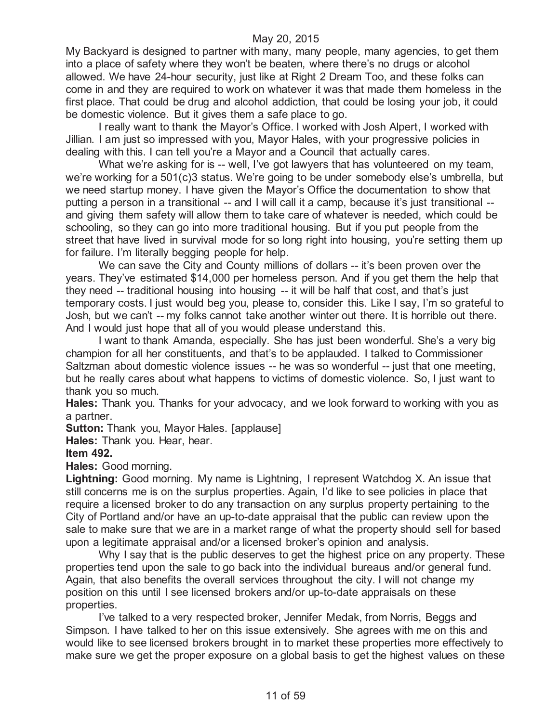My Backyard is designed to partner with many, many people, many agencies, to get them into a place of safety where they won't be beaten, where there's no drugs or alcohol allowed. We have 24-hour security, just like at Right 2 Dream Too, and these folks can come in and they are required to work on whatever it was that made them homeless in the first place. That could be drug and alcohol addiction, that could be losing your job, it could be domestic violence. But it gives them a safe place to go.

I really want to thank the Mayor's Office. I worked with Josh Alpert, I worked with Jillian. I am just so impressed with you, Mayor Hales, with your progressive policies in dealing with this. I can tell you're a Mayor and a Council that actually cares.

What we're asking for is -- well, I've got lawyers that has volunteered on my team, we're working for a 501(c)3 status. We're going to be under somebody else's umbrella, but we need startup money. I have given the Mayor's Office the documentation to show that putting a person in a transitional -- and I will call it a camp, because it's just transitional - and giving them safety will allow them to take care of whatever is needed, which could be schooling, so they can go into more traditional housing. But if you put people from the street that have lived in survival mode for so long right into housing, you're setting them up for failure. I'm literally begging people for help.

We can save the City and County millions of dollars -- it's been proven over the years. They've estimated \$14,000 per homeless person. And if you get them the help that they need -- traditional housing into housing -- it will be half that cost, and that's just temporary costs. I just would beg you, please to, consider this. Like I say, I'm so grateful to Josh, but we can't -- my folks cannot take another winter out there. It is horrible out there. And I would just hope that all of you would please understand this.

I want to thank Amanda, especially. She has just been wonderful. She's a very big champion for all her constituents, and that's to be applauded. I talked to Commissioner Saltzman about domestic violence issues -- he was so wonderful -- just that one meeting, but he really cares about what happens to victims of domestic violence. So, I just want to thank you so much.

**Hales:** Thank you. Thanks for your advocacy, and we look forward to working with you as a partner.

**Sutton:** Thank you, Mayor Hales. [applause]

**Hales:** Thank you. Hear, hear.

#### **Item 492.**

**Hales:** Good morning.

**Lightning:** Good morning. My name is Lightning, I represent Watchdog X. An issue that still concerns me is on the surplus properties. Again, I'd like to see policies in place that require a licensed broker to do any transaction on any surplus property pertaining to the City of Portland and/or have an up-to-date appraisal that the public can review upon the sale to make sure that we are in a market range of what the property should sell for based upon a legitimate appraisal and/or a licensed broker's opinion and analysis.

Why I say that is the public deserves to get the highest price on any property. These properties tend upon the sale to go back into the individual bureaus and/or general fund. Again, that also benefits the overall services throughout the city. I will not change my position on this until I see licensed brokers and/or up-to-date appraisals on these properties.

I've talked to a very respected broker, Jennifer Medak, from Norris, Beggs and Simpson. I have talked to her on this issue extensively. She agrees with me on this and would like to see licensed brokers brought in to market these properties more effectively to make sure we get the proper exposure on a global basis to get the highest values on these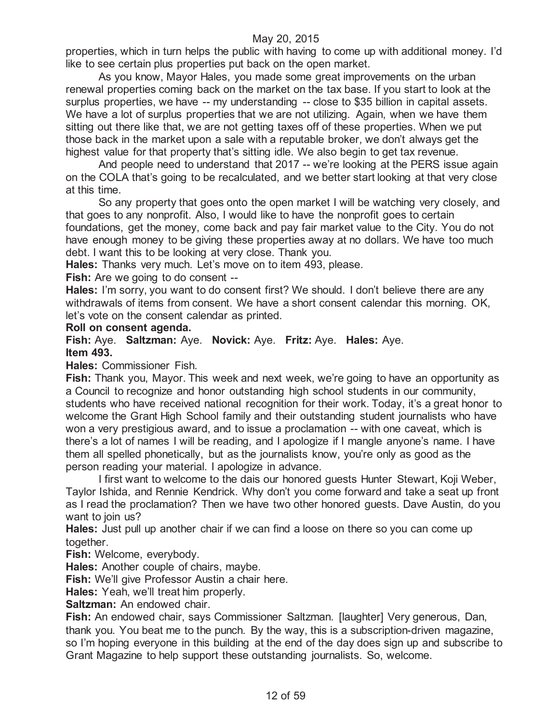properties, which in turn helps the public with having to come up with additional money. I'd like to see certain plus properties put back on the open market.

As you know, Mayor Hales, you made some great improvements on the urban renewal properties coming back on the market on the tax base. If you start to look at the surplus properties, we have -- my understanding -- close to \$35 billion in capital assets. We have a lot of surplus properties that we are not utilizing. Again, when we have them sitting out there like that, we are not getting taxes off of these properties. When we put those back in the market upon a sale with a reputable broker, we don't always get the highest value for that property that's sitting idle. We also begin to get tax revenue.

And people need to understand that 2017 -- we're looking at the PERS issue again on the COLA that's going to be recalculated, and we better start looking at that very close at this time.

So any property that goes onto the open market I will be watching very closely, and that goes to any nonprofit. Also, I would like to have the nonprofit goes to certain foundations, get the money, come back and pay fair market value to the City. You do not have enough money to be giving these properties away at no dollars. We have too much debt. I want this to be looking at very close. Thank you.

**Hales:** Thanks very much. Let's move on to item 493, please.

**Fish:** Are we going to do consent --

**Hales:** I'm sorry, you want to do consent first? We should. I don't believe there are any withdrawals of items from consent. We have a short consent calendar this morning. OK, let's vote on the consent calendar as printed.

#### **Roll on consent agenda.**

**Fish:** Aye. **Saltzman:** Aye. **Novick:** Aye. **Fritz:** Aye. **Hales:** Aye. **Item 493.**

**Hales:** Commissioner Fish.

**Fish:** Thank you, Mayor. This week and next week, we're going to have an opportunity as a Council to recognize and honor outstanding high school students in our community, students who have received national recognition for their work. Today, it's a great honor to welcome the Grant High School family and their outstanding student journalists who have won a very prestigious award, and to issue a proclamation -- with one caveat, which is there's a lot of names I will be reading, and I apologize if I mangle anyone's name. I have them all spelled phonetically, but as the journalists know, you're only as good as the person reading your material. I apologize in advance.

I first want to welcome to the dais our honored guests Hunter Stewart, Koji Weber, Taylor Ishida, and Rennie Kendrick. Why don't you come forward and take a seat up front as I read the proclamation? Then we have two other honored guests. Dave Austin, do you want to join us?

**Hales:** Just pull up another chair if we can find a loose on there so you can come up together.

**Fish:** Welcome, everybody.

**Hales:** Another couple of chairs, maybe.

**Fish:** We'll give Professor Austin a chair here.

**Hales:** Yeah, we'll treat him properly.

**Saltzman:** An endowed chair.

**Fish:** An endowed chair, says Commissioner Saltzman. [laughter] Very generous, Dan, thank you. You beat me to the punch. By the way, this is a subscription-driven magazine, so I'm hoping everyone in this building at the end of the day does sign up and subscribe to Grant Magazine to help support these outstanding journalists. So, welcome.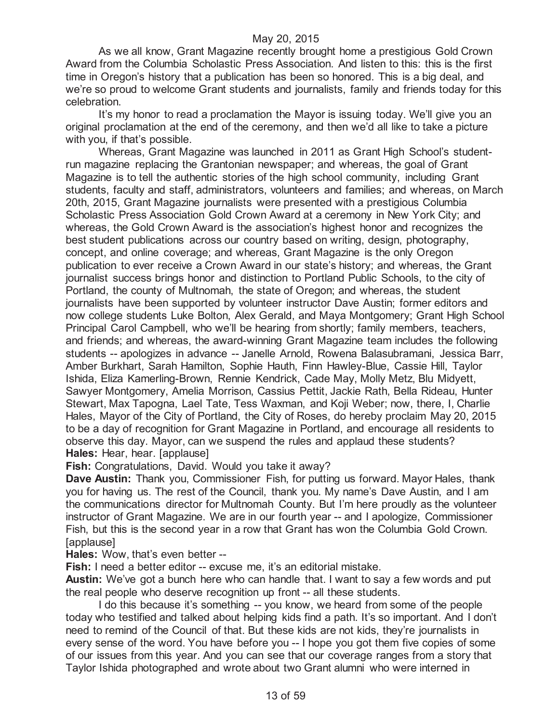As we all know, Grant Magazine recently brought home a prestigious Gold Crown Award from the Columbia Scholastic Press Association. And listen to this: this is the first time in Oregon's history that a publication has been so honored. This is a big deal, and we're so proud to welcome Grant students and journalists, family and friends today for this celebration.

It's my honor to read a proclamation the Mayor is issuing today. We'll give you an original proclamation at the end of the ceremony, and then we'd all like to take a picture with you, if that's possible.

Whereas, Grant Magazine was launched in 2011 as Grant High School's studentrun magazine replacing the Grantonian newspaper; and whereas, the goal of Grant Magazine is to tell the authentic stories of the high school community, including Grant students, faculty and staff, administrators, volunteers and families; and whereas, on March 20th, 2015, Grant Magazine journalists were presented with a prestigious Columbia Scholastic Press Association Gold Crown Award at a ceremony in New York City; and whereas, the Gold Crown Award is the association's highest honor and recognizes the best student publications across our country based on writing, design, photography, concept, and online coverage; and whereas, Grant Magazine is the only Oregon publication to ever receive a Crown Award in our state's history; and whereas, the Grant journalist success brings honor and distinction to Portland Public Schools, to the city of Portland, the county of Multnomah, the state of Oregon; and whereas, the student journalists have been supported by volunteer instructor Dave Austin; former editors and now college students Luke Bolton, Alex Gerald, and Maya Montgomery; Grant High School Principal Carol Campbell, who we'll be hearing from shortly; family members, teachers, and friends; and whereas, the award-winning Grant Magazine team includes the following students -- apologizes in advance -- Janelle Arnold, Rowena Balasubramani, Jessica Barr, Amber Burkhart, Sarah Hamilton, Sophie Hauth, Finn Hawley-Blue, Cassie Hill, Taylor Ishida, Eliza Kamerling-Brown, Rennie Kendrick, Cade May, Molly Metz, Blu Midyett, Sawyer Montgomery, Amelia Morrison, Cassius Pettit, Jackie Rath, Bella Rideau, Hunter Stewart, Max Tapogna, Lael Tate, Tess Waxman, and Koji Weber; now, there, I, Charlie Hales, Mayor of the City of Portland, the City of Roses, do hereby proclaim May 20, 2015 to be a day of recognition for Grant Magazine in Portland, and encourage all residents to observe this day. Mayor, can we suspend the rules and applaud these students? **Hales:** Hear, hear. [applause]

**Fish:** Congratulations, David. Would you take it away?

**Dave Austin:** Thank you, Commissioner Fish, for putting us forward. Mayor Hales, thank you for having us. The rest of the Council, thank you. My name's Dave Austin, and I am the communications director for Multnomah County. But I'm here proudly as the volunteer instructor of Grant Magazine. We are in our fourth year -- and I apologize, Commissioner Fish, but this is the second year in a row that Grant has won the Columbia Gold Crown. [applause]

**Hales:** Wow, that's even better --

**Fish:** I need a better editor -- excuse me, it's an editorial mistake.

**Austin:** We've got a bunch here who can handle that. I want to say a few words and put the real people who deserve recognition up front -- all these students.

I do this because it's something -- you know, we heard from some of the people today who testified and talked about helping kids find a path. It's so important. And I don't need to remind of the Council of that. But these kids are not kids, they're journalists in every sense of the word. You have before you -- I hope you got them five copies of some of our issues from this year. And you can see that our coverage ranges from a story that Taylor Ishida photographed and wrote about two Grant alumni who were interned in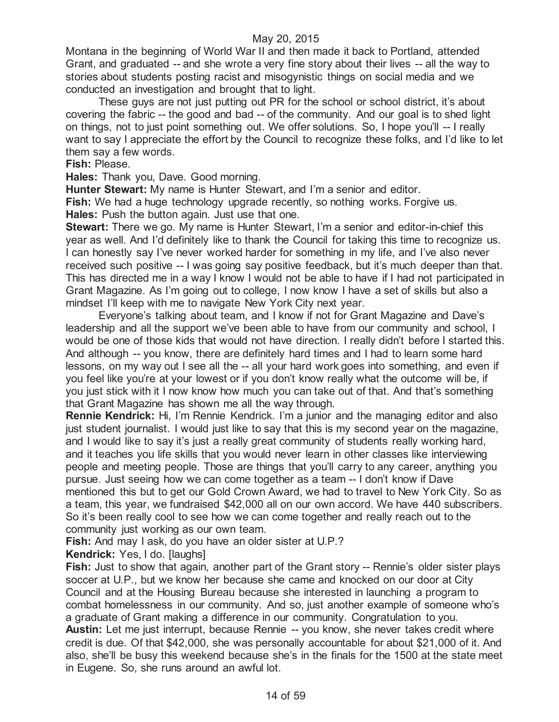Montana in the beginning of World War II and then made it back to Portland, attended Grant, and graduated -- and she wrote a very fine story about their lives -- all the way to stories about students posting racist and misogynistic things on social media and we conducted an investigation and brought that to light.

These guys are not just putting out PR for the school or school district, it's about covering the fabric -- the good and bad -- of the community. And our goal is to shed light on things, not to just point something out. We offer solutions. So, I hope you'll -- I really want to say I appreciate the effort by the Council to recognize these folks, and I'd like to let them say a few words.

#### **Fish:** Please.

**Hales:** Thank you, Dave. Good morning.

**Hunter Stewart:** My name is Hunter Stewart, and I'm a senior and editor. **Fish:** We had a huge technology upgrade recently, so nothing works. Forgive us.

**Hales:** Push the button again. Just use that one.

**Stewart:** There we go. My name is Hunter Stewart, I'm a senior and editor-in-chief this year as well. And I'd definitely like to thank the Council for taking this time to recognize us. I can honestly say I've never worked harder for something in my life, and I've also never received such positive -- I was going say positive feedback, but it's much deeper than that. This has directed me in a way I know I would not be able to have if I had not participated in Grant Magazine. As I'm going out to college, I now know I have a set of skills but also a mindset I'll keep with me to navigate New York City next year.

Everyone's talking about team, and I know if not for Grant Magazine and Dave's leadership and all the support we've been able to have from our community and school, I would be one of those kids that would not have direction. I really didn't before I started this. And although -- you know, there are definitely hard times and I had to learn some hard lessons, on my way out I see all the -- all your hard work goes into something, and even if you feel like you're at your lowest or if you don't know really what the outcome will be, if you just stick with it I now know how much you can take out of that. And that's something that Grant Magazine has shown me all the way through.

**Rennie Kendrick:** Hi, I'm Rennie Kendrick. I'm a junior and the managing editor and also just student journalist. I would just like to say that this is my second year on the magazine, and I would like to say it's just a really great community of students really working hard, and it teaches you life skills that you would never learn in other classes like interviewing people and meeting people. Those are things that you'll carry to any career, anything you pursue. Just seeing how we can come together as a team -- I don't know if Dave mentioned this but to get our Gold Crown Award, we had to travel to New York City. So as a team, this year, we fundraised \$42,000 all on our own accord. We have 440 subscribers. So it's been really cool to see how we can come together and really reach out to the community just working as our own team.

**Fish:** And may I ask, do you have an older sister at U.P.?

**Kendrick:** Yes, I do. [laughs]

Fish: Just to show that again, another part of the Grant story -- Rennie's older sister plays soccer at U.P., but we know her because she came and knocked on our door at City Council and at the Housing Bureau because she interested in launching a program to combat homelessness in our community. And so, just another example of someone who's a graduate of Grant making a difference in our community. Congratulation to you. **Austin:** Let me just interrupt, because Rennie -- you know, she never takes credit where credit is due. Of that \$42,000, she was personally accountable for about \$21,000 of it. And also, she'll be busy this weekend because she's in the finals for the 1500 at the state meet in Eugene. So, she runs around an awful lot.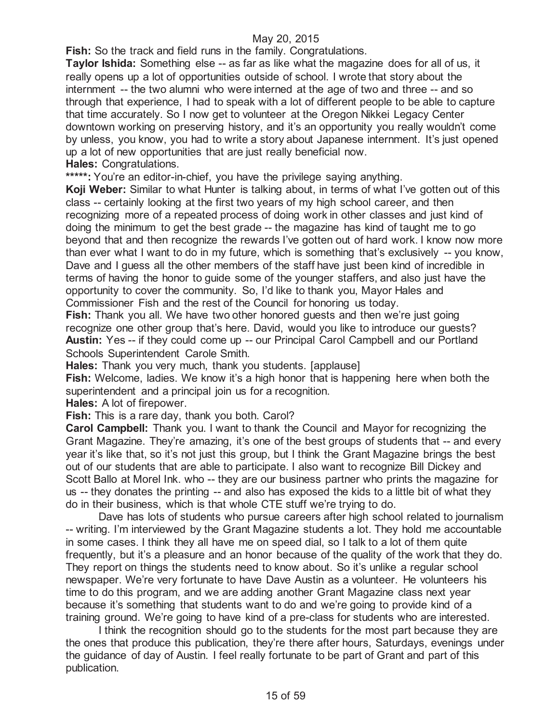**Fish:** So the track and field runs in the family. Congratulations.

**Taylor Ishida:** Something else -- as far as like what the magazine does for all of us, it really opens up a lot of opportunities outside of school. I wrote that story about the internment -- the two alumni who were interned at the age of two and three -- and so through that experience, I had to speak with a lot of different people to be able to capture that time accurately. So I now get to volunteer at the Oregon Nikkei Legacy Center downtown working on preserving history, and it's an opportunity you really wouldn't come by unless, you know, you had to write a story about Japanese internment. It's just opened up a lot of new opportunities that are just really beneficial now. **Hales:** Congratulations.

\*\*\*\*\*: You're an editor-in-chief, you have the privilege saying anything.

**Koji Weber:** Similar to what Hunter is talking about, in terms of what I've gotten out of this class -- certainly looking at the first two years of my high school career, and then recognizing more of a repeated process of doing work in other classes and just kind of doing the minimum to get the best grade -- the magazine has kind of taught me to go beyond that and then recognize the rewards I've gotten out of hard work. I know now more than ever what I want to do in my future, which is something that's exclusively -- you know, Dave and I guess all the other members of the staff have just been kind of incredible in terms of having the honor to guide some of the younger staffers, and also just have the opportunity to cover the community. So, I'd like to thank you, Mayor Hales and Commissioner Fish and the rest of the Council for honoring us today.

**Fish:** Thank you all. We have two other honored guests and then we're just going recognize one other group that's here. David, would you like to introduce our guests? **Austin:** Yes -- if they could come up -- our Principal Carol Campbell and our Portland Schools Superintendent Carole Smith.

**Hales:** Thank you very much, thank you students. [applause]

**Fish:** Welcome, ladies. We know it's a high honor that is happening here when both the superintendent and a principal join us for a recognition.

**Hales:** A lot of firepower.

**Fish:** This is a rare day, thank you both. Carol?

**Carol Campbell:** Thank you. I want to thank the Council and Mayor for recognizing the Grant Magazine. They're amazing, it's one of the best groups of students that -- and every year it's like that, so it's not just this group, but I think the Grant Magazine brings the best out of our students that are able to participate. I also want to recognize Bill Dickey and Scott Ballo at Morel Ink. who -- they are our business partner who prints the magazine for us -- they donates the printing -- and also has exposed the kids to a little bit of what they do in their business, which is that whole CTE stuff we're trying to do.

Dave has lots of students who pursue careers after high school related to journalism -- writing. I'm interviewed by the Grant Magazine students a lot. They hold me accountable in some cases. I think they all have me on speed dial, so I talk to a lot of them quite frequently, but it's a pleasure and an honor because of the quality of the work that they do. They report on things the students need to know about. So it's unlike a regular school newspaper. We're very fortunate to have Dave Austin as a volunteer. He volunteers his time to do this program, and we are adding another Grant Magazine class next year because it's something that students want to do and we're going to provide kind of a training ground. We're going to have kind of a pre-class for students who are interested.

I think the recognition should go to the students for the most part because they are the ones that produce this publication, they're there after hours, Saturdays, evenings under the guidance of day of Austin. I feel really fortunate to be part of Grant and part of this publication.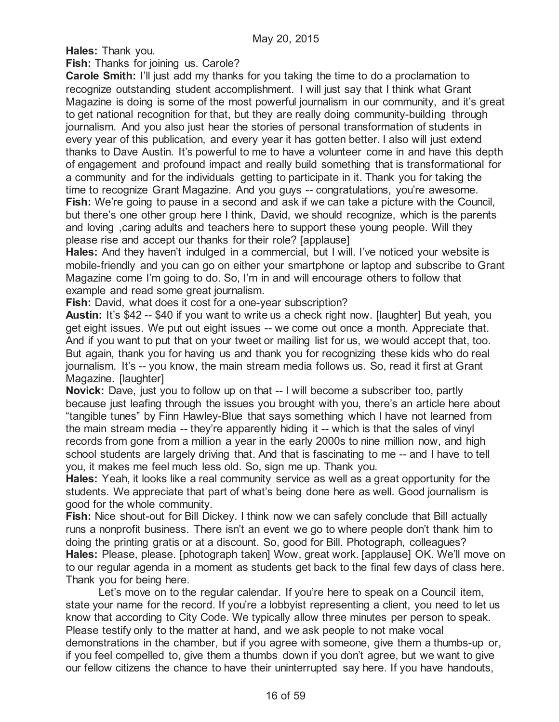**Hales:** Thank you.

**Fish:** Thanks for joining us. Carole?

**Carole Smith:** I'll just add my thanks for you taking the time to do a proclamation to recognize outstanding student accomplishment. I will just say that I think what Grant Magazine is doing is some of the most powerful journalism in our community, and it's great to get national recognition for that, but they are really doing community-building through journalism. And you also just hear the stories of personal transformation of students in every year of this publication, and every year it has gotten better. I also will just extend thanks to Dave Austin. It's powerful to me to have a volunteer come in and have this depth of engagement and profound impact and really build something that is transformational for a community and for the individuals getting to participate in it. Thank you for taking the time to recognize Grant Magazine. And you guys -- congratulations, you're awesome. Fish: We're going to pause in a second and ask if we can take a picture with the Council, but there's one other group here I think, David, we should recognize, which is the parents and loving ,caring adults and teachers here to support these young people. Will they please rise and accept our thanks for their role? [applause]

**Hales:** And they haven't indulged in a commercial, but I will. I've noticed your website is mobile-friendly and you can go on either your smartphone or laptop and subscribe to Grant Magazine come I'm going to do. So, I'm in and will encourage others to follow that example and read some great journalism.

**Fish:** David, what does it cost for a one-year subscription?

**Austin:** It's \$42 -- \$40 if you want to write us a check right now. [laughter] But yeah, you get eight issues. We put out eight issues -- we come out once a month. Appreciate that. And if you want to put that on your tweet or mailing list for us, we would accept that, too. But again, thank you for having us and thank you for recognizing these kids who do real journalism. It's -- you know, the main stream media follows us. So, read it first at Grant Magazine. [laughter]

**Novick:** Dave, just you to follow up on that -- I will become a subscriber too, partly because just leafing through the issues you brought with you, there's an article here about "tangible tunes" by Finn Hawley-Blue that says something which I have not learned from the main stream media -- they're apparently hiding it -- which is that the sales of vinyl records from gone from a million a year in the early 2000s to nine million now, and high school students are largely driving that. And that is fascinating to me -- and I have to tell you, it makes me feel much less old. So, sign me up. Thank you.

**Hales:** Yeah, it looks like a real community service as well as a great opportunity for the students. We appreciate that part of what's being done here as well. Good journalism is good for the whole community.

**Fish:** Nice shout-out for Bill Dickey. I think now we can safely conclude that Bill actually runs a nonprofit business. There isn't an event we go to where people don't thank him to doing the printing gratis or at a discount. So, good for Bill. Photograph, colleagues? **Hales:** Please, please. [photograph taken] Wow, great work. [applause] OK. We'll move on to our regular agenda in a moment as students get back to the final few days of class here. Thank you for being here.

Let's move on to the regular calendar. If you're here to speak on a Council item, state your name for the record. If you're a lobbyist representing a client, you need to let us know that according to City Code. We typically allow three minutes per person to speak. Please testify only to the matter at hand, and we ask people to not make vocal demonstrations in the chamber, but if you agree with someone, give them a thumbs-up or, if you feel compelled to, give them a thumbs down if you don't agree, but we want to give our fellow citizens the chance to have their uninterrupted say here. If you have handouts,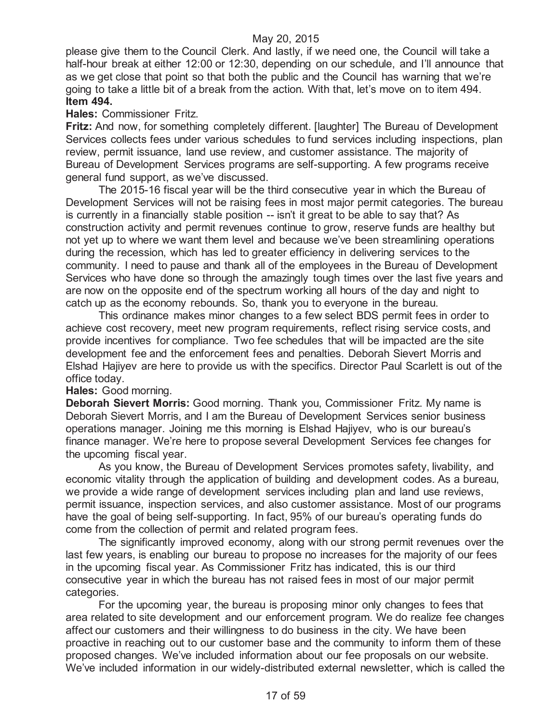please give them to the Council Clerk. And lastly, if we need one, the Council will take a half-hour break at either 12:00 or 12:30, depending on our schedule, and I'll announce that as we get close that point so that both the public and the Council has warning that we're going to take a little bit of a break from the action. With that, let's move on to item 494. **Item 494.**

#### **Hales:** Commissioner Fritz.

**Fritz:** And now, for something completely different. [laughter] The Bureau of Development Services collects fees under various schedules to fund services including inspections, plan review, permit issuance, land use review, and customer assistance. The majority of Bureau of Development Services programs are self-supporting. A few programs receive general fund support, as we've discussed.

The 2015-16 fiscal year will be the third consecutive year in which the Bureau of Development Services will not be raising fees in most major permit categories. The bureau is currently in a financially stable position -- isn't it great to be able to say that? As construction activity and permit revenues continue to grow, reserve funds are healthy but not yet up to where we want them level and because we've been streamlining operations during the recession, which has led to greater efficiency in delivering services to the community. I need to pause and thank all of the employees in the Bureau of Development Services who have done so through the amazingly tough times over the last five years and are now on the opposite end of the spectrum working all hours of the day and night to catch up as the economy rebounds. So, thank you to everyone in the bureau.

This ordinance makes minor changes to a few select BDS permit fees in order to achieve cost recovery, meet new program requirements, reflect rising service costs, and provide incentives for compliance. Two fee schedules that will be impacted are the site development fee and the enforcement fees and penalties. Deborah Sievert Morris and Elshad Hajiyev are here to provide us with the specifics. Director Paul Scarlett is out of the office today.

## **Hales:** Good morning.

**Deborah Sievert Morris:** Good morning. Thank you, Commissioner Fritz. My name is Deborah Sievert Morris, and I am the Bureau of Development Services senior business operations manager. Joining me this morning is Elshad Hajiyev, who is our bureau's finance manager. We're here to propose several Development Services fee changes for the upcoming fiscal year.

As you know, the Bureau of Development Services promotes safety, livability, and economic vitality through the application of building and development codes. As a bureau, we provide a wide range of development services including plan and land use reviews, permit issuance, inspection services, and also customer assistance. Most of our programs have the goal of being self-supporting. In fact, 95% of our bureau's operating funds do come from the collection of permit and related program fees.

The significantly improved economy, along with our strong permit revenues over the last few years, is enabling our bureau to propose no increases for the majority of our fees in the upcoming fiscal year. As Commissioner Fritz has indicated, this is our third consecutive year in which the bureau has not raised fees in most of our major permit categories.

For the upcoming year, the bureau is proposing minor only changes to fees that area related to site development and our enforcement program. We do realize fee changes affect our customers and their willingness to do business in the city. We have been proactive in reaching out to our customer base and the community to inform them of these proposed changes. We've included information about our fee proposals on our website. We've included information in our widely-distributed external newsletter, which is called the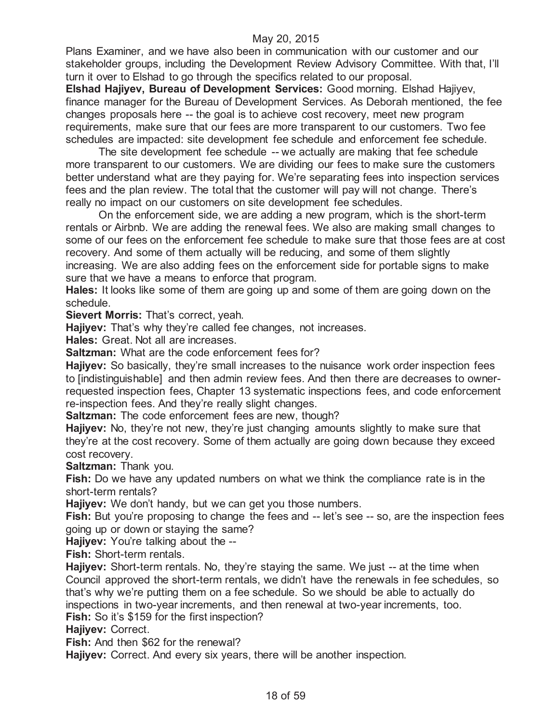Plans Examiner, and we have also been in communication with our customer and our stakeholder groups, including the Development Review Advisory Committee. With that, I'll turn it over to Elshad to go through the specifics related to our proposal.

**Elshad Hajiyev, Bureau of Development Services:** Good morning. Elshad Hajiyev, finance manager for the Bureau of Development Services. As Deborah mentioned, the fee changes proposals here -- the goal is to achieve cost recovery, meet new program requirements, make sure that our fees are more transparent to our customers. Two fee schedules are impacted: site development fee schedule and enforcement fee schedule.

The site development fee schedule -- we actually are making that fee schedule more transparent to our customers. We are dividing our fees to make sure the customers better understand what are they paying for. We're separating fees into inspection services fees and the plan review. The total that the customer will pay will not change. There's really no impact on our customers on site development fee schedules.

On the enforcement side, we are adding a new program, which is the short-term rentals or Airbnb. We are adding the renewal fees. We also are making small changes to some of our fees on the enforcement fee schedule to make sure that those fees are at cost recovery. And some of them actually will be reducing, and some of them slightly increasing. We are also adding fees on the enforcement side for portable signs to make sure that we have a means to enforce that program.

**Hales:** It looks like some of them are going up and some of them are going down on the schedule.

**Sievert Morris:** That's correct, yeah.

**Hajiyev:** That's why they're called fee changes, not increases.

**Hales:** Great. Not all are increases.

**Saltzman:** What are the code enforcement fees for?

**Hajiyev:** So basically, they're small increases to the nuisance work order inspection fees to [indistinguishable] and then admin review fees. And then there are decreases to ownerrequested inspection fees, Chapter 13 systematic inspections fees, and code enforcement re-inspection fees. And they're really slight changes.

**Saltzman:** The code enforcement fees are new, though?

**Hajiyev:** No, they're not new, they're just changing amounts slightly to make sure that they're at the cost recovery. Some of them actually are going down because they exceed cost recovery.

**Saltzman:** Thank you.

**Fish:** Do we have any updated numbers on what we think the compliance rate is in the short-term rentals?

**Hajiyev:** We don't handy, but we can get you those numbers.

**Fish:** But you're proposing to change the fees and -- let's see -- so, are the inspection fees going up or down or staying the same?

**Hajiyev:** You're talking about the --

**Fish:** Short-term rentals.

**Hajiyev:** Short-term rentals. No, they're staying the same. We just -- at the time when Council approved the short-term rentals, we didn't have the renewals in fee schedules, so that's why we're putting them on a fee schedule. So we should be able to actually do inspections in two-year increments, and then renewal at two-year increments, too. **Fish:** So it's \$159 for the first inspection?

**Hajiyev:** Correct.

**Fish:** And then \$62 for the renewal?

**Hajiyev:** Correct. And every six years, there will be another inspection.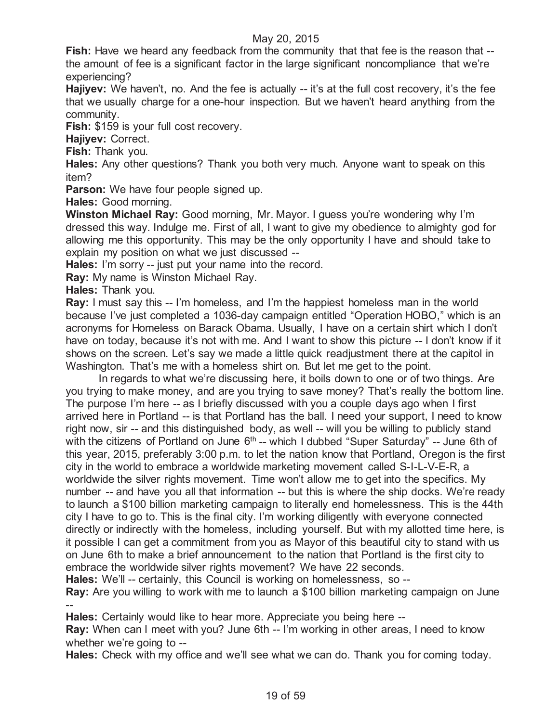**Fish:** Have we heard any feedback from the community that that fee is the reason that - the amount of fee is a significant factor in the large significant noncompliance that we're experiencing?

**Hajiyev:** We haven't, no. And the fee is actually -- it's at the full cost recovery, it's the fee that we usually charge for a one-hour inspection. But we haven't heard anything from the community.

**Fish:** \$159 is your full cost recovery.

**Hajiyev:** Correct.

**Fish:** Thank you.

**Hales:** Any other questions? Thank you both very much. Anyone want to speak on this item?

**Parson:** We have four people signed up.

**Hales:** Good morning.

**Winston Michael Ray:** Good morning, Mr. Mayor. I guess you're wondering why I'm dressed this way. Indulge me. First of all, I want to give my obedience to almighty god for allowing me this opportunity. This may be the only opportunity I have and should take to explain my position on what we just discussed --

**Hales:** I'm sorry -- just put your name into the record.

**Ray:** My name is Winston Michael Ray.

**Hales:** Thank you.

**Ray:** I must say this -- I'm homeless, and I'm the happiest homeless man in the world because I've just completed a 1036-day campaign entitled "Operation HOBO," which is an acronyms for Homeless on Barack Obama. Usually, I have on a certain shirt which I don't have on today, because it's not with me. And I want to show this picture -- I don't know if it shows on the screen. Let's say we made a little quick readjustment there at the capitol in Washington. That's me with a homeless shirt on. But let me get to the point.

In regards to what we're discussing here, it boils down to one or of two things. Are you trying to make money, and are you trying to save money? That's really the bottom line. The purpose I'm here -- as I briefly discussed with you a couple days ago when I first arrived here in Portland -- is that Portland has the ball. I need your support, I need to know right now, sir -- and this distinguished body, as well -- will you be willing to publicly stand with the citizens of Portland on June  $6<sup>th</sup>$ -- which I dubbed "Super Saturday" -- June 6th of this year, 2015, preferably 3:00 p.m. to let the nation know that Portland, Oregon is the first city in the world to embrace a worldwide marketing movement called S-I-L-V-E-R, a worldwide the silver rights movement. Time won't allow me to get into the specifics. My number -- and have you all that information -- but this is where the ship docks. We're ready to launch a \$100 billion marketing campaign to literally end homelessness. This is the 44th city I have to go to. This is the final city. I'm working diligently with everyone connected directly or indirectly with the homeless, including yourself. But with my allotted time here, is it possible I can get a commitment from you as Mayor of this beautiful city to stand with us on June 6th to make a brief announcement to the nation that Portland is the first city to embrace the worldwide silver rights movement? We have 22 seconds.

**Hales:** We'll -- certainly, this Council is working on homelessness, so --

**Ray:** Are you willing to work with me to launch a \$100 billion marketing campaign on June --

**Hales:** Certainly would like to hear more. Appreciate you being here --

**Ray:** When can I meet with you? June 6th -- I'm working in other areas, I need to know whether we're going to --

**Hales:** Check with my office and we'll see what we can do. Thank you for coming today.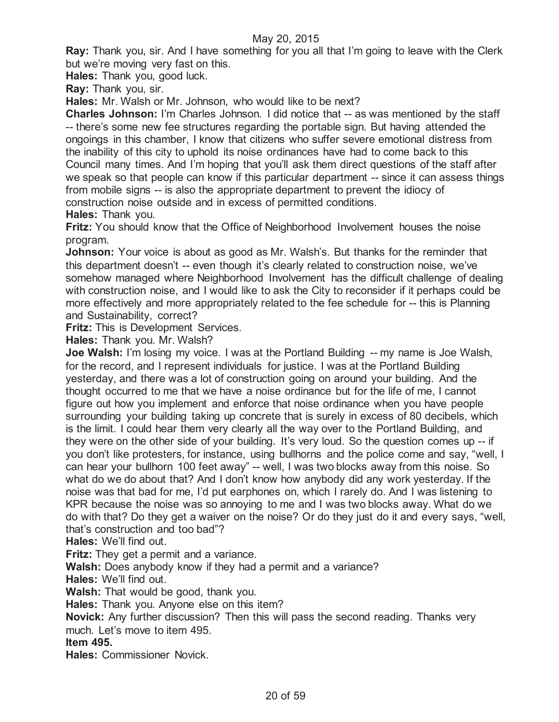**Ray:** Thank you, sir. And I have something for you all that I'm going to leave with the Clerk but we're moving very fast on this.

**Hales:** Thank you, good luck.

**Ray:** Thank you, sir.

**Hales:** Mr. Walsh or Mr. Johnson, who would like to be next?

**Charles Johnson:** I'm Charles Johnson. I did notice that -- as was mentioned by the staff -- there's some new fee structures regarding the portable sign. But having attended the ongoings in this chamber, I know that citizens who suffer severe emotional distress from the inability of this city to uphold its noise ordinances have had to come back to this Council many times. And I'm hoping that you'll ask them direct questions of the staff after we speak so that people can know if this particular department -- since it can assess things from mobile signs -- is also the appropriate department to prevent the idiocy of construction noise outside and in excess of permitted conditions. **Hales:** Thank you.

**Fritz:** You should know that the Office of Neighborhood Involvement houses the noise program.

**Johnson:** Your voice is about as good as Mr. Walsh's. But thanks for the reminder that this department doesn't -- even though it's clearly related to construction noise, we've somehow managed where Neighborhood Involvement has the difficult challenge of dealing with construction noise, and I would like to ask the City to reconsider if it perhaps could be more effectively and more appropriately related to the fee schedule for -- this is Planning and Sustainability, correct?

**Fritz:** This is Development Services.

**Hales:** Thank you. Mr. Walsh?

**Joe Walsh:** I'm losing my voice. I was at the Portland Building -- my name is Joe Walsh, for the record, and I represent individuals for justice. I was at the Portland Building yesterday, and there was a lot of construction going on around your building. And the thought occurred to me that we have a noise ordinance but for the life of me, I cannot figure out how you implement and enforce that noise ordinance when you have people surrounding your building taking up concrete that is surely in excess of 80 decibels, which is the limit. I could hear them very clearly all the way over to the Portland Building, and they were on the other side of your building. It's very loud. So the question comes up -- if you don't like protesters, for instance, using bullhorns and the police come and say, "well, I can hear your bullhorn 100 feet away" -- well, I was two blocks away from this noise. So what do we do about that? And I don't know how anybody did any work yesterday. If the noise was that bad for me, I'd put earphones on, which I rarely do. And I was listening to KPR because the noise was so annoying to me and I was two blocks away. What do we do with that? Do they get a waiver on the noise? Or do they just do it and every says, "well, that's construction and too bad"?

**Hales:** We'll find out.

**Fritz:** They get a permit and a variance.

**Walsh:** Does anybody know if they had a permit and a variance?

**Hales:** We'll find out.

**Walsh:** That would be good, thank you.

**Hales:** Thank you. Anyone else on this item?

**Novick:** Any further discussion? Then this will pass the second reading. Thanks very much. Let's move to item 495.

**Item 495.**

**Hales:** Commissioner Novick.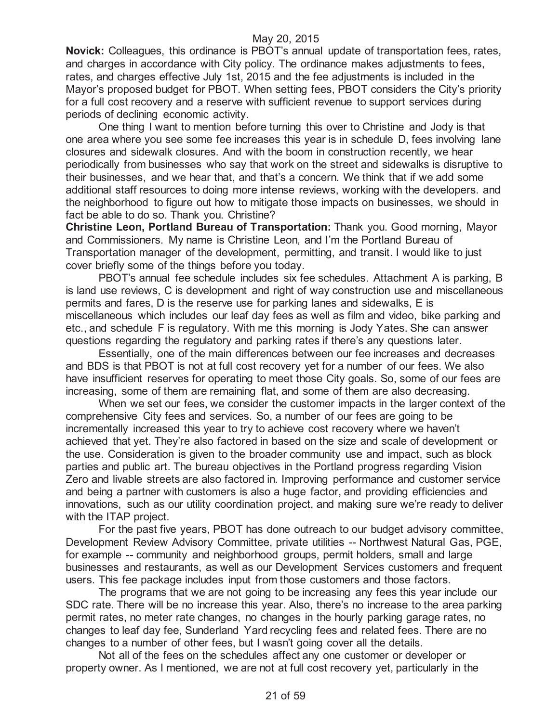**Novick:** Colleagues, this ordinance is PBOT's annual update of transportation fees, rates, and charges in accordance with City policy. The ordinance makes adjustments to fees, rates, and charges effective July 1st, 2015 and the fee adjustments is included in the Mayor's proposed budget for PBOT. When setting fees, PBOT considers the City's priority for a full cost recovery and a reserve with sufficient revenue to support services during periods of declining economic activity.

One thing I want to mention before turning this over to Christine and Jody is that one area where you see some fee increases this year is in schedule D, fees involving lane closures and sidewalk closures. And with the boom in construction recently, we hear periodically from businesses who say that work on the street and sidewalks is disruptive to their businesses, and we hear that, and that's a concern. We think that if we add some additional staff resources to doing more intense reviews, working with the developers. and the neighborhood to figure out how to mitigate those impacts on businesses, we should in fact be able to do so. Thank you. Christine?

**Christine Leon, Portland Bureau of Transportation:** Thank you. Good morning, Mayor and Commissioners. My name is Christine Leon, and I'm the Portland Bureau of Transportation manager of the development, permitting, and transit. I would like to just cover briefly some of the things before you today.

PBOT's annual fee schedule includes six fee schedules. Attachment A is parking, B is land use reviews, C is development and right of way construction use and miscellaneous permits and fares, D is the reserve use for parking lanes and sidewalks, E is miscellaneous which includes our leaf day fees as well as film and video, bike parking and etc., and schedule F is regulatory. With me this morning is Jody Yates. She can answer questions regarding the regulatory and parking rates if there's any questions later.

Essentially, one of the main differences between our fee increases and decreases and BDS is that PBOT is not at full cost recovery yet for a number of our fees. We also have insufficient reserves for operating to meet those City goals. So, some of our fees are increasing, some of them are remaining flat, and some of them are also decreasing.

When we set our fees, we consider the customer impacts in the larger context of the comprehensive City fees and services. So, a number of our fees are going to be incrementally increased this year to try to achieve cost recovery where we haven't achieved that yet. They're also factored in based on the size and scale of development or the use. Consideration is given to the broader community use and impact, such as block parties and public art. The bureau objectives in the Portland progress regarding Vision Zero and livable streets are also factored in. Improving performance and customer service and being a partner with customers is also a huge factor, and providing efficiencies and innovations, such as our utility coordination project, and making sure we're ready to deliver with the ITAP project.

For the past five years, PBOT has done outreach to our budget advisory committee, Development Review Advisory Committee, private utilities -- Northwest Natural Gas, PGE, for example -- community and neighborhood groups, permit holders, small and large businesses and restaurants, as well as our Development Services customers and frequent users. This fee package includes input from those customers and those factors.

The programs that we are not going to be increasing any fees this year include our SDC rate. There will be no increase this year. Also, there's no increase to the area parking permit rates, no meter rate changes, no changes in the hourly parking garage rates, no changes to leaf day fee, Sunderland Yard recycling fees and related fees. There are no changes to a number of other fees, but I wasn't going cover all the details.

Not all of the fees on the schedules affect any one customer or developer or property owner. As I mentioned, we are not at full cost recovery yet, particularly in the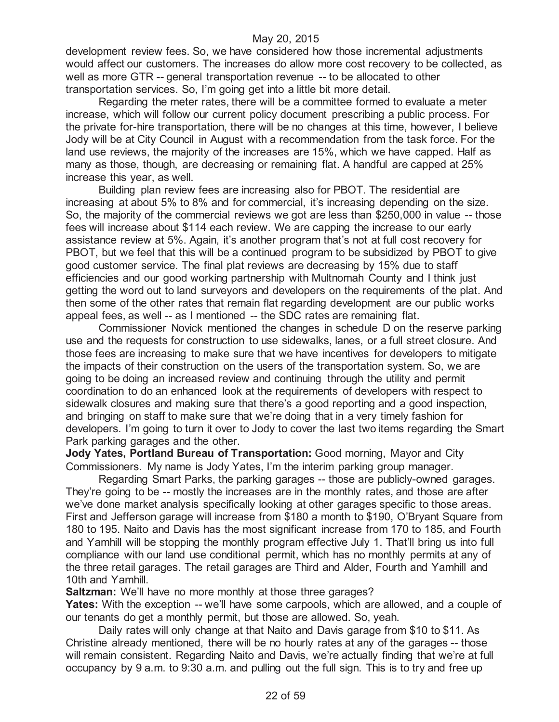development review fees. So, we have considered how those incremental adjustments would affect our customers. The increases do allow more cost recovery to be collected, as well as more GTR -- general transportation revenue -- to be allocated to other transportation services. So, I'm going get into a little bit more detail.

Regarding the meter rates, there will be a committee formed to evaluate a meter increase, which will follow our current policy document prescribing a public process. For the private for-hire transportation, there will be no changes at this time, however, I believe Jody will be at City Council in August with a recommendation from the task force. For the land use reviews, the majority of the increases are 15%, which we have capped. Half as many as those, though, are decreasing or remaining flat. A handful are capped at 25% increase this year, as well.

Building plan review fees are increasing also for PBOT. The residential are increasing at about 5% to 8% and for commercial, it's increasing depending on the size. So, the majority of the commercial reviews we got are less than \$250,000 in value -- those fees will increase about \$114 each review. We are capping the increase to our early assistance review at 5%. Again, it's another program that's not at full cost recovery for PBOT, but we feel that this will be a continued program to be subsidized by PBOT to give good customer service. The final plat reviews are decreasing by 15% due to staff efficiencies and our good working partnership with Multnomah County and I think just getting the word out to land surveyors and developers on the requirements of the plat. And then some of the other rates that remain flat regarding development are our public works appeal fees, as well -- as I mentioned -- the SDC rates are remaining flat.

Commissioner Novick mentioned the changes in schedule D on the reserve parking use and the requests for construction to use sidewalks, lanes, or a full street closure. And those fees are increasing to make sure that we have incentives for developers to mitigate the impacts of their construction on the users of the transportation system. So, we are going to be doing an increased review and continuing through the utility and permit coordination to do an enhanced look at the requirements of developers with respect to sidewalk closures and making sure that there's a good reporting and a good inspection, and bringing on staff to make sure that we're doing that in a very timely fashion for developers. I'm going to turn it over to Jody to cover the last two items regarding the Smart Park parking garages and the other.

**Jody Yates, Portland Bureau of Transportation:** Good morning, Mayor and City Commissioners. My name is Jody Yates, I'm the interim parking group manager.

Regarding Smart Parks, the parking garages -- those are publicly-owned garages. They're going to be -- mostly the increases are in the monthly rates, and those are after we've done market analysis specifically looking at other garages specific to those areas. First and Jefferson garage will increase from \$180 a month to \$190, O'Bryant Square from 180 to 195. Naito and Davis has the most significant increase from 170 to 185, and Fourth and Yamhill will be stopping the monthly program effective July 1. That'll bring us into full compliance with our land use conditional permit, which has no monthly permits at any of the three retail garages. The retail garages are Third and Alder, Fourth and Yamhill and 10th and Yamhill.

**Saltzman:** We'll have no more monthly at those three garages?

**Yates:** With the exception -- we'll have some carpools, which are allowed, and a couple of our tenants do get a monthly permit, but those are allowed. So, yeah.

Daily rates will only change at that Naito and Davis garage from \$10 to \$11. As Christine already mentioned, there will be no hourly rates at any of the garages -- those will remain consistent. Regarding Naito and Davis, we're actually finding that we're at full occupancy by 9 a.m. to 9:30 a.m. and pulling out the full sign. This is to try and free up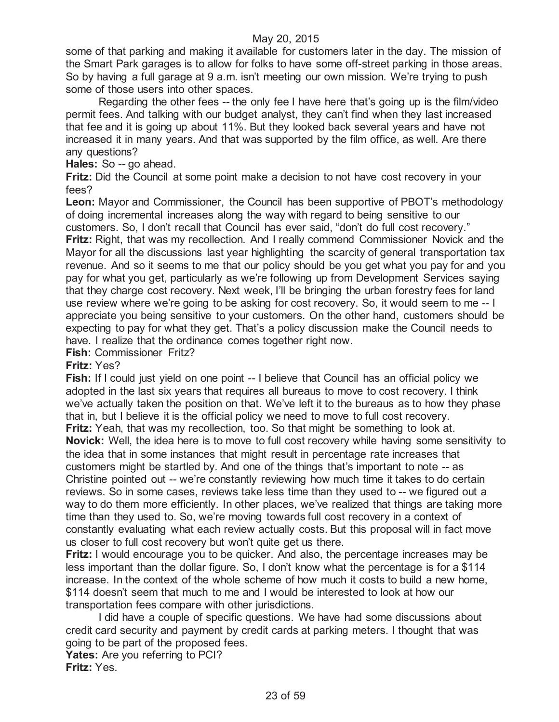some of that parking and making it available for customers later in the day. The mission of the Smart Park garages is to allow for folks to have some off-street parking in those areas. So by having a full garage at 9 a.m. isn't meeting our own mission. We're trying to push some of those users into other spaces.

Regarding the other fees -- the only fee I have here that's going up is the film/video permit fees. And talking with our budget analyst, they can't find when they last increased that fee and it is going up about 11%. But they looked back several years and have not increased it in many years. And that was supported by the film office, as well. Are there any questions?

**Hales:** So -- go ahead.

**Fritz:** Did the Council at some point make a decision to not have cost recovery in your fees?

**Leon:** Mayor and Commissioner, the Council has been supportive of PBOT's methodology of doing incremental increases along the way with regard to being sensitive to our customers. So, I don't recall that Council has ever said, "don't do full cost recovery." **Fritz:** Right, that was my recollection. And I really commend Commissioner Novick and the Mayor for all the discussions last year highlighting the scarcity of general transportation tax revenue. And so it seems to me that our policy should be you get what you pay for and you pay for what you get, particularly as we're following up from Development Services saying that they charge cost recovery. Next week, I'll be bringing the urban forestry fees for land use review where we're going to be asking for cost recovery. So, it would seem to me -- I appreciate you being sensitive to your customers. On the other hand, customers should be expecting to pay for what they get. That's a policy discussion make the Council needs to have. I realize that the ordinance comes together right now.

**Fish:** Commissioner Fritz?

#### **Fritz:** Yes?

**Fish:** If I could just yield on one point -- I believe that Council has an official policy we adopted in the last six years that requires all bureaus to move to cost recovery. I think we've actually taken the position on that. We've left it to the bureaus as to how they phase that in, but I believe it is the official policy we need to move to full cost recovery. **Fritz:** Yeah, that was my recollection, too. So that might be something to look at. **Novick:** Well, the idea here is to move to full cost recovery while having some sensitivity to the idea that in some instances that might result in percentage rate increases that customers might be startled by. And one of the things that's important to note -- as Christine pointed out -- we're constantly reviewing how much time it takes to do certain reviews. So in some cases, reviews take less time than they used to -- we figured out a way to do them more efficiently. In other places, we've realized that things are taking more time than they used to. So, we're moving towards full cost recovery in a context of constantly evaluating what each review actually costs. But this proposal will in fact move us closer to full cost recovery but won't quite get us there.

**Fritz:** I would encourage you to be quicker. And also, the percentage increases may be less important than the dollar figure. So, I don't know what the percentage is for a \$114 increase. In the context of the whole scheme of how much it costs to build a new home, \$114 doesn't seem that much to me and I would be interested to look at how our transportation fees compare with other jurisdictions.

I did have a couple of specific questions. We have had some discussions about credit card security and payment by credit cards at parking meters. I thought that was going to be part of the proposed fees.

**Yates:** Are you referring to PCI? **Fritz:** Yes.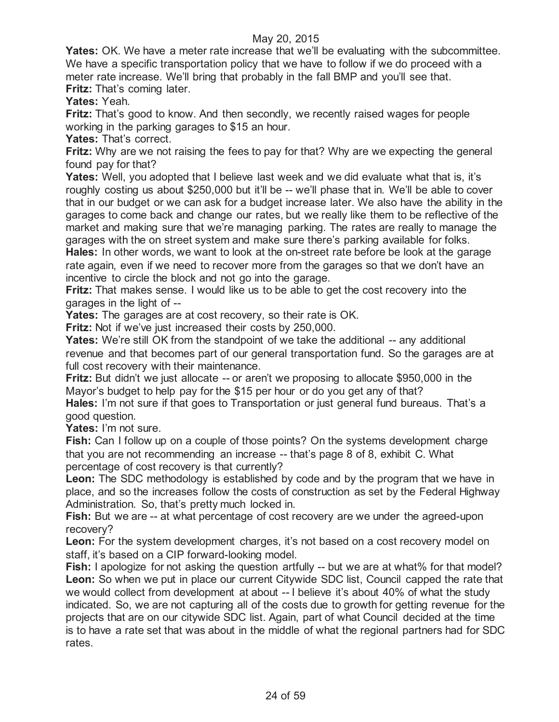**Yates:** OK. We have a meter rate increase that we'll be evaluating with the subcommittee. We have a specific transportation policy that we have to follow if we do proceed with a meter rate increase. We'll bring that probably in the fall BMP and you'll see that. **Fritz:** That's coming later.

**Yates:** Yeah.

**Fritz:** That's good to know. And then secondly, we recently raised wages for people working in the parking garages to \$15 an hour.

**Yates:** That's correct.

**Fritz:** Why are we not raising the fees to pay for that? Why are we expecting the general found pay for that?

**Yates:** Well, you adopted that I believe last week and we did evaluate what that is, it's roughly costing us about \$250,000 but it'll be -- we'll phase that in. We'll be able to cover that in our budget or we can ask for a budget increase later. We also have the ability in the garages to come back and change our rates, but we really like them to be reflective of the market and making sure that we're managing parking. The rates are really to manage the garages with the on street system and make sure there's parking available for folks. **Hales:** In other words, we want to look at the on-street rate before be look at the garage

rate again, even if we need to recover more from the garages so that we don't have an incentive to circle the block and not go into the garage.

**Fritz:** That makes sense. I would like us to be able to get the cost recovery into the garages in the light of --

**Yates:** The garages are at cost recovery, so their rate is OK.

**Fritz:** Not if we've just increased their costs by 250,000.

**Yates:** We're still OK from the standpoint of we take the additional -- any additional revenue and that becomes part of our general transportation fund. So the garages are at full cost recovery with their maintenance.

**Fritz:** But didn't we just allocate -- or aren't we proposing to allocate \$950,000 in the Mayor's budget to help pay for the \$15 per hour or do you get any of that?

**Hales:** I'm not sure if that goes to Transportation or just general fund bureaus. That's a good question.

**Yates:** I'm not sure.

**Fish:** Can I follow up on a couple of those points? On the systems development charge that you are not recommending an increase -- that's page 8 of 8, exhibit C. What percentage of cost recovery is that currently?

**Leon:** The SDC methodology is established by code and by the program that we have in place, and so the increases follow the costs of construction as set by the Federal Highway Administration. So, that's pretty much locked in.

**Fish:** But we are -- at what percentage of cost recovery are we under the agreed-upon recovery?

**Leon:** For the system development charges, it's not based on a cost recovery model on staff, it's based on a CIP forward-looking model.

**Fish:** I apologize for not asking the question artfully -- but we are at what% for that model? **Leon:** So when we put in place our current Citywide SDC list, Council capped the rate that we would collect from development at about -- I believe it's about 40% of what the study indicated. So, we are not capturing all of the costs due to growth for getting revenue for the projects that are on our citywide SDC list. Again, part of what Council decided at the time is to have a rate set that was about in the middle of what the regional partners had for SDC rates.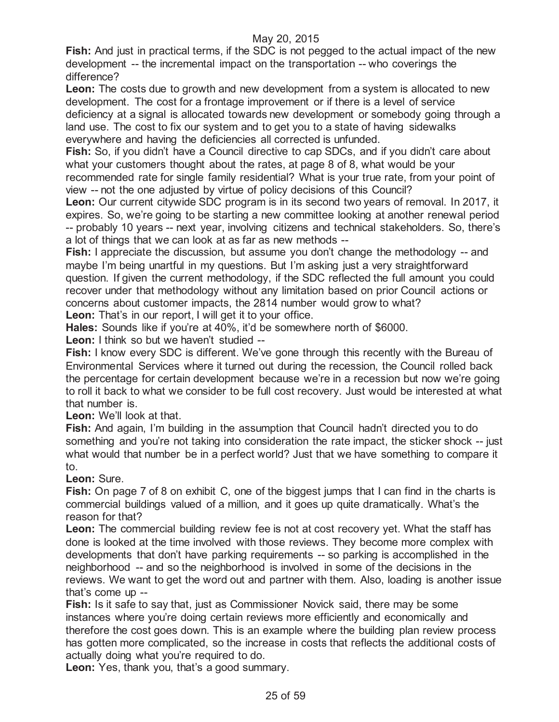**Fish:** And just in practical terms, if the SDC is not pegged to the actual impact of the new development -- the incremental impact on the transportation -- who coverings the difference?

**Leon:** The costs due to growth and new development from a system is allocated to new development. The cost for a frontage improvement or if there is a level of service deficiency at a signal is allocated towards new development or somebody going through a land use. The cost to fix our system and to get you to a state of having sidewalks everywhere and having the deficiencies all corrected is unfunded.

**Fish:** So, if you didn't have a Council directive to cap SDCs, and if you didn't care about what your customers thought about the rates, at page 8 of 8, what would be your recommended rate for single family residential? What is your true rate, from your point of

view -- not the one adjusted by virtue of policy decisions of this Council? **Leon:** Our current citywide SDC program is in its second two years of removal. In 2017, it expires. So, we're going to be starting a new committee looking at another renewal period -- probably 10 years -- next year, involving citizens and technical stakeholders. So, there's a lot of things that we can look at as far as new methods --

**Fish:** I appreciate the discussion, but assume you don't change the methodology -- and maybe I'm being unartful in my questions. But I'm asking just a very straightforward question. If given the current methodology, if the SDC reflected the full amount you could recover under that methodology without any limitation based on prior Council actions or concerns about customer impacts, the 2814 number would grow to what?

Leon: That's in our report, I will get it to your office.

**Hales:** Sounds like if you're at 40%, it'd be somewhere north of \$6000. **Leon:** I think so but we haven't studied --

**Fish:** I know every SDC is different. We've gone through this recently with the Bureau of Environmental Services where it turned out during the recession, the Council rolled back the percentage for certain development because we're in a recession but now we're going to roll it back to what we consider to be full cost recovery. Just would be interested at what that number is.

**Leon:** We'll look at that.

**Fish:** And again, I'm building in the assumption that Council hadn't directed you to do something and you're not taking into consideration the rate impact, the sticker shock -- just what would that number be in a perfect world? Just that we have something to compare it to.

## **Leon:** Sure.

Fish: On page 7 of 8 on exhibit C, one of the biggest jumps that I can find in the charts is commercial buildings valued of a million, and it goes up quite dramatically. What's the reason for that?

**Leon:** The commercial building review fee is not at cost recovery yet. What the staff has done is looked at the time involved with those reviews. They become more complex with developments that don't have parking requirements -- so parking is accomplished in the neighborhood -- and so the neighborhood is involved in some of the decisions in the reviews. We want to get the word out and partner with them. Also, loading is another issue that's come up --

**Fish:** Is it safe to say that, just as Commissioner Novick said, there may be some instances where you're doing certain reviews more efficiently and economically and therefore the cost goes down. This is an example where the building plan review process has gotten more complicated, so the increase in costs that reflects the additional costs of actually doing what you're required to do.

**Leon:** Yes, thank you, that's a good summary.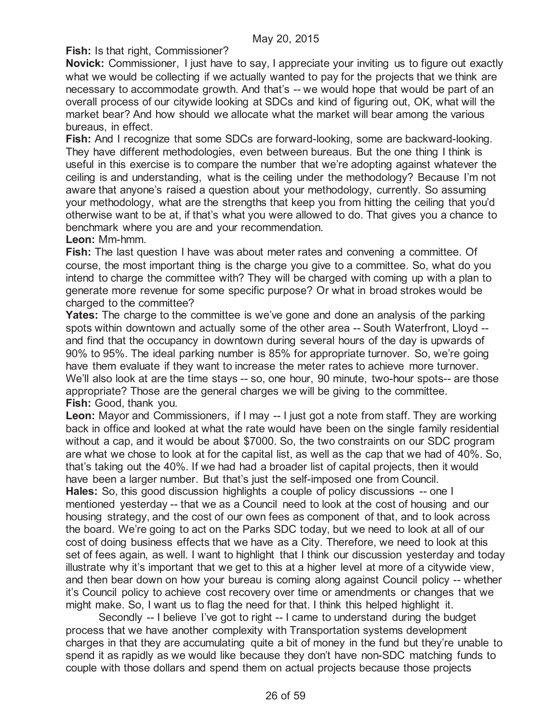**Fish:** Is that right, Commissioner?

**Novick:** Commissioner, I just have to say, I appreciate your inviting us to figure out exactly what we would be collecting if we actually wanted to pay for the projects that we think are necessary to accommodate growth. And that's -- we would hope that would be part of an overall process of our citywide looking at SDCs and kind of figuring out, OK, what will the market bear? And how should we allocate what the market will bear among the various bureaus, in effect.

**Fish:** And I recognize that some SDCs are forward-looking, some are backward-looking. They have different methodologies, even between bureaus. But the one thing I think is useful in this exercise is to compare the number that we're adopting against whatever the ceiling is and understanding, what is the ceiling under the methodology? Because I'm not aware that anyone's raised a question about your methodology, currently. So assuming your methodology, what are the strengths that keep you from hitting the ceiling that you'd otherwise want to be at, if that's what you were allowed to do. That gives you a chance to benchmark where you are and your recommendation.

**Leon:** Mm-hmm.

**Fish:** The last question I have was about meter rates and convening a committee. Of course, the most important thing is the charge you give to a committee. So, what do you intend to charge the committee with? They will be charged with coming up with a plan to generate more revenue for some specific purpose? Or what in broad strokes would be charged to the committee?

**Yates:** The charge to the committee is we've gone and done an analysis of the parking spots within downtown and actually some of the other area -- South Waterfront, Lloyd - and find that the occupancy in downtown during several hours of the day is upwards of 90% to 95%. The ideal parking number is 85% for appropriate turnover. So, we're going have them evaluate if they want to increase the meter rates to achieve more turnover. We'll also look at are the time stays -- so, one hour, 90 minute, two-hour spots-- are those appropriate? Those are the general charges we will be giving to the committee. **Fish:** Good, thank you.

**Leon:** Mayor and Commissioners, if I may -- I just got a note from staff. They are working back in office and looked at what the rate would have been on the single family residential without a cap, and it would be about \$7000. So, the two constraints on our SDC program are what we chose to look at for the capital list, as well as the cap that we had of 40%. So, that's taking out the 40%. If we had had a broader list of capital projects, then it would have been a larger number. But that's just the self-imposed one from Council. **Hales:** So, this good discussion highlights a couple of policy discussions -- one I mentioned yesterday -- that we as a Council need to look at the cost of housing and our housing strategy, and the cost of our own fees as component of that, and to look across the board. We're going to act on the Parks SDC today, but we need to look at all of our cost of doing business effects that we have as a City. Therefore, we need to look at this set of fees again, as well. I want to highlight that I think our discussion yesterday and today illustrate why it's important that we get to this at a higher level at more of a citywide view, and then bear down on how your bureau is coming along against Council policy -- whether it's Council policy to achieve cost recovery over time or amendments or changes that we might make. So, I want us to flag the need for that. I think this helped highlight it.

Secondly -- I believe I've got to right -- I came to understand during the budget process that we have another complexity with Transportation systems development charges in that they are accumulating quite a bit of money in the fund but they're unable to spend it as rapidly as we would like because they don't have non-SDC matching funds to couple with those dollars and spend them on actual projects because those projects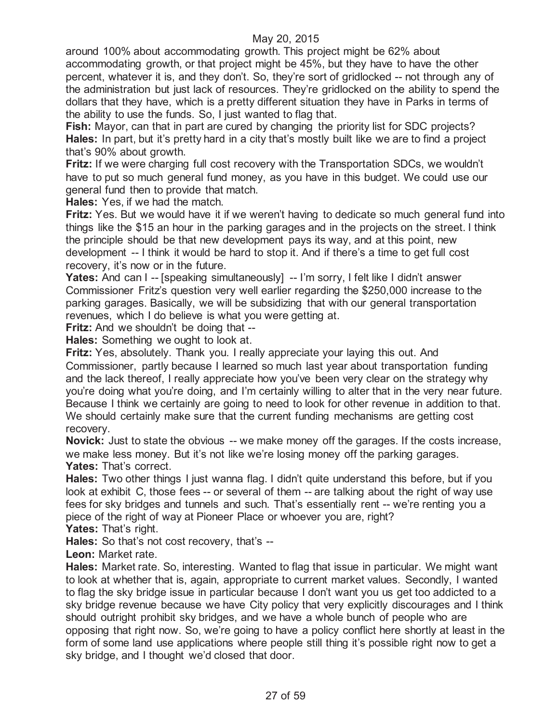around 100% about accommodating growth. This project might be 62% about accommodating growth, or that project might be 45%, but they have to have the other percent, whatever it is, and they don't. So, they're sort of gridlocked -- not through any of the administration but just lack of resources. They're gridlocked on the ability to spend the dollars that they have, which is a pretty different situation they have in Parks in terms of the ability to use the funds. So, I just wanted to flag that.

**Fish:** Mayor, can that in part are cured by changing the priority list for SDC projects? **Hales:** In part, but it's pretty hard in a city that's mostly built like we are to find a project that's 90% about growth.

**Fritz:** If we were charging full cost recovery with the Transportation SDCs, we wouldn't have to put so much general fund money, as you have in this budget. We could use our general fund then to provide that match.

**Hales:** Yes, if we had the match.

**Fritz:** Yes. But we would have it if we weren't having to dedicate so much general fund into things like the \$15 an hour in the parking garages and in the projects on the street. I think the principle should be that new development pays its way, and at this point, new development -- I think it would be hard to stop it. And if there's a time to get full cost recovery, it's now or in the future.

Yates: And can I -- [speaking simultaneously] -- I'm sorry, I felt like I didn't answer Commissioner Fritz's question very well earlier regarding the \$250,000 increase to the parking garages. Basically, we will be subsidizing that with our general transportation revenues, which I do believe is what you were getting at.

**Fritz:** And we shouldn't be doing that --

**Hales:** Something we ought to look at.

**Fritz:** Yes, absolutely. Thank you. I really appreciate your laying this out. And Commissioner, partly because I learned so much last year about transportation funding and the lack thereof, I really appreciate how you've been very clear on the strategy why you're doing what you're doing, and I'm certainly willing to alter that in the very near future. Because I think we certainly are going to need to look for other revenue in addition to that. We should certainly make sure that the current funding mechanisms are getting cost recovery.

**Novick:** Just to state the obvious -- we make money off the garages. If the costs increase, we make less money. But it's not like we're losing money off the parking garages. Yates: That's correct.

**Hales:** Two other things I just wanna flag. I didn't quite understand this before, but if you look at exhibit C, those fees -- or several of them -- are talking about the right of way use fees for sky bridges and tunnels and such. That's essentially rent -- we're renting you a piece of the right of way at Pioneer Place or whoever you are, right?

**Yates:** That's right.

**Hales:** So that's not cost recovery, that's --

**Leon:** Market rate.

**Hales:** Market rate. So, interesting. Wanted to flag that issue in particular. We might want to look at whether that is, again, appropriate to current market values. Secondly, I wanted to flag the sky bridge issue in particular because I don't want you us get too addicted to a sky bridge revenue because we have City policy that very explicitly discourages and I think should outright prohibit sky bridges, and we have a whole bunch of people who are opposing that right now. So, we're going to have a policy conflict here shortly at least in the form of some land use applications where people still thing it's possible right now to get a sky bridge, and I thought we'd closed that door.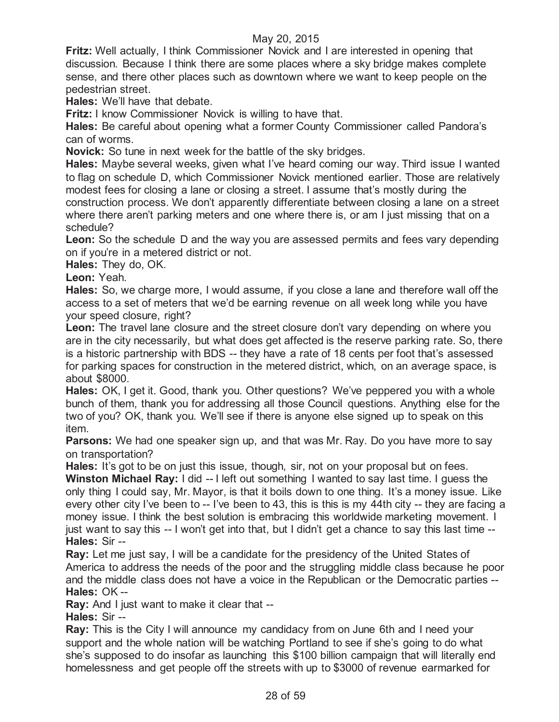**Fritz:** Well actually, I think Commissioner Novick and I are interested in opening that discussion. Because I think there are some places where a sky bridge makes complete sense, and there other places such as downtown where we want to keep people on the pedestrian street.

**Hales:** We'll have that debate.

**Fritz:** I know Commissioner Novick is willing to have that.

**Hales:** Be careful about opening what a former County Commissioner called Pandora's can of worms.

**Novick:** So tune in next week for the battle of the sky bridges.

**Hales:** Maybe several weeks, given what I've heard coming our way. Third issue I wanted to flag on schedule D, which Commissioner Novick mentioned earlier. Those are relatively modest fees for closing a lane or closing a street. I assume that's mostly during the construction process. We don't apparently differentiate between closing a lane on a street where there aren't parking meters and one where there is, or am I just missing that on a schedule?

**Leon:** So the schedule D and the way you are assessed permits and fees vary depending on if you're in a metered district or not.

**Hales:** They do, OK.

**Leon:** Yeah.

**Hales:** So, we charge more, I would assume, if you close a lane and therefore wall off the access to a set of meters that we'd be earning revenue on all week long while you have your speed closure, right?

**Leon:** The travel lane closure and the street closure don't vary depending on where you are in the city necessarily, but what does get affected is the reserve parking rate. So, there is a historic partnership with BDS -- they have a rate of 18 cents per foot that's assessed for parking spaces for construction in the metered district, which, on an average space, is about \$8000.

Hales: OK, I get it. Good, thank you. Other questions? We've peppered you with a whole bunch of them, thank you for addressing all those Council questions. Anything else for the two of you? OK, thank you. We'll see if there is anyone else signed up to speak on this item.

**Parsons:** We had one speaker sign up, and that was Mr. Ray. Do you have more to say on transportation?

**Hales:** It's got to be on just this issue, though, sir, not on your proposal but on fees.

**Winston Michael Ray:** I did -- I left out something I wanted to say last time. I guess the only thing I could say, Mr. Mayor, is that it boils down to one thing. It's a money issue. Like every other city I've been to -- I've been to 43, this is this is my 44th city -- they are facing a money issue. I think the best solution is embracing this worldwide marketing movement. I just want to say this -- I won't get into that, but I didn't get a chance to say this last time -- **Hales:** Sir --

**Ray:** Let me just say, I will be a candidate for the presidency of the United States of America to address the needs of the poor and the struggling middle class because he poor and the middle class does not have a voice in the Republican or the Democratic parties -- **Hales:** OK --

**Ray:** And I just want to make it clear that --

**Hales:** Sir --

**Ray:** This is the City I will announce my candidacy from on June 6th and I need your support and the whole nation will be watching Portland to see if she's going to do what she's supposed to do insofar as launching this \$100 billion campaign that will literally end homelessness and get people off the streets with up to \$3000 of revenue earmarked for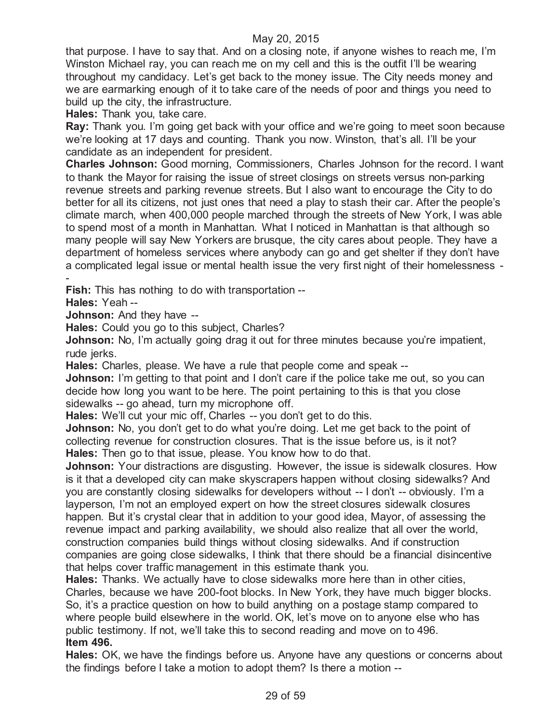that purpose. I have to say that. And on a closing note, if anyone wishes to reach me, I'm Winston Michael ray, you can reach me on my cell and this is the outfit I'll be wearing throughout my candidacy. Let's get back to the money issue. The City needs money and we are earmarking enough of it to take care of the needs of poor and things you need to build up the city, the infrastructure.

**Hales:** Thank you, take care.

**Ray:** Thank you. I'm going get back with your office and we're going to meet soon because we're looking at 17 days and counting. Thank you now. Winston, that's all. I'll be your candidate as an independent for president.

**Charles Johnson:** Good morning, Commissioners, Charles Johnson for the record. I want to thank the Mayor for raising the issue of street closings on streets versus non-parking revenue streets and parking revenue streets. But I also want to encourage the City to do better for all its citizens, not just ones that need a play to stash their car. After the people's climate march, when 400,000 people marched through the streets of New York, I was able to spend most of a month in Manhattan. What I noticed in Manhattan is that although so many people will say New Yorkers are brusque, the city cares about people. They have a department of homeless services where anybody can go and get shelter if they don't have a complicated legal issue or mental health issue the very first night of their homelessness - -

**Fish:** This has nothing to do with transportation --

**Hales:** Yeah --

**Johnson:** And they have --

**Hales:** Could you go to this subject, Charles?

**Johnson:** No, I'm actually going drag it out for three minutes because you're impatient, rude *jerks*.

**Hales:** Charles, please. We have a rule that people come and speak --

**Johnson:** I'm getting to that point and I don't care if the police take me out, so you can decide how long you want to be here. The point pertaining to this is that you close sidewalks -- go ahead, turn my microphone off.

**Hales:** We'll cut your mic off, Charles -- you don't get to do this.

**Johnson:** No, you don't get to do what you're doing. Let me get back to the point of collecting revenue for construction closures. That is the issue before us, is it not? **Hales:** Then go to that issue, please. You know how to do that.

**Johnson:** Your distractions are disgusting. However, the issue is sidewalk closures. How is it that a developed city can make skyscrapers happen without closing sidewalks? And you are constantly closing sidewalks for developers without -- I don't -- obviously. I'm a layperson, I'm not an employed expert on how the street closures sidewalk closures happen. But it's crystal clear that in addition to your good idea, Mayor, of assessing the revenue impact and parking availability, we should also realize that all over the world, construction companies build things without closing sidewalks. And if construction companies are going close sidewalks, I think that there should be a financial disincentive that helps cover traffic management in this estimate thank you.

**Hales:** Thanks. We actually have to close sidewalks more here than in other cities, Charles, because we have 200-foot blocks. In New York, they have much bigger blocks. So, it's a practice question on how to build anything on a postage stamp compared to where people build elsewhere in the world. OK, let's move on to anyone else who has public testimony. If not, we'll take this to second reading and move on to 496. **Item 496.**

**Hales:** OK, we have the findings before us. Anyone have any questions or concerns about the findings before I take a motion to adopt them? Is there a motion --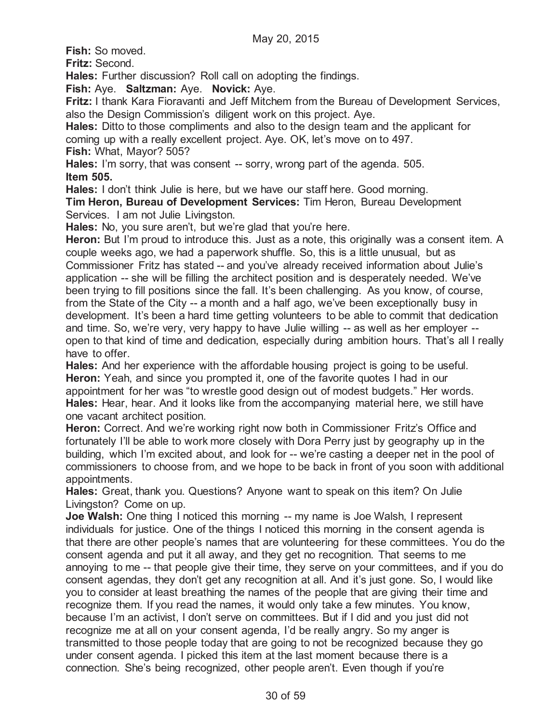**Fish:** So moved.

**Fritz:** Second.

**Hales:** Further discussion? Roll call on adopting the findings.

**Fish:** Aye. **Saltzman:** Aye. **Novick:** Aye.

**Fritz:** I thank Kara Fioravanti and Jeff Mitchem from the Bureau of Development Services, also the Design Commission's diligent work on this project. Aye.

**Hales:** Ditto to those compliments and also to the design team and the applicant for coming up with a really excellent project. Aye. OK, let's move on to 497.

**Fish:** What, Mayor? 505?

**Hales:** I'm sorry, that was consent -- sorry, wrong part of the agenda. 505. **Item 505.**

**Hales:** I don't think Julie is here, but we have our staff here. Good morning.

**Tim Heron, Bureau of Development Services:** Tim Heron, Bureau Development Services. I am not Julie Livingston.

**Hales:** No, you sure aren't, but we're glad that you're here.

**Heron:** But I'm proud to introduce this. Just as a note, this originally was a consent item. A couple weeks ago, we had a paperwork shuffle. So, this is a little unusual, but as Commissioner Fritz has stated -- and you've already received information about Julie's application -- she will be filling the architect position and is desperately needed. We've been trying to fill positions since the fall. It's been challenging. As you know, of course, from the State of the City -- a month and a half ago, we've been exceptionally busy in development. It's been a hard time getting volunteers to be able to commit that dedication and time. So, we're very, very happy to have Julie willing -- as well as her employer - open to that kind of time and dedication, especially during ambition hours. That's all I really have to offer.

**Hales:** And her experience with the affordable housing project is going to be useful. **Heron:** Yeah, and since you prompted it, one of the favorite quotes I had in our appointment for her was "to wrestle good design out of modest budgets." Her words. **Hales:** Hear, hear. And it looks like from the accompanying material here, we still have one vacant architect position.

**Heron:** Correct. And we're working right now both in Commissioner Fritz's Office and fortunately I'll be able to work more closely with Dora Perry just by geography up in the building, which I'm excited about, and look for -- we're casting a deeper net in the pool of commissioners to choose from, and we hope to be back in front of you soon with additional appointments.

**Hales:** Great, thank you. Questions? Anyone want to speak on this item? On Julie Livingston? Come on up.

**Joe Walsh:** One thing I noticed this morning -- my name is Joe Walsh, I represent individuals for justice. One of the things I noticed this morning in the consent agenda is that there are other people's names that are volunteering for these committees. You do the consent agenda and put it all away, and they get no recognition. That seems to me annoying to me -- that people give their time, they serve on your committees, and if you do consent agendas, they don't get any recognition at all. And it's just gone. So, I would like you to consider at least breathing the names of the people that are giving their time and recognize them. If you read the names, it would only take a few minutes. You know, because I'm an activist, I don't serve on committees. But if I did and you just did not recognize me at all on your consent agenda, I'd be really angry. So my anger is transmitted to those people today that are going to not be recognized because they go under consent agenda. I picked this item at the last moment because there is a connection. She's being recognized, other people aren't. Even though if you're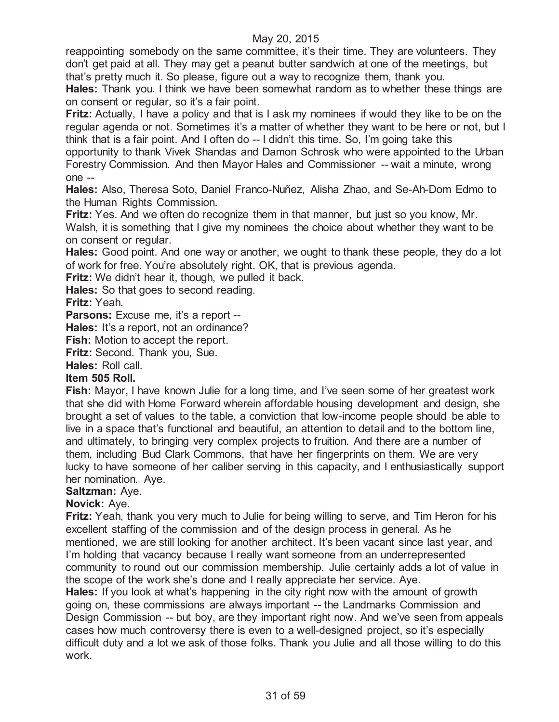reappointing somebody on the same committee, it's their time. They are volunteers. They don't get paid at all. They may get a peanut butter sandwich at one of the meetings, but that's pretty much it. So please, figure out a way to recognize them, thank you.

**Hales:** Thank you. I think we have been somewhat random as to whether these things are on consent or regular, so it's a fair point.

**Fritz:** Actually, I have a policy and that is I ask my nominees if would they like to be on the regular agenda or not. Sometimes it's a matter of whether they want to be here or not, but I think that is a fair point. And I often do -- I didn't this time. So, I'm going take this

opportunity to thank Vivek Shandas and Damon Schrosk who were appointed to the Urban Forestry Commission. And then Mayor Hales and Commissioner -- wait a minute, wrong one --

**Hales:** Also, Theresa Soto, Daniel Franco-Nuñez, Alisha Zhao, and Se-Ah-Dom Edmo to the Human Rights Commission.

**Fritz:** Yes. And we often do recognize them in that manner, but just so you know, Mr. Walsh, it is something that I give my nominees the choice about whether they want to be on consent or regular.

**Hales:** Good point. And one way or another, we ought to thank these people, they do a lot of work for free. You're absolutely right. OK, that is previous agenda.

**Fritz:** We didn't hear it, though, we pulled it back.

**Hales:** So that goes to second reading.

**Fritz:** Yeah.

**Parsons:** Excuse me, it's a report --

**Hales:** It's a report, not an ordinance?

**Fish:** Motion to accept the report.

**Fritz:** Second. Thank you, Sue.

**Hales:** Roll call.

#### **Item 505 Roll.**

**Fish:** Mayor, I have known Julie for a long time, and I've seen some of her greatest work that she did with Home Forward wherein affordable housing development and design, she brought a set of values to the table, a conviction that low-income people should be able to live in a space that's functional and beautiful, an attention to detail and to the bottom line, and ultimately, to bringing very complex projects to fruition. And there are a number of them, including Bud Clark Commons, that have her fingerprints on them. We are very lucky to have someone of her caliber serving in this capacity, and I enthusiastically support her nomination. Aye.

#### **Saltzman:** Aye.

## **Novick:** Aye.

**Fritz:** Yeah, thank you very much to Julie for being willing to serve, and Tim Heron for his excellent staffing of the commission and of the design process in general. As he mentioned, we are still looking for another architect. It's been vacant since last year, and I'm holding that vacancy because I really want someone from an underrepresented community to round out our commission membership. Julie certainly adds a lot of value in the scope of the work she's done and I really appreciate her service. Aye.

**Hales:** If you look at what's happening in the city right now with the amount of growth going on, these commissions are always important -- the Landmarks Commission and Design Commission -- but boy, are they important right now. And we've seen from appeals cases how much controversy there is even to a well-designed project, so it's especially difficult duty and a lot we ask of those folks. Thank you Julie and all those willing to do this work.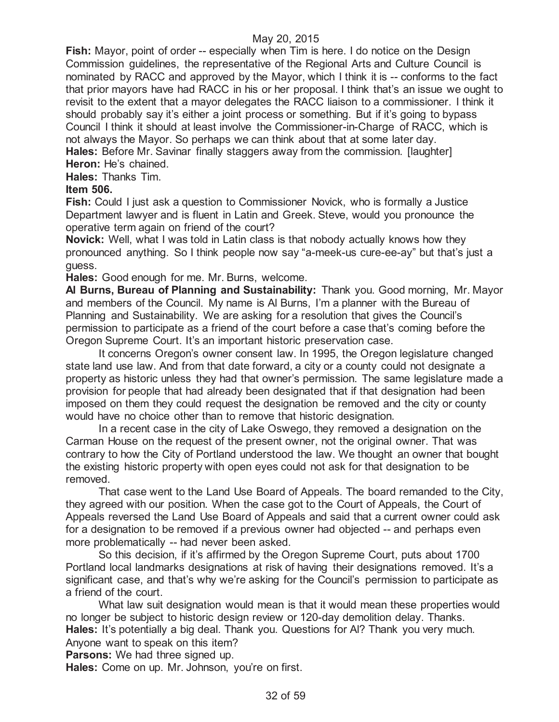**Fish:** Mayor, point of order -- especially when Tim is here. I do notice on the Design Commission guidelines, the representative of the Regional Arts and Culture Council is nominated by RACC and approved by the Mayor, which I think it is -- conforms to the fact that prior mayors have had RACC in his or her proposal. I think that's an issue we ought to revisit to the extent that a mayor delegates the RACC liaison to a commissioner. I think it should probably say it's either a joint process or something. But if it's going to bypass Council I think it should at least involve the Commissioner-in-Charge of RACC, which is not always the Mayor. So perhaps we can think about that at some later day. **Hales:** Before Mr. Savinar finally staggers away from the commission. [laughter]

**Heron:** He's chained.

**Hales:** Thanks Tim.

## **Item 506.**

**Fish:** Could I just ask a question to Commissioner Novick, who is formally a Justice Department lawyer and is fluent in Latin and Greek. Steve, would you pronounce the operative term again on friend of the court?

**Novick:** Well, what I was told in Latin class is that nobody actually knows how they pronounced anything. So I think people now say "a-meek-us cure-ee-ay" but that's just a guess.

**Hales:** Good enough for me. Mr. Burns, welcome.

**Al Burns, Bureau of Planning and Sustainability:** Thank you. Good morning, Mr. Mayor and members of the Council. My name is Al Burns, I'm a planner with the Bureau of Planning and Sustainability. We are asking for a resolution that gives the Council's permission to participate as a friend of the court before a case that's coming before the Oregon Supreme Court. It's an important historic preservation case.

It concerns Oregon's owner consent law. In 1995, the Oregon legislature changed state land use law. And from that date forward, a city or a county could not designate a property as historic unless they had that owner's permission. The same legislature made a provision for people that had already been designated that if that designation had been imposed on them they could request the designation be removed and the city or county would have no choice other than to remove that historic designation.

In a recent case in the city of Lake Oswego, they removed a designation on the Carman House on the request of the present owner, not the original owner. That was contrary to how the City of Portland understood the law. We thought an owner that bought the existing historic property with open eyes could not ask for that designation to be removed.

That case went to the Land Use Board of Appeals. The board remanded to the City, they agreed with our position. When the case got to the Court of Appeals, the Court of Appeals reversed the Land Use Board of Appeals and said that a current owner could ask for a designation to be removed if a previous owner had objected -- and perhaps even more problematically -- had never been asked.

So this decision, if it's affirmed by the Oregon Supreme Court, puts about 1700 Portland local landmarks designations at risk of having their designations removed. It's a significant case, and that's why we're asking for the Council's permission to participate as a friend of the court.

What law suit designation would mean is that it would mean these properties would no longer be subject to historic design review or 120-day demolition delay. Thanks. **Hales:** It's potentially a big deal. Thank you. Questions for Al? Thank you very much. Anyone want to speak on this item?

**Parsons:** We had three signed up.

**Hales:** Come on up. Mr. Johnson, you're on first.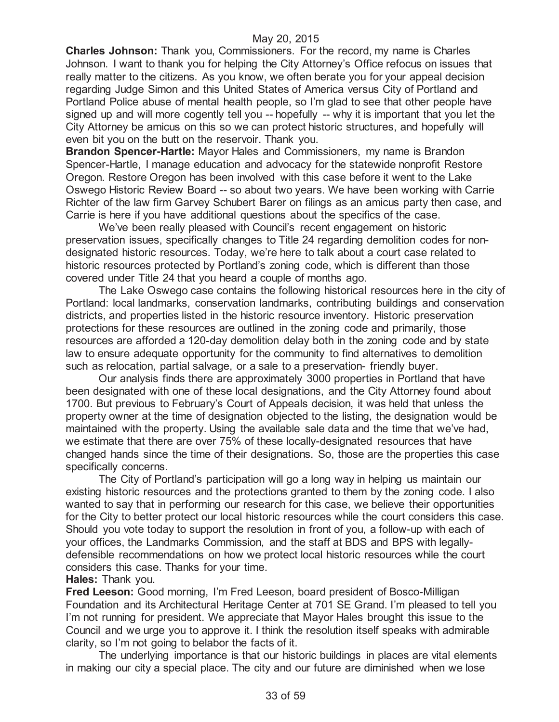**Charles Johnson:** Thank you, Commissioners. For the record, my name is Charles Johnson. I want to thank you for helping the City Attorney's Office refocus on issues that really matter to the citizens. As you know, we often berate you for your appeal decision regarding Judge Simon and this United States of America versus City of Portland and Portland Police abuse of mental health people, so I'm glad to see that other people have signed up and will more cogently tell you -- hopefully -- why it is important that you let the City Attorney be amicus on this so we can protect historic structures, and hopefully will even bit you on the butt on the reservoir. Thank you.

**Brandon Spencer-Hartle:** Mayor Hales and Commissioners, my name is Brandon Spencer-Hartle, I manage education and advocacy for the statewide nonprofit Restore Oregon. Restore Oregon has been involved with this case before it went to the Lake Oswego Historic Review Board -- so about two years. We have been working with Carrie Richter of the law firm Garvey Schubert Barer on filings as an amicus party then case, and Carrie is here if you have additional questions about the specifics of the case.

We've been really pleased with Council's recent engagement on historic preservation issues, specifically changes to Title 24 regarding demolition codes for nondesignated historic resources. Today, we're here to talk about a court case related to historic resources protected by Portland's zoning code, which is different than those covered under Title 24 that you heard a couple of months ago.

The Lake Oswego case contains the following historical resources here in the city of Portland: local landmarks, conservation landmarks, contributing buildings and conservation districts, and properties listed in the historic resource inventory. Historic preservation protections for these resources are outlined in the zoning code and primarily, those resources are afforded a 120-day demolition delay both in the zoning code and by state law to ensure adequate opportunity for the community to find alternatives to demolition such as relocation, partial salvage, or a sale to a preservation- friendly buyer.

Our analysis finds there are approximately 3000 properties in Portland that have been designated with one of these local designations, and the City Attorney found about 1700. But previous to February's Court of Appeals decision, it was held that unless the property owner at the time of designation objected to the listing, the designation would be maintained with the property. Using the available sale data and the time that we've had, we estimate that there are over 75% of these locally-designated resources that have changed hands since the time of their designations. So, those are the properties this case specifically concerns.

The City of Portland's participation will go a long way in helping us maintain our existing historic resources and the protections granted to them by the zoning code. I also wanted to say that in performing our research for this case, we believe their opportunities for the City to better protect our local historic resources while the court considers this case. Should you vote today to support the resolution in front of you, a follow-up with each of your offices, the Landmarks Commission, and the staff at BDS and BPS with legallydefensible recommendations on how we protect local historic resources while the court considers this case. Thanks for your time.

**Hales:** Thank you.

**Fred Leeson:** Good morning, I'm Fred Leeson, board president of Bosco-Milligan Foundation and its Architectural Heritage Center at 701 SE Grand. I'm pleased to tell you I'm not running for president. We appreciate that Mayor Hales brought this issue to the Council and we urge you to approve it. I think the resolution itself speaks with admirable clarity, so I'm not going to belabor the facts of it.

The underlying importance is that our historic buildings in places are vital elements in making our city a special place. The city and our future are diminished when we lose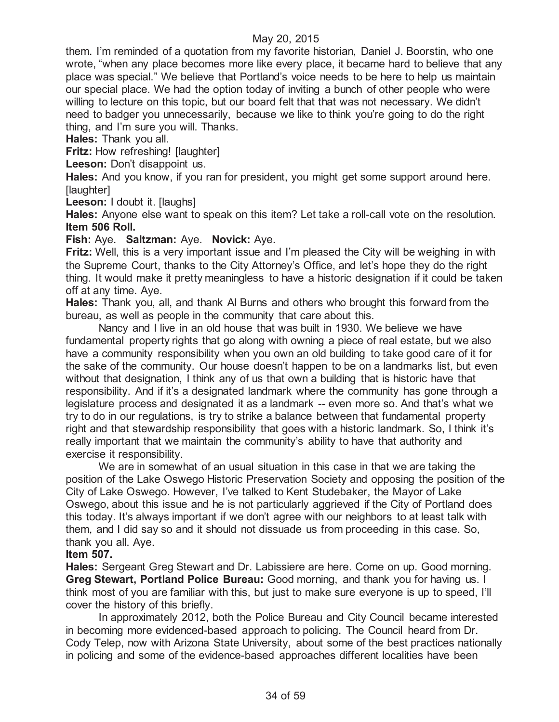them. I'm reminded of a quotation from my favorite historian, Daniel J. Boorstin, who one wrote, "when any place becomes more like every place, it became hard to believe that any place was special." We believe that Portland's voice needs to be here to help us maintain our special place. We had the option today of inviting a bunch of other people who were willing to lecture on this topic, but our board felt that that was not necessary. We didn't need to badger you unnecessarily, because we like to think you're going to do the right thing, and I'm sure you will. Thanks.

**Hales:** Thank you all.

**Fritz:** How refreshing! [laughter]

**Leeson:** Don't disappoint us.

**Hales:** And you know, if you ran for president, you might get some support around here. [laughter]

Leeson: I doubt it. Ilaughsl

**Hales:** Anyone else want to speak on this item? Let take a roll-call vote on the resolution. **Item 506 Roll.**

**Fish:** Aye. **Saltzman:** Aye. **Novick:** Aye.

**Fritz:** Well, this is a very important issue and I'm pleased the City will be weighing in with the Supreme Court, thanks to the City Attorney's Office, and let's hope they do the right thing. It would make it pretty meaningless to have a historic designation if it could be taken off at any time. Aye.

**Hales:** Thank you, all, and thank Al Burns and others who brought this forward from the bureau, as well as people in the community that care about this.

Nancy and I live in an old house that was built in 1930. We believe we have fundamental property rights that go along with owning a piece of real estate, but we also have a community responsibility when you own an old building to take good care of it for the sake of the community. Our house doesn't happen to be on a landmarks list, but even without that designation, I think any of us that own a building that is historic have that responsibility. And if it's a designated landmark where the community has gone through a legislature process and designated it as a landmark -- even more so. And that's what we try to do in our regulations, is try to strike a balance between that fundamental property right and that stewardship responsibility that goes with a historic landmark. So, I think it's really important that we maintain the community's ability to have that authority and exercise it responsibility.

We are in somewhat of an usual situation in this case in that we are taking the position of the Lake Oswego Historic Preservation Society and opposing the position of the City of Lake Oswego. However, I've talked to Kent Studebaker, the Mayor of Lake Oswego, about this issue and he is not particularly aggrieved if the City of Portland does this today. It's always important if we don't agree with our neighbors to at least talk with them, and I did say so and it should not dissuade us from proceeding in this case. So, thank you all. Aye.

#### **Item 507.**

**Hales:** Sergeant Greg Stewart and Dr. Labissiere are here. Come on up. Good morning. **Greg Stewart, Portland Police Bureau:** Good morning, and thank you for having us. I think most of you are familiar with this, but just to make sure everyone is up to speed, I'll cover the history of this briefly.

In approximately 2012, both the Police Bureau and City Council became interested in becoming more evidenced-based approach to policing. The Council heard from Dr. Cody Telep, now with Arizona State University, about some of the best practices nationally in policing and some of the evidence-based approaches different localities have been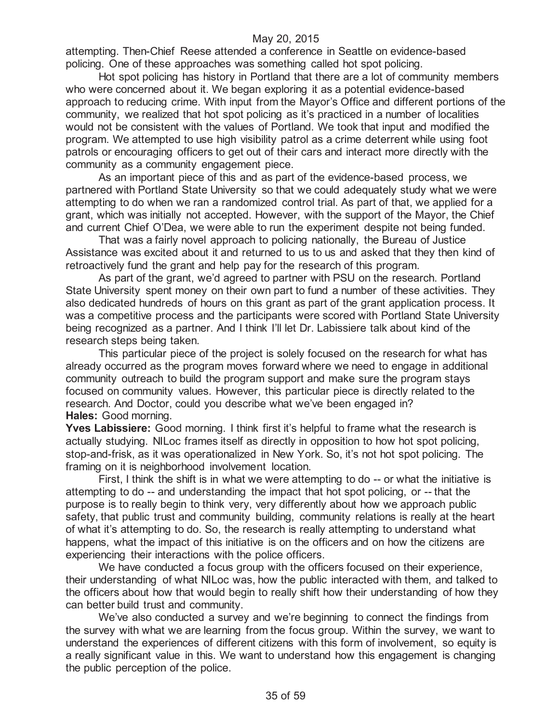attempting. Then-Chief Reese attended a conference in Seattle on evidence-based policing. One of these approaches was something called hot spot policing.

Hot spot policing has history in Portland that there are a lot of community members who were concerned about it. We began exploring it as a potential evidence-based approach to reducing crime. With input from the Mayor's Office and different portions of the community, we realized that hot spot policing as it's practiced in a number of localities would not be consistent with the values of Portland. We took that input and modified the program. We attempted to use high visibility patrol as a crime deterrent while using foot patrols or encouraging officers to get out of their cars and interact more directly with the community as a community engagement piece.

As an important piece of this and as part of the evidence-based process, we partnered with Portland State University so that we could adequately study what we were attempting to do when we ran a randomized control trial. As part of that, we applied for a grant, which was initially not accepted. However, with the support of the Mayor, the Chief and current Chief O'Dea, we were able to run the experiment despite not being funded.

That was a fairly novel approach to policing nationally, the Bureau of Justice Assistance was excited about it and returned to us to us and asked that they then kind of retroactively fund the grant and help pay for the research of this program.

As part of the grant, we'd agreed to partner with PSU on the research. Portland State University spent money on their own part to fund a number of these activities. They also dedicated hundreds of hours on this grant as part of the grant application process. It was a competitive process and the participants were scored with Portland State University being recognized as a partner. And I think I'll let Dr. Labissiere talk about kind of the research steps being taken.

This particular piece of the project is solely focused on the research for what has already occurred as the program moves forward where we need to engage in additional community outreach to build the program support and make sure the program stays focused on community values. However, this particular piece is directly related to the research. And Doctor, could you describe what we've been engaged in? **Hales:** Good morning.

**Yves Labissiere:** Good morning. I think first it's helpful to frame what the research is actually studying. NILoc frames itself as directly in opposition to how hot spot policing, stop-and-frisk, as it was operationalized in New York. So, it's not hot spot policing. The framing on it is neighborhood involvement location.

First, I think the shift is in what we were attempting to do -- or what the initiative is attempting to do -- and understanding the impact that hot spot policing, or -- that the purpose is to really begin to think very, very differently about how we approach public safety, that public trust and community building, community relations is really at the heart of what it's attempting to do. So, the research is really attempting to understand what happens, what the impact of this initiative is on the officers and on how the citizens are experiencing their interactions with the police officers.

We have conducted a focus group with the officers focused on their experience, their understanding of what NILoc was, how the public interacted with them, and talked to the officers about how that would begin to really shift how their understanding of how they can better build trust and community.

We've also conducted a survey and we're beginning to connect the findings from the survey with what we are learning from the focus group. Within the survey, we want to understand the experiences of different citizens with this form of involvement, so equity is a really significant value in this. We want to understand how this engagement is changing the public perception of the police.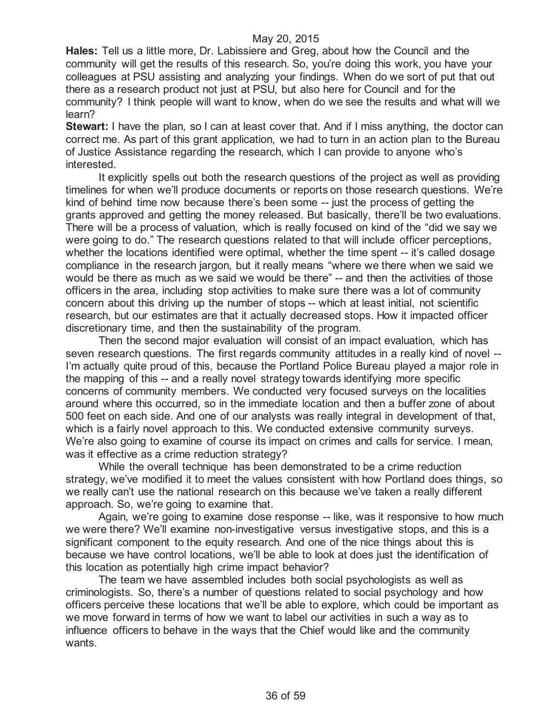**Hales:** Tell us a little more, Dr. Labissiere and Greg, about how the Council and the community will get the results of this research. So, you're doing this work, you have your colleagues at PSU assisting and analyzing your findings. When do we sort of put that out there as a research product not just at PSU, but also here for Council and for the community? I think people will want to know, when do we see the results and what will we learn?

**Stewart:** I have the plan, so I can at least cover that. And if I miss anything, the doctor can correct me. As part of this grant application, we had to turn in an action plan to the Bureau of Justice Assistance regarding the research, which I can provide to anyone who's interested.

It explicitly spells out both the research questions of the project as well as providing timelines for when we'll produce documents or reports on those research questions. We're kind of behind time now because there's been some -- just the process of getting the grants approved and getting the money released. But basically, there'll be two evaluations. There will be a process of valuation, which is really focused on kind of the "did we say we were going to do." The research questions related to that will include officer perceptions, whether the locations identified were optimal, whether the time spent -- it's called dosage compliance in the research jargon, but it really means "where we there when we said we would be there as much as we said we would be there" -- and then the activities of those officers in the area, including stop activities to make sure there was a lot of community concern about this driving up the number of stops -- which at least initial, not scientific research, but our estimates are that it actually decreased stops. How it impacted officer discretionary time, and then the sustainability of the program.

Then the second major evaluation will consist of an impact evaluation, which has seven research questions. The first regards community attitudes in a really kind of novel -- I'm actually quite proud of this, because the Portland Police Bureau played a major role in the mapping of this -- and a really novel strategy towards identifying more specific concerns of community members. We conducted very focused surveys on the localities around where this occurred, so in the immediate location and then a buffer zone of about 500 feet on each side. And one of our analysts was really integral in development of that, which is a fairly novel approach to this. We conducted extensive community surveys. We're also going to examine of course its impact on crimes and calls for service. I mean, was it effective as a crime reduction strategy?

While the overall technique has been demonstrated to be a crime reduction strategy, we've modified it to meet the values consistent with how Portland does things, so we really can't use the national research on this because we've taken a really different approach. So, we're going to examine that.

Again, we're going to examine dose response -- like, was it responsive to how much we were there? We'll examine non-investigative versus investigative stops, and this is a significant component to the equity research. And one of the nice things about this is because we have control locations, we'll be able to look at does just the identification of this location as potentially high crime impact behavior?

The team we have assembled includes both social psychologists as well as criminologists. So, there's a number of questions related to social psychology and how officers perceive these locations that we'll be able to explore, which could be important as we move forward in terms of how we want to label our activities in such a way as to influence officers to behave in the ways that the Chief would like and the community wants.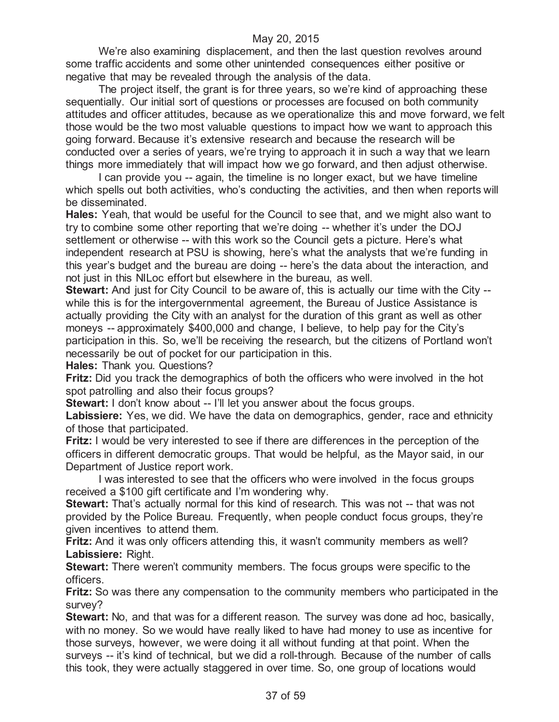We're also examining displacement, and then the last question revolves around some traffic accidents and some other unintended consequences either positive or negative that may be revealed through the analysis of the data.

The project itself, the grant is for three years, so we're kind of approaching these sequentially. Our initial sort of questions or processes are focused on both community attitudes and officer attitudes, because as we operationalize this and move forward, we felt those would be the two most valuable questions to impact how we want to approach this going forward. Because it's extensive research and because the research will be conducted over a series of years, we're trying to approach it in such a way that we learn things more immediately that will impact how we go forward, and then adjust otherwise.

I can provide you -- again, the timeline is no longer exact, but we have timeline which spells out both activities, who's conducting the activities, and then when reports will be disseminated.

**Hales:** Yeah, that would be useful for the Council to see that, and we might also want to try to combine some other reporting that we're doing -- whether it's under the DOJ settlement or otherwise -- with this work so the Council gets a picture. Here's what independent research at PSU is showing, here's what the analysts that we're funding in this year's budget and the bureau are doing -- here's the data about the interaction, and not just in this NILoc effort but elsewhere in the bureau, as well.

**Stewart:** And just for City Council to be aware of, this is actually our time with the City -while this is for the intergovernmental agreement, the Bureau of Justice Assistance is actually providing the City with an analyst for the duration of this grant as well as other moneys -- approximately \$400,000 and change, I believe, to help pay for the City's participation in this. So, we'll be receiving the research, but the citizens of Portland won't necessarily be out of pocket for our participation in this.

**Hales:** Thank you. Questions?

**Fritz:** Did you track the demographics of both the officers who were involved in the hot spot patrolling and also their focus groups?

**Stewart:** I don't know about -- I'll let you answer about the focus groups.

**Labissiere:** Yes, we did. We have the data on demographics, gender, race and ethnicity of those that participated.

**Fritz:** I would be very interested to see if there are differences in the perception of the officers in different democratic groups. That would be helpful, as the Mayor said, in our Department of Justice report work.

I was interested to see that the officers who were involved in the focus groups received a \$100 gift certificate and I'm wondering why.

**Stewart:** That's actually normal for this kind of research. This was not -- that was not provided by the Police Bureau. Frequently, when people conduct focus groups, they're given incentives to attend them.

**Fritz:** And it was only officers attending this, it wasn't community members as well? **Labissiere:** Right.

**Stewart:** There weren't community members. The focus groups were specific to the officers.

**Fritz:** So was there any compensation to the community members who participated in the survey?

**Stewart:** No, and that was for a different reason. The survey was done ad hoc, basically, with no money. So we would have really liked to have had money to use as incentive for those surveys, however, we were doing it all without funding at that point. When the surveys -- it's kind of technical, but we did a roll-through. Because of the number of calls this took, they were actually staggered in over time. So, one group of locations would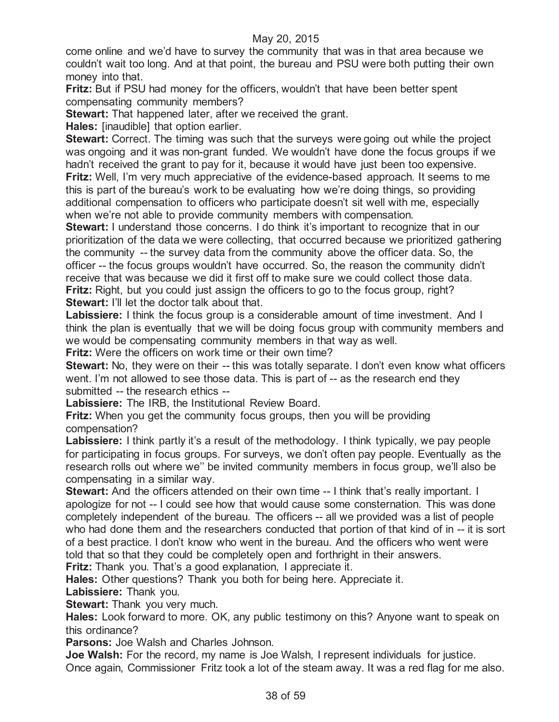come online and we'd have to survey the community that was in that area because we couldn't wait too long. And at that point, the bureau and PSU were both putting their own money into that.

**Fritz:** But if PSU had money for the officers, wouldn't that have been better spent compensating community members?

**Stewart:** That happened later, after we received the grant.

**Hales:** [inaudible] that option earlier.

**Stewart:** Correct. The timing was such that the surveys were going out while the project was ongoing and it was non-grant funded. We wouldn't have done the focus groups if we hadn't received the grant to pay for it, because it would have just been too expensive. **Fritz:** Well, I'm very much appreciative of the evidence-based approach. It seems to me this is part of the bureau's work to be evaluating how we're doing things, so providing additional compensation to officers who participate doesn't sit well with me, especially when we're not able to provide community members with compensation.

**Stewart:** I understand those concerns. I do think it's important to recognize that in our prioritization of the data we were collecting, that occurred because we prioritized gathering the community -- the survey data from the community above the officer data. So, the officer -- the focus groups wouldn't have occurred. So, the reason the community didn't receive that was because we did it first off to make sure we could collect those data. **Fritz:** Right, but you could just assign the officers to go to the focus group, right? **Stewart:** I'll let the doctor talk about that.

Labissiere: I think the focus group is a considerable amount of time investment. And I think the plan is eventually that we will be doing focus group with community members and we would be compensating community members in that way as well.

**Fritz:** Were the officers on work time or their own time?

**Stewart:** No, they were on their -- this was totally separate. I don't even know what officers went. I'm not allowed to see those data. This is part of -- as the research end they submitted -- the research ethics --

**Labissiere:** The IRB, the Institutional Review Board.

**Fritz:** When you get the community focus groups, then you will be providing compensation?

Labissiere: I think partly it's a result of the methodology. I think typically, we pay people for participating in focus groups. For surveys, we don't often pay people. Eventually as the research rolls out where we'' be invited community members in focus group, we'll also be compensating in a similar way.

**Stewart:** And the officers attended on their own time -- I think that's really important. I apologize for not -- I could see how that would cause some consternation. This was done completely independent of the bureau. The officers -- all we provided was a list of people who had done them and the researchers conducted that portion of that kind of in -- it is sort of a best practice. I don't know who went in the bureau. And the officers who went were told that so that they could be completely open and forthright in their answers. **Fritz:** Thank you. That's a good explanation, I appreciate it.

**Hales:** Other questions? Thank you both for being here. Appreciate it.

**Labissiere:** Thank you.

**Stewart:** Thank you very much.

**Hales:** Look forward to more. OK, any public testimony on this? Anyone want to speak on this ordinance?

**Parsons:** Joe Walsh and Charles Johnson.

**Joe Walsh:** For the record, my name is Joe Walsh, I represent individuals for justice. Once again, Commissioner Fritz took a lot of the steam away. It was a red flag for me also.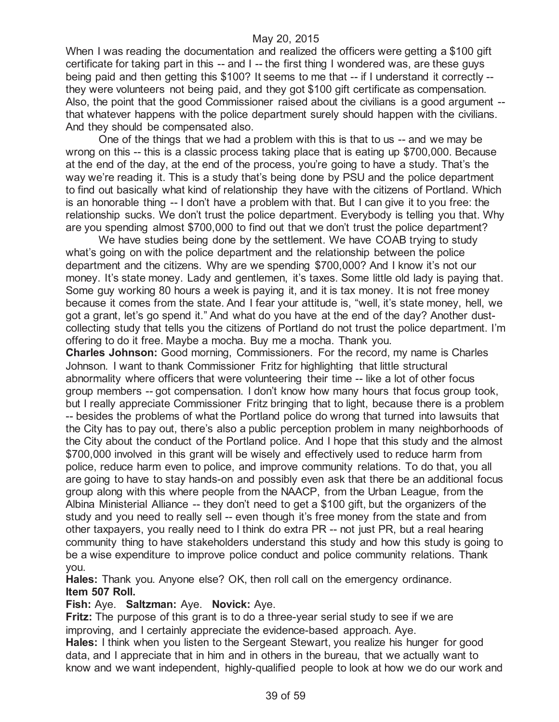When I was reading the documentation and realized the officers were getting a \$100 gift certificate for taking part in this -- and I -- the first thing I wondered was, are these guys being paid and then getting this \$100? It seems to me that -- if I understand it correctly - they were volunteers not being paid, and they got \$100 gift certificate as compensation. Also, the point that the good Commissioner raised about the civilians is a good argument - that whatever happens with the police department surely should happen with the civilians. And they should be compensated also.

One of the things that we had a problem with this is that to us -- and we may be wrong on this -- this is a classic process taking place that is eating up \$700,000. Because at the end of the day, at the end of the process, you're going to have a study. That's the way we're reading it. This is a study that's being done by PSU and the police department to find out basically what kind of relationship they have with the citizens of Portland. Which is an honorable thing -- I don't have a problem with that. But I can give it to you free: the relationship sucks. We don't trust the police department. Everybody is telling you that. Why are you spending almost \$700,000 to find out that we don't trust the police department?

We have studies being done by the settlement. We have COAB trying to study what's going on with the police department and the relationship between the police department and the citizens. Why are we spending \$700,000? And I know it's not our money. It's state money. Lady and gentlemen, it's taxes. Some little old lady is paying that. Some guy working 80 hours a week is paying it, and it is tax money. It is not free money because it comes from the state. And I fear your attitude is, "well, it's state money, hell, we got a grant, let's go spend it." And what do you have at the end of the day? Another dustcollecting study that tells you the citizens of Portland do not trust the police department. I'm offering to do it free. Maybe a mocha. Buy me a mocha. Thank you.

**Charles Johnson:** Good morning, Commissioners. For the record, my name is Charles Johnson. I want to thank Commissioner Fritz for highlighting that little structural abnormality where officers that were volunteering their time -- like a lot of other focus group members -- got compensation. I don't know how many hours that focus group took, but I really appreciate Commissioner Fritz bringing that to light, because there is a problem -- besides the problems of what the Portland police do wrong that turned into lawsuits that the City has to pay out, there's also a public perception problem in many neighborhoods of the City about the conduct of the Portland police. And I hope that this study and the almost \$700,000 involved in this grant will be wisely and effectively used to reduce harm from police, reduce harm even to police, and improve community relations. To do that, you all are going to have to stay hands-on and possibly even ask that there be an additional focus group along with this where people from the NAACP, from the Urban League, from the Albina Ministerial Alliance -- they don't need to get a \$100 gift, but the organizers of the study and you need to really sell -- even though it's free money from the state and from other taxpayers, you really need to I think do extra PR -- not just PR, but a real hearing community thing to have stakeholders understand this study and how this study is going to be a wise expenditure to improve police conduct and police community relations. Thank you.

**Hales:** Thank you. Anyone else? OK, then roll call on the emergency ordinance. **Item 507 Roll.**

#### **Fish:** Aye. **Saltzman:** Aye. **Novick:** Aye.

**Fritz:** The purpose of this grant is to do a three-year serial study to see if we are improving, and I certainly appreciate the evidence-based approach. Aye.

**Hales:** I think when you listen to the Sergeant Stewart, you realize his hunger for good data, and I appreciate that in him and in others in the bureau, that we actually want to know and we want independent, highly-qualified people to look at how we do our work and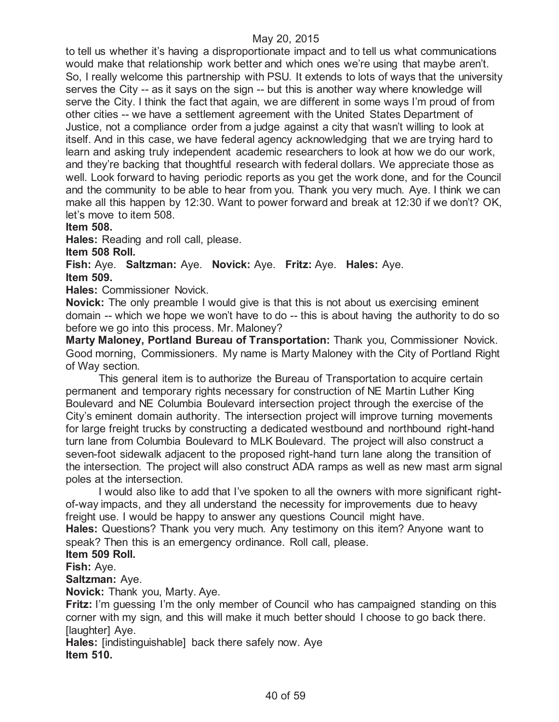to tell us whether it's having a disproportionate impact and to tell us what communications would make that relationship work better and which ones we're using that maybe aren't. So, I really welcome this partnership with PSU. It extends to lots of ways that the university serves the City -- as it says on the sign -- but this is another way where knowledge will serve the City. I think the fact that again, we are different in some ways I'm proud of from other cities -- we have a settlement agreement with the United States Department of Justice, not a compliance order from a judge against a city that wasn't willing to look at itself. And in this case, we have federal agency acknowledging that we are trying hard to learn and asking truly independent academic researchers to look at how we do our work, and they're backing that thoughtful research with federal dollars. We appreciate those as well. Look forward to having periodic reports as you get the work done, and for the Council and the community to be able to hear from you. Thank you very much. Aye. I think we can make all this happen by 12:30. Want to power forward and break at 12:30 if we don't? OK, let's move to item 508.

#### **Item 508.**

**Hales:** Reading and roll call, please.

**Item 508 Roll.**

**Fish:** Aye. **Saltzman:** Aye. **Novick:** Aye. **Fritz:** Aye. **Hales:** Aye. **Item 509.**

**Hales:** Commissioner Novick.

**Novick:** The only preamble I would give is that this is not about us exercising eminent domain -- which we hope we won't have to do -- this is about having the authority to do so before we go into this process. Mr. Maloney?

**Marty Maloney, Portland Bureau of Transportation:** Thank you, Commissioner Novick. Good morning, Commissioners. My name is Marty Maloney with the City of Portland Right of Way section.

This general item is to authorize the Bureau of Transportation to acquire certain permanent and temporary rights necessary for construction of NE Martin Luther King Boulevard and NE Columbia Boulevard intersection project through the exercise of the City's eminent domain authority. The intersection project will improve turning movements for large freight trucks by constructing a dedicated westbound and northbound right-hand turn lane from Columbia Boulevard to MLK Boulevard. The project will also construct a seven-foot sidewalk adjacent to the proposed right-hand turn lane along the transition of the intersection. The project will also construct ADA ramps as well as new mast arm signal poles at the intersection.

I would also like to add that I've spoken to all the owners with more significant rightof-way impacts, and they all understand the necessity for improvements due to heavy freight use. I would be happy to answer any questions Council might have.

**Hales:** Questions? Thank you very much. Any testimony on this item? Anyone want to speak? Then this is an emergency ordinance. Roll call, please.

**Item 509 Roll.**

**Fish:** Aye.

**Saltzman:** Aye.

**Novick:** Thank you, Marty. Aye.

**Fritz:** I'm guessing I'm the only member of Council who has campaigned standing on this corner with my sign, and this will make it much better should I choose to go back there. [laughter] Aye.

**Hales:** [indistinguishable] back there safely now. Aye **Item 510.**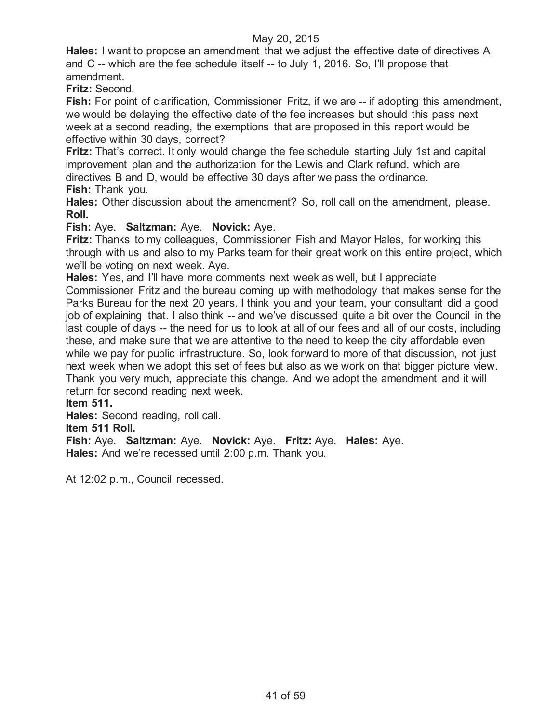**Hales:** I want to propose an amendment that we adjust the effective date of directives A and C -- which are the fee schedule itself -- to July 1, 2016. So, I'll propose that amendment.

**Fritz:** Second.

**Fish:** For point of clarification, Commissioner Fritz, if we are -- if adopting this amendment, we would be delaying the effective date of the fee increases but should this pass next week at a second reading, the exemptions that are proposed in this report would be effective within 30 days, correct?

**Fritz:** That's correct. It only would change the fee schedule starting July 1st and capital improvement plan and the authorization for the Lewis and Clark refund, which are directives B and D, would be effective 30 days after we pass the ordinance. **Fish:** Thank you.

**Hales:** Other discussion about the amendment? So, roll call on the amendment, please. **Roll.**

**Fish:** Aye. **Saltzman:** Aye. **Novick:** Aye.

**Fritz:** Thanks to my colleagues, Commissioner Fish and Mayor Hales, for working this through with us and also to my Parks team for their great work on this entire project, which we'll be voting on next week. Aye.

**Hales:** Yes, and I'll have more comments next week as well, but I appreciate

Commissioner Fritz and the bureau coming up with methodology that makes sense for the Parks Bureau for the next 20 years. I think you and your team, your consultant did a good job of explaining that. I also think -- and we've discussed quite a bit over the Council in the last couple of days -- the need for us to look at all of our fees and all of our costs, including these, and make sure that we are attentive to the need to keep the city affordable even while we pay for public infrastructure. So, look forward to more of that discussion, not just next week when we adopt this set of fees but also as we work on that bigger picture view. Thank you very much, appreciate this change. And we adopt the amendment and it will return for second reading next week.

**Item 511.**

**Hales:** Second reading, roll call.

#### **Item 511 Roll.**

**Fish:** Aye. **Saltzman:** Aye. **Novick:** Aye. **Fritz:** Aye. **Hales:** Aye. **Hales:** And we're recessed until 2:00 p.m. Thank you.

At 12:02 p.m., Council recessed.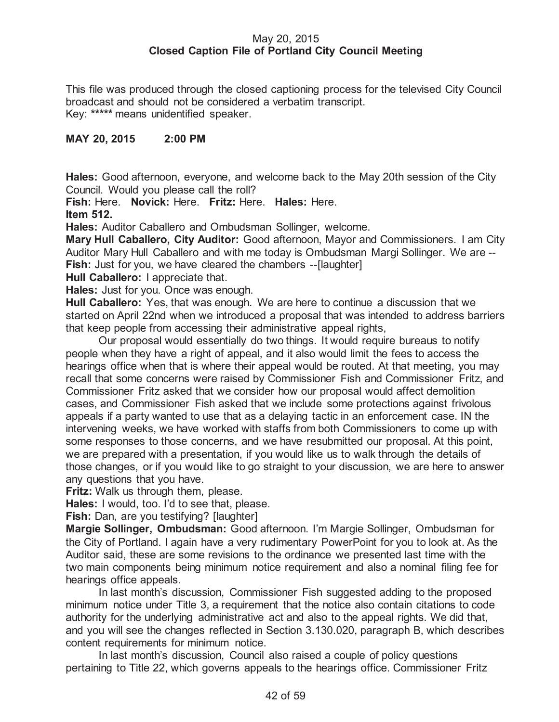## May 20, 2015 **Closed Caption File of Portland City Council Meeting**

This file was produced through the closed captioning process for the televised City Council broadcast and should not be considered a verbatim transcript. Key: **\*\*\*\*\*** means unidentified speaker.

## **MAY 20, 2015 2:00 PM**

**Hales:** Good afternoon, everyone, and welcome back to the May 20th session of the City Council. Would you please call the roll?

**Fish:** Here. **Novick:** Here. **Fritz:** Here. **Hales:** Here. **Item 512.**

**Hales:** Auditor Caballero and Ombudsman Sollinger, welcome.

**Mary Hull Caballero, City Auditor:** Good afternoon, Mayor and Commissioners. I am City Auditor Mary Hull Caballero and with me today is Ombudsman Margi Sollinger. We are -- **Fish:** Just for you, we have cleared the chambers --[laughter]

**Hull Caballero:** I appreciate that.

**Hales:** Just for you. Once was enough.

**Hull Caballero:** Yes, that was enough. We are here to continue a discussion that we started on April 22nd when we introduced a proposal that was intended to address barriers that keep people from accessing their administrative appeal rights,

Our proposal would essentially do two things. It would require bureaus to notify people when they have a right of appeal, and it also would limit the fees to access the hearings office when that is where their appeal would be routed. At that meeting, you may recall that some concerns were raised by Commissioner Fish and Commissioner Fritz, and Commissioner Fritz asked that we consider how our proposal would affect demolition cases, and Commissioner Fish asked that we include some protections against frivolous appeals if a party wanted to use that as a delaying tactic in an enforcement case. IN the intervening weeks, we have worked with staffs from both Commissioners to come up with some responses to those concerns, and we have resubmitted our proposal. At this point, we are prepared with a presentation, if you would like us to walk through the details of those changes, or if you would like to go straight to your discussion, we are here to answer any questions that you have.

**Fritz:** Walk us through them, please.

**Hales:** I would, too. I'd to see that, please.

**Fish:** Dan, are you testifying? [laughter]

**Margie Sollinger, Ombudsman:** Good afternoon. I'm Margie Sollinger, Ombudsman for the City of Portland. I again have a very rudimentary PowerPoint for you to look at. As the Auditor said, these are some revisions to the ordinance we presented last time with the two main components being minimum notice requirement and also a nominal filing fee for hearings office appeals.

In last month's discussion, Commissioner Fish suggested adding to the proposed minimum notice under Title 3, a requirement that the notice also contain citations to code authority for the underlying administrative act and also to the appeal rights. We did that, and you will see the changes reflected in Section 3.130.020, paragraph B, which describes content requirements for minimum notice.

In last month's discussion, Council also raised a couple of policy questions pertaining to Title 22, which governs appeals to the hearings office. Commissioner Fritz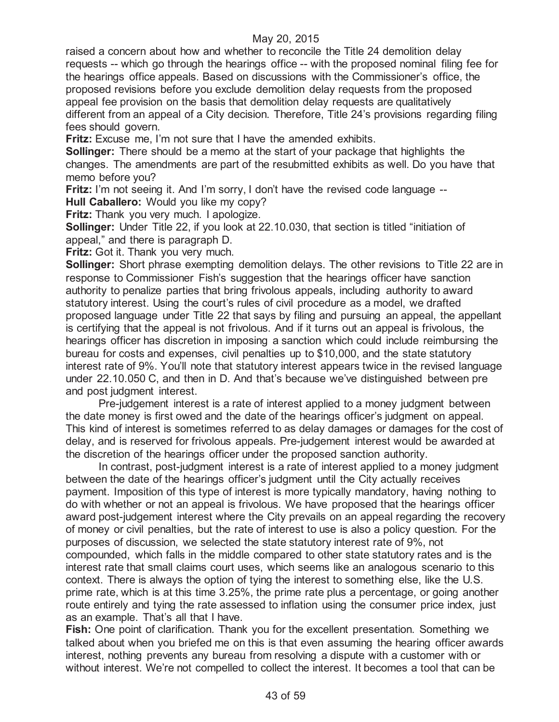raised a concern about how and whether to reconcile the Title 24 demolition delay requests -- which go through the hearings office -- with the proposed nominal filing fee for the hearings office appeals. Based on discussions with the Commissioner's office, the proposed revisions before you exclude demolition delay requests from the proposed appeal fee provision on the basis that demolition delay requests are qualitatively different from an appeal of a City decision. Therefore, Title 24's provisions regarding filing fees should govern.

**Fritz:** Excuse me, I'm not sure that I have the amended exhibits.

**Sollinger:** There should be a memo at the start of your package that highlights the changes. The amendments are part of the resubmitted exhibits as well. Do you have that memo before you?

**Fritz:** I'm not seeing it. And I'm sorry, I don't have the revised code language --

**Hull Caballero:** Would you like my copy?

**Fritz:** Thank you very much. I apologize.

**Sollinger:** Under Title 22, if you look at 22.10.030, that section is titled "initiation of appeal," and there is paragraph D.

**Fritz:** Got it. Thank you very much.

**Sollinger:** Short phrase exempting demolition delays. The other revisions to Title 22 are in response to Commissioner Fish's suggestion that the hearings officer have sanction authority to penalize parties that bring frivolous appeals, including authority to award statutory interest. Using the court's rules of civil procedure as a model, we drafted proposed language under Title 22 that says by filing and pursuing an appeal, the appellant is certifying that the appeal is not frivolous. And if it turns out an appeal is frivolous, the hearings officer has discretion in imposing a sanction which could include reimbursing the bureau for costs and expenses, civil penalties up to \$10,000, and the state statutory interest rate of 9%. You'll note that statutory interest appears twice in the revised language under 22.10.050 C, and then in D. And that's because we've distinguished between pre and post judgment interest.

Pre-judgement interest is a rate of interest applied to a money judgment between the date money is first owed and the date of the hearings officer's judgment on appeal. This kind of interest is sometimes referred to as delay damages or damages for the cost of delay, and is reserved for frivolous appeals. Pre-judgement interest would be awarded at the discretion of the hearings officer under the proposed sanction authority.

In contrast, post-judgment interest is a rate of interest applied to a money judgment between the date of the hearings officer's judgment until the City actually receives payment. Imposition of this type of interest is more typically mandatory, having nothing to do with whether or not an appeal is frivolous. We have proposed that the hearings officer award post-judgement interest where the City prevails on an appeal regarding the recovery of money or civil penalties, but the rate of interest to use is also a policy question. For the purposes of discussion, we selected the state statutory interest rate of 9%, not compounded, which falls in the middle compared to other state statutory rates and is the interest rate that small claims court uses, which seems like an analogous scenario to this context. There is always the option of tying the interest to something else, like the U.S. prime rate, which is at this time 3.25%, the prime rate plus a percentage, or going another route entirely and tying the rate assessed to inflation using the consumer price index, just as an example. That's all that I have.

**Fish:** One point of clarification. Thank you for the excellent presentation. Something we talked about when you briefed me on this is that even assuming the hearing officer awards interest, nothing prevents any bureau from resolving a dispute with a customer with or without interest. We're not compelled to collect the interest. It becomes a tool that can be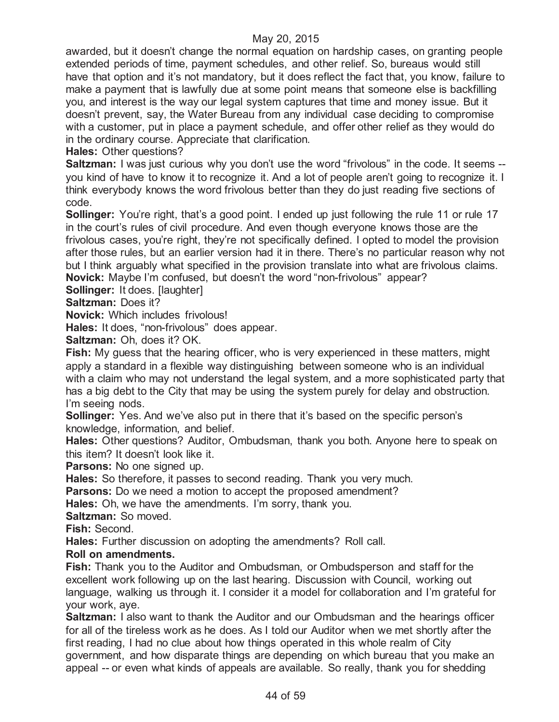awarded, but it doesn't change the normal equation on hardship cases, on granting people extended periods of time, payment schedules, and other relief. So, bureaus would still have that option and it's not mandatory, but it does reflect the fact that, you know, failure to make a payment that is lawfully due at some point means that someone else is backfilling you, and interest is the way our legal system captures that time and money issue. But it doesn't prevent, say, the Water Bureau from any individual case deciding to compromise with a customer, put in place a payment schedule, and offer other relief as they would do in the ordinary course. Appreciate that clarification.

**Hales:** Other questions?

**Saltzman:** I was just curious why you don't use the word "frivolous" in the code. It seems -you kind of have to know it to recognize it. And a lot of people aren't going to recognize it. I think everybody knows the word frivolous better than they do just reading five sections of code.

**Sollinger:** You're right, that's a good point. I ended up just following the rule 11 or rule 17 in the court's rules of civil procedure. And even though everyone knows those are the frivolous cases, you're right, they're not specifically defined. I opted to model the provision after those rules, but an earlier version had it in there. There's no particular reason why not but I think arguably what specified in the provision translate into what are frivolous claims. **Novick:** Maybe I'm confused, but doesn't the word "non-frivolous" appear?

**Sollinger: It does. [laughter]** 

**Saltzman:** Does it?

**Novick:** Which includes frivolous!

**Hales:** It does, "non-frivolous" does appear.

**Saltzman:** Oh, does it? OK.

**Fish:** My guess that the hearing officer, who is very experienced in these matters, might apply a standard in a flexible way distinguishing between someone who is an individual with a claim who may not understand the legal system, and a more sophisticated party that has a big debt to the City that may be using the system purely for delay and obstruction. I'm seeing nods.

**Sollinger:** Yes. And we've also put in there that it's based on the specific person's knowledge, information, and belief.

**Hales:** Other questions? Auditor, Ombudsman, thank you both. Anyone here to speak on this item? It doesn't look like it.

**Parsons:** No one signed up.

**Hales:** So therefore, it passes to second reading. Thank you very much.

**Parsons:** Do we need a motion to accept the proposed amendment?

**Hales:** Oh, we have the amendments. I'm sorry, thank you.

**Saltzman:** So moved.

**Fish:** Second.

**Hales:** Further discussion on adopting the amendments? Roll call.

**Roll on amendments.**

**Fish:** Thank you to the Auditor and Ombudsman, or Ombudsperson and staff for the excellent work following up on the last hearing. Discussion with Council, working out language, walking us through it. I consider it a model for collaboration and I'm grateful for your work, aye.

**Saltzman:** I also want to thank the Auditor and our Ombudsman and the hearings officer for all of the tireless work as he does. As I told our Auditor when we met shortly after the first reading, I had no clue about how things operated in this whole realm of City government, and how disparate things are depending on which bureau that you make an appeal -- or even what kinds of appeals are available. So really, thank you for shedding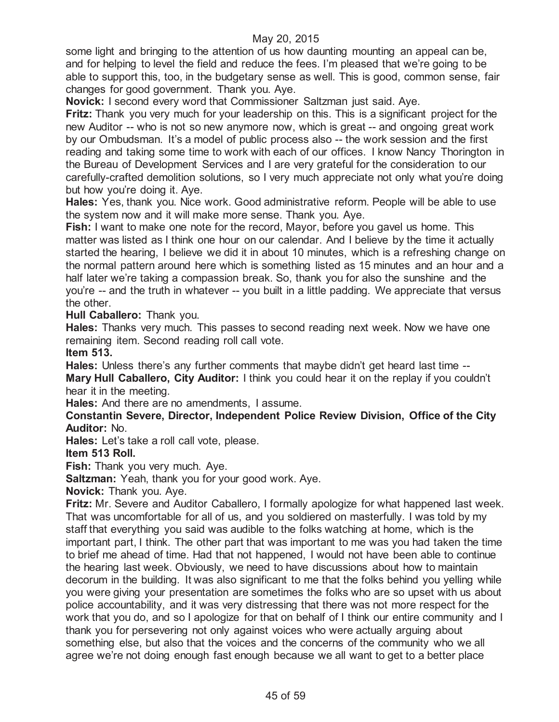some light and bringing to the attention of us how daunting mounting an appeal can be, and for helping to level the field and reduce the fees. I'm pleased that we're going to be able to support this, too, in the budgetary sense as well. This is good, common sense, fair changes for good government. Thank you. Aye.

**Novick:** I second every word that Commissioner Saltzman just said. Aye.

**Fritz:** Thank you very much for your leadership on this. This is a significant project for the new Auditor -- who is not so new anymore now, which is great -- and ongoing great work by our Ombudsman. It's a model of public process also -- the work session and the first reading and taking some time to work with each of our offices. I know Nancy Thorington in the Bureau of Development Services and I are very grateful for the consideration to our carefully-crafted demolition solutions, so I very much appreciate not only what you're doing but how you're doing it. Aye.

**Hales:** Yes, thank you. Nice work. Good administrative reform. People will be able to use the system now and it will make more sense. Thank you. Aye.

**Fish:** I want to make one note for the record, Mayor, before you gavel us home. This matter was listed as I think one hour on our calendar. And I believe by the time it actually started the hearing, I believe we did it in about 10 minutes, which is a refreshing change on the normal pattern around here which is something listed as 15 minutes and an hour and a half later we're taking a compassion break. So, thank you for also the sunshine and the you're -- and the truth in whatever -- you built in a little padding. We appreciate that versus the other.

**Hull Caballero:** Thank you.

**Hales:** Thanks very much. This passes to second reading next week. Now we have one remaining item. Second reading roll call vote.

**Item 513.**

**Hales:** Unless there's any further comments that maybe didn't get heard last time -- **Mary Hull Caballero, City Auditor:** I think you could hear it on the replay if you couldn't hear it in the meeting.

**Hales:** And there are no amendments, I assume.

**Constantin Severe, Director, Independent Police Review Division, Office of the City Auditor:** No.

**Hales:** Let's take a roll call vote, please.

**Item 513 Roll.**

**Fish:** Thank you very much. Aye.

**Saltzman:** Yeah, thank you for your good work. Aye.

**Novick:** Thank you. Aye.

**Fritz:** Mr. Severe and Auditor Caballero, I formally apologize for what happened last week. That was uncomfortable for all of us, and you soldiered on masterfully. I was told by my staff that everything you said was audible to the folks watching at home, which is the important part, I think. The other part that was important to me was you had taken the time to brief me ahead of time. Had that not happened, I would not have been able to continue the hearing last week. Obviously, we need to have discussions about how to maintain decorum in the building. It was also significant to me that the folks behind you yelling while you were giving your presentation are sometimes the folks who are so upset with us about police accountability, and it was very distressing that there was not more respect for the work that you do, and so I apologize for that on behalf of I think our entire community and I thank you for persevering not only against voices who were actually arguing about something else, but also that the voices and the concerns of the community who we all agree we're not doing enough fast enough because we all want to get to a better place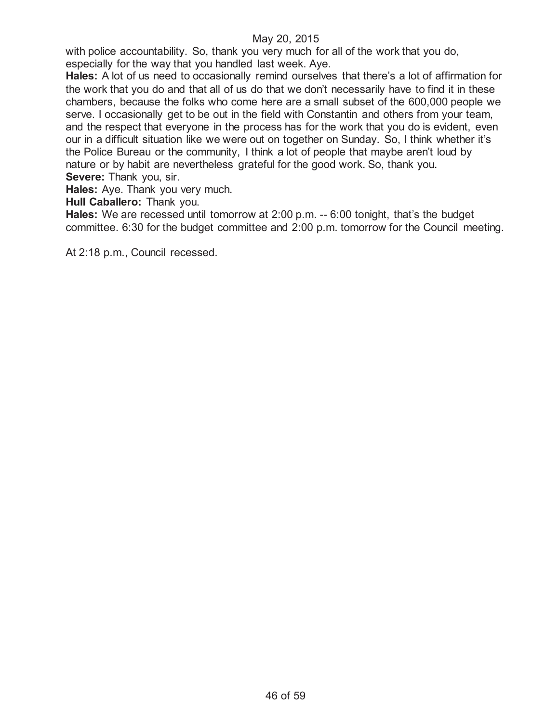with police accountability. So, thank you very much for all of the work that you do, especially for the way that you handled last week. Aye.

**Hales:** A lot of us need to occasionally remind ourselves that there's a lot of affirmation for the work that you do and that all of us do that we don't necessarily have to find it in these chambers, because the folks who come here are a small subset of the 600,000 people we serve. I occasionally get to be out in the field with Constantin and others from your team, and the respect that everyone in the process has for the work that you do is evident, even our in a difficult situation like we were out on together on Sunday. So, I think whether it's the Police Bureau or the community, I think a lot of people that maybe aren't loud by nature or by habit are nevertheless grateful for the good work. So, thank you. **Severe:** Thank you, sir.

**Hales:** Aye. Thank you very much.

**Hull Caballero:** Thank you.

**Hales:** We are recessed until tomorrow at 2:00 p.m. -- 6:00 tonight, that's the budget committee. 6:30 for the budget committee and 2:00 p.m. tomorrow for the Council meeting.

At 2:18 p.m., Council recessed.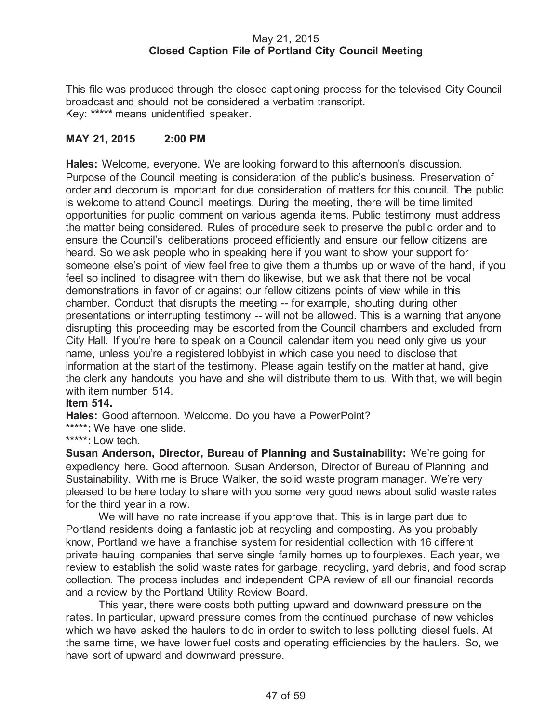## May 21, 2015 **Closed Caption File of Portland City Council Meeting**

This file was produced through the closed captioning process for the televised City Council broadcast and should not be considered a verbatim transcript. Key: **\*\*\*\*\*** means unidentified speaker.

## **MAY 21, 2015 2:00 PM**

**Hales:** Welcome, everyone. We are looking forward to this afternoon's discussion. Purpose of the Council meeting is consideration of the public's business. Preservation of order and decorum is important for due consideration of matters for this council. The public is welcome to attend Council meetings. During the meeting, there will be time limited opportunities for public comment on various agenda items. Public testimony must address the matter being considered. Rules of procedure seek to preserve the public order and to ensure the Council's deliberations proceed efficiently and ensure our fellow citizens are heard. So we ask people who in speaking here if you want to show your support for someone else's point of view feel free to give them a thumbs up or wave of the hand, if you feel so inclined to disagree with them do likewise, but we ask that there not be vocal demonstrations in favor of or against our fellow citizens points of view while in this chamber. Conduct that disrupts the meeting -- for example, shouting during other presentations or interrupting testimony -- will not be allowed. This is a warning that anyone disrupting this proceeding may be escorted from the Council chambers and excluded from City Hall. If you're here to speak on a Council calendar item you need only give us your name, unless you're a registered lobbyist in which case you need to disclose that information at the start of the testimony. Please again testify on the matter at hand, give the clerk any handouts you have and she will distribute them to us. With that, we will begin with item number 514.

#### **Item 514.**

**Hales:** Good afternoon. Welcome. Do you have a PowerPoint?

**\*\*\*\*\*:** We have one slide.

**\*\*\*\*\*:** Low tech.

**Susan Anderson, Director, Bureau of Planning and Sustainability:** We're going for expediency here. Good afternoon. Susan Anderson, Director of Bureau of Planning and Sustainability. With me is Bruce Walker, the solid waste program manager. We're very pleased to be here today to share with you some very good news about solid waste rates for the third year in a row.

We will have no rate increase if you approve that. This is in large part due to Portland residents doing a fantastic job at recycling and composting. As you probably know, Portland we have a franchise system for residential collection with 16 different private hauling companies that serve single family homes up to fourplexes. Each year, we review to establish the solid waste rates for garbage, recycling, yard debris, and food scrap collection. The process includes and independent CPA review of all our financial records and a review by the Portland Utility Review Board.

This year, there were costs both putting upward and downward pressure on the rates. In particular, upward pressure comes from the continued purchase of new vehicles which we have asked the haulers to do in order to switch to less polluting diesel fuels. At the same time, we have lower fuel costs and operating efficiencies by the haulers. So, we have sort of upward and downward pressure.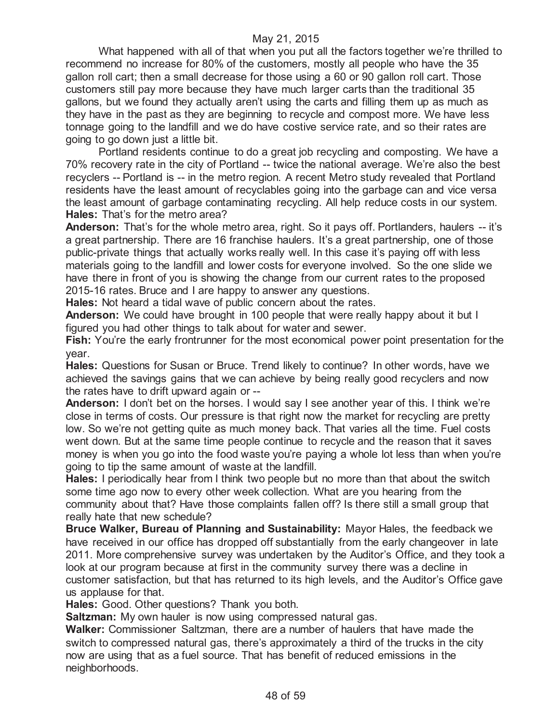#### May 21, 2015

What happened with all of that when you put all the factors together we're thrilled to recommend no increase for 80% of the customers, mostly all people who have the 35 gallon roll cart; then a small decrease for those using a 60 or 90 gallon roll cart. Those customers still pay more because they have much larger carts than the traditional 35 gallons, but we found they actually aren't using the carts and filling them up as much as they have in the past as they are beginning to recycle and compost more. We have less tonnage going to the landfill and we do have costive service rate, and so their rates are going to go down just a little bit.

Portland residents continue to do a great job recycling and composting. We have a 70% recovery rate in the city of Portland -- twice the national average. We're also the best recyclers -- Portland is -- in the metro region. A recent Metro study revealed that Portland residents have the least amount of recyclables going into the garbage can and vice versa the least amount of garbage contaminating recycling. All help reduce costs in our system. **Hales:** That's for the metro area?

**Anderson:** That's for the whole metro area, right. So it pays off. Portlanders, haulers -- it's a great partnership. There are 16 franchise haulers. It's a great partnership, one of those public-private things that actually works really well. In this case it's paying off with less materials going to the landfill and lower costs for everyone involved. So the one slide we have there in front of you is showing the change from our current rates to the proposed 2015-16 rates. Bruce and I are happy to answer any questions.

**Hales:** Not heard a tidal wave of public concern about the rates.

**Anderson:** We could have brought in 100 people that were really happy about it but I figured you had other things to talk about for water and sewer.

**Fish:** You're the early frontrunner for the most economical power point presentation for the year.

**Hales:** Questions for Susan or Bruce. Trend likely to continue? In other words, have we achieved the savings gains that we can achieve by being really good recyclers and now the rates have to drift upward again or --

**Anderson:** I don't bet on the horses. I would say I see another year of this. I think we're close in terms of costs. Our pressure is that right now the market for recycling are pretty low. So we're not getting quite as much money back. That varies all the time. Fuel costs went down. But at the same time people continue to recycle and the reason that it saves money is when you go into the food waste you're paying a whole lot less than when you're going to tip the same amount of waste at the landfill.

**Hales:** I periodically hear from I think two people but no more than that about the switch some time ago now to every other week collection. What are you hearing from the community about that? Have those complaints fallen off? Is there still a small group that really hate that new schedule?

**Bruce Walker, Bureau of Planning and Sustainability:** Mayor Hales, the feedback we have received in our office has dropped off substantially from the early changeover in late 2011. More comprehensive survey was undertaken by the Auditor's Office, and they took a look at our program because at first in the community survey there was a decline in customer satisfaction, but that has returned to its high levels, and the Auditor's Office gave us applause for that.

**Hales:** Good. Other questions? Thank you both.

**Saltzman:** My own hauler is now using compressed natural gas.

**Walker:** Commissioner Saltzman, there are a number of haulers that have made the switch to compressed natural gas, there's approximately a third of the trucks in the city now are using that as a fuel source. That has benefit of reduced emissions in the neighborhoods.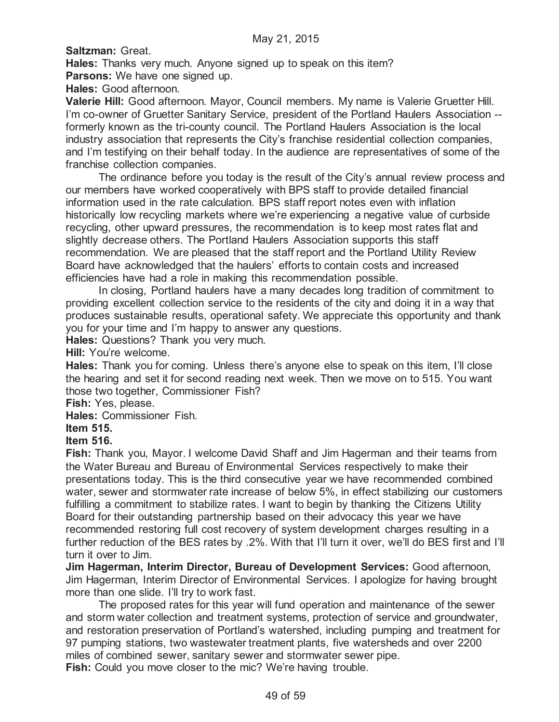**Saltzman:** Great.

**Hales:** Thanks very much. Anyone signed up to speak on this item? **Parsons:** We have one signed up.

**Hales:** Good afternoon.

**Valerie Hill:** Good afternoon. Mayor, Council members. My name is Valerie Gruetter Hill. I'm co-owner of Gruetter Sanitary Service, president of the Portland Haulers Association - formerly known as the tri-county council. The Portland Haulers Association is the local industry association that represents the City's franchise residential collection companies, and I'm testifying on their behalf today. In the audience are representatives of some of the franchise collection companies.

The ordinance before you today is the result of the City's annual review process and our members have worked cooperatively with BPS staff to provide detailed financial information used in the rate calculation. BPS staff report notes even with inflation historically low recycling markets where we're experiencing a negative value of curbside recycling, other upward pressures, the recommendation is to keep most rates flat and slightly decrease others. The Portland Haulers Association supports this staff recommendation. We are pleased that the staff report and the Portland Utility Review Board have acknowledged that the haulers' efforts to contain costs and increased efficiencies have had a role in making this recommendation possible.

In closing, Portland haulers have a many decades long tradition of commitment to providing excellent collection service to the residents of the city and doing it in a way that produces sustainable results, operational safety. We appreciate this opportunity and thank you for your time and I'm happy to answer any questions.

**Hales:** Questions? Thank you very much.

**Hill:** You're welcome.

**Hales:** Thank you for coming. Unless there's anyone else to speak on this item, I'll close the hearing and set it for second reading next week. Then we move on to 515. You want those two together, Commissioner Fish?

**Fish:** Yes, please.

**Hales:** Commissioner Fish.

## **Item 515.**

## **Item 516.**

**Fish:** Thank you, Mayor. I welcome David Shaff and Jim Hagerman and their teams from the Water Bureau and Bureau of Environmental Services respectively to make their presentations today. This is the third consecutive year we have recommended combined water, sewer and stormwater rate increase of below 5%, in effect stabilizing our customers fulfilling a commitment to stabilize rates. I want to begin by thanking the Citizens Utility Board for their outstanding partnership based on their advocacy this year we have recommended restoring full cost recovery of system development charges resulting in a further reduction of the BES rates by .2%. With that I'll turn it over, we'll do BES first and I'll turn it over to Jim.

**Jim Hagerman, Interim Director, Bureau of Development Services:** Good afternoon, Jim Hagerman, Interim Director of Environmental Services. I apologize for having brought more than one slide. I'll try to work fast.

The proposed rates for this year will fund operation and maintenance of the sewer and storm water collection and treatment systems, protection of service and groundwater, and restoration preservation of Portland's watershed, including pumping and treatment for 97 pumping stations, two wastewater treatment plants, five watersheds and over 2200 miles of combined sewer, sanitary sewer and stormwater sewer pipe.

**Fish:** Could you move closer to the mic? We're having trouble.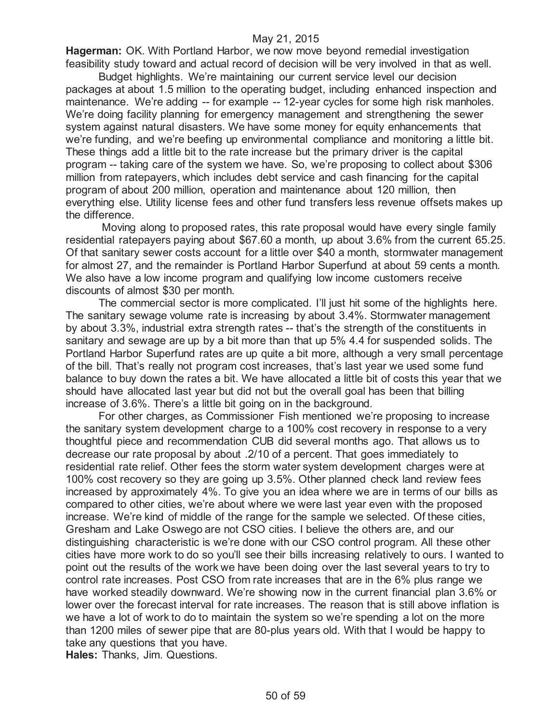#### May 21, 2015

**Hagerman:** OK. With Portland Harbor, we now move beyond remedial investigation feasibility study toward and actual record of decision will be very involved in that as well.

Budget highlights. We're maintaining our current service level our decision packages at about 1.5 million to the operating budget, including enhanced inspection and maintenance. We're adding -- for example -- 12-year cycles for some high risk manholes. We're doing facility planning for emergency management and strengthening the sewer system against natural disasters. We have some money for equity enhancements that we're funding, and we're beefing up environmental compliance and monitoring a little bit. These things add a little bit to the rate increase but the primary driver is the capital program -- taking care of the system we have. So, we're proposing to collect about \$306 million from ratepayers, which includes debt service and cash financing for the capital program of about 200 million, operation and maintenance about 120 million, then everything else. Utility license fees and other fund transfers less revenue offsets makes up the difference.

Moving along to proposed rates, this rate proposal would have every single family residential ratepayers paying about \$67.60 a month, up about 3.6% from the current 65.25. Of that sanitary sewer costs account for a little over \$40 a month, stormwater management for almost 27, and the remainder is Portland Harbor Superfund at about 59 cents a month. We also have a low income program and qualifying low income customers receive discounts of almost \$30 per month.

The commercial sector is more complicated. I'll just hit some of the highlights here. The sanitary sewage volume rate is increasing by about 3.4%. Stormwater management by about 3.3%, industrial extra strength rates -- that's the strength of the constituents in sanitary and sewage are up by a bit more than that up 5% 4.4 for suspended solids. The Portland Harbor Superfund rates are up quite a bit more, although a very small percentage of the bill. That's really not program cost increases, that's last year we used some fund balance to buy down the rates a bit. We have allocated a little bit of costs this year that we should have allocated last year but did not but the overall goal has been that billing increase of 3.6%. There's a little bit going on in the background.

For other charges, as Commissioner Fish mentioned we're proposing to increase the sanitary system development charge to a 100% cost recovery in response to a very thoughtful piece and recommendation CUB did several months ago. That allows us to decrease our rate proposal by about .2/10 of a percent. That goes immediately to residential rate relief. Other fees the storm water system development charges were at 100% cost recovery so they are going up 3.5%. Other planned check land review fees increased by approximately 4%. To give you an idea where we are in terms of our bills as compared to other cities, we're about where we were last year even with the proposed increase. We're kind of middle of the range for the sample we selected. Of these cities, Gresham and Lake Oswego are not CSO cities. I believe the others are, and our distinguishing characteristic is we're done with our CSO control program. All these other cities have more work to do so you'll see their bills increasing relatively to ours. I wanted to point out the results of the work we have been doing over the last several years to try to control rate increases. Post CSO from rate increases that are in the 6% plus range we have worked steadily downward. We're showing now in the current financial plan 3.6% or lower over the forecast interval for rate increases. The reason that is still above inflation is we have a lot of work to do to maintain the system so we're spending a lot on the more than 1200 miles of sewer pipe that are 80-plus years old. With that I would be happy to take any questions that you have. **Hales:** Thanks, Jim. Questions.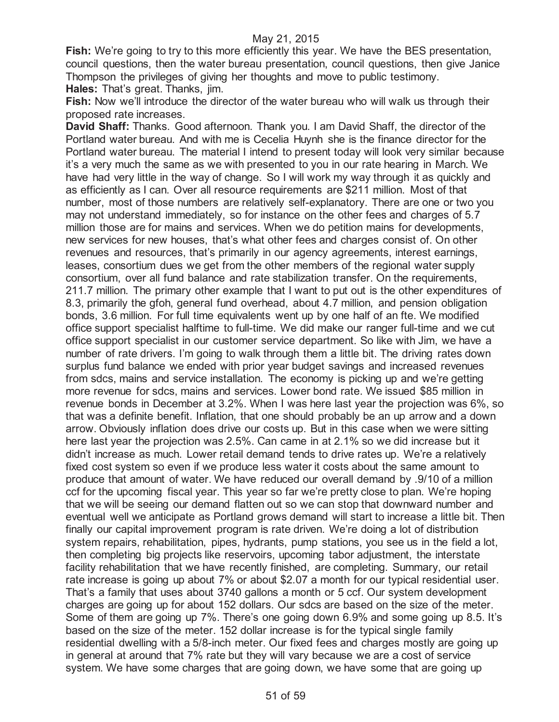**Fish:** We're going to try to this more efficiently this year. We have the BES presentation, council questions, then the water bureau presentation, council questions, then give Janice Thompson the privileges of giving her thoughts and move to public testimony. **Hales:** That's great. Thanks, jim.

**Fish:** Now we'll introduce the director of the water bureau who will walk us through their proposed rate increases.

**David Shaff:** Thanks. Good afternoon. Thank you. I am David Shaff, the director of the Portland water bureau. And with me is Cecelia Huynh she is the finance director for the Portland water bureau. The material I intend to present today will look very similar because it's a very much the same as we with presented to you in our rate hearing in March. We have had very little in the way of change. So I will work my way through it as quickly and as efficiently as I can. Over all resource requirements are \$211 million. Most of that number, most of those numbers are relatively self-explanatory. There are one or two you may not understand immediately, so for instance on the other fees and charges of 5.7 million those are for mains and services. When we do petition mains for developments, new services for new houses, that's what other fees and charges consist of. On other revenues and resources, that's primarily in our agency agreements, interest earnings, leases, consortium dues we get from the other members of the regional water supply consortium, over all fund balance and rate stabilization transfer. On the requirements, 211.7 million. The primary other example that I want to put out is the other expenditures of 8.3, primarily the gfoh, general fund overhead, about 4.7 million, and pension obligation bonds, 3.6 million. For full time equivalents went up by one half of an fte. We modified office support specialist halftime to full-time. We did make our ranger full-time and we cut office support specialist in our customer service department. So like with Jim, we have a number of rate drivers. I'm going to walk through them a little bit. The driving rates down surplus fund balance we ended with prior year budget savings and increased revenues from sdcs, mains and service installation. The economy is picking up and we're getting more revenue for sdcs, mains and services. Lower bond rate. We issued \$85 million in revenue bonds in December at 3.2%. When I was here last year the projection was 6%, so that was a definite benefit. Inflation, that one should probably be an up arrow and a down arrow. Obviously inflation does drive our costs up. But in this case when we were sitting here last year the projection was 2.5%. Can came in at 2.1% so we did increase but it didn't increase as much. Lower retail demand tends to drive rates up. We're a relatively fixed cost system so even if we produce less water it costs about the same amount to produce that amount of water. We have reduced our overall demand by .9/10 of a million ccf for the upcoming fiscal year. This year so far we're pretty close to plan. We're hoping that we will be seeing our demand flatten out so we can stop that downward number and eventual well we anticipate as Portland grows demand will start to increase a little bit. Then finally our capital improvement program is rate driven. We're doing a lot of distribution system repairs, rehabilitation, pipes, hydrants, pump stations, you see us in the field a lot, then completing big projects like reservoirs, upcoming tabor adjustment, the interstate facility rehabilitation that we have recently finished, are completing. Summary, our retail rate increase is going up about 7% or about \$2.07 a month for our typical residential user. That's a family that uses about 3740 gallons a month or 5 ccf. Our system development charges are going up for about 152 dollars. Our sdcs are based on the size of the meter. Some of them are going up 7%. There's one going down 6.9% and some going up 8.5. It's based on the size of the meter. 152 dollar increase is for the typical single family residential dwelling with a 5/8-inch meter. Our fixed fees and charges mostly are going up in general at around that 7% rate but they will vary because we are a cost of service system. We have some charges that are going down, we have some that are going up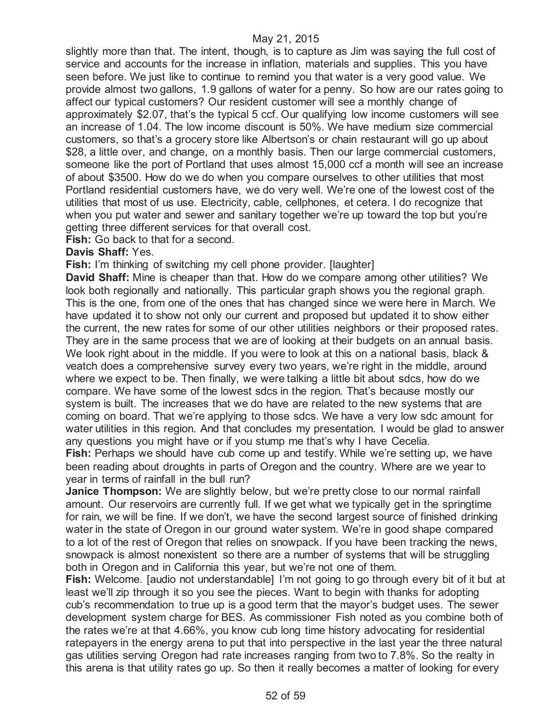slightly more than that. The intent, though, is to capture as Jim was saying the full cost of service and accounts for the increase in inflation, materials and supplies. This you have seen before. We just like to continue to remind you that water is a very good value. We provide almost two gallons, 1.9 gallons of water for a penny. So how are our rates going to affect our typical customers? Our resident customer will see a monthly change of approximately \$2.07, that's the typical 5 ccf. Our qualifying low income customers will see an increase of 1.04. The low income discount is 50%. We have medium size commercial customers, so that's a grocery store like Albertson's or chain restaurant will go up about \$28, a little over, and change, on a monthly basis. Then our large commercial customers, someone like the port of Portland that uses almost 15,000 ccf a month will see an increase of about \$3500. How do we do when you compare ourselves to other utilities that most Portland residential customers have, we do very well. We're one of the lowest cost of the utilities that most of us use. Electricity, cable, cellphones, et cetera. I do recognize that when you put water and sewer and sanitary together we're up toward the top but you're getting three different services for that overall cost.

**Fish:** Go back to that for a second.

## **Davis Shaff:** Yes.

**Fish:** I'm thinking of switching my cell phone provider. [laughter]

**David Shaff:** Mine is cheaper than that. How do we compare among other utilities? We look both regionally and nationally. This particular graph shows you the regional graph. This is the one, from one of the ones that has changed since we were here in March. We have updated it to show not only our current and proposed but updated it to show either the current, the new rates for some of our other utilities neighbors or their proposed rates. They are in the same process that we are of looking at their budgets on an annual basis. We look right about in the middle. If you were to look at this on a national basis, black & veatch does a comprehensive survey every two years, we're right in the middle, around where we expect to be. Then finally, we were talking a little bit about sdcs, how do we compare. We have some of the lowest sdcs in the region. That's because mostly our system is built. The increases that we do have are related to the new systems that are coming on board. That we're applying to those sdcs. We have a very low sdc amount for water utilities in this region. And that concludes my presentation. I would be glad to answer any questions you might have or if you stump me that's why I have Cecelia.

**Fish:** Perhaps we should have cub come up and testify. While we're setting up, we have been reading about droughts in parts of Oregon and the country. Where are we year to year in terms of rainfall in the bull run?

**Janice Thompson:** We are slightly below, but we're pretty close to our normal rainfall amount. Our reservoirs are currently full. If we get what we typically get in the springtime for rain, we will be fine. If we don't, we have the second largest source of finished drinking water in the state of Oregon in our ground water system. We're in good shape compared to a lot of the rest of Oregon that relies on snowpack. If you have been tracking the news, snowpack is almost nonexistent so there are a number of systems that will be struggling both in Oregon and in California this year, but we're not one of them.

**Fish:** Welcome. [audio not understandable] I'm not going to go through every bit of it but at least we'll zip through it so you see the pieces. Want to begin with thanks for adopting cub's recommendation to true up is a good term that the mayor's budget uses. The sewer development system charge for BES. As commissioner Fish noted as you combine both of the rates we're at that 4.66%, you know cub long time history advocating for residential ratepayers in the energy arena to put that into perspective in the last year the three natural gas utilities serving Oregon had rate increases ranging from two to 7.8%. So the realty in this arena is that utility rates go up. So then it really becomes a matter of looking for every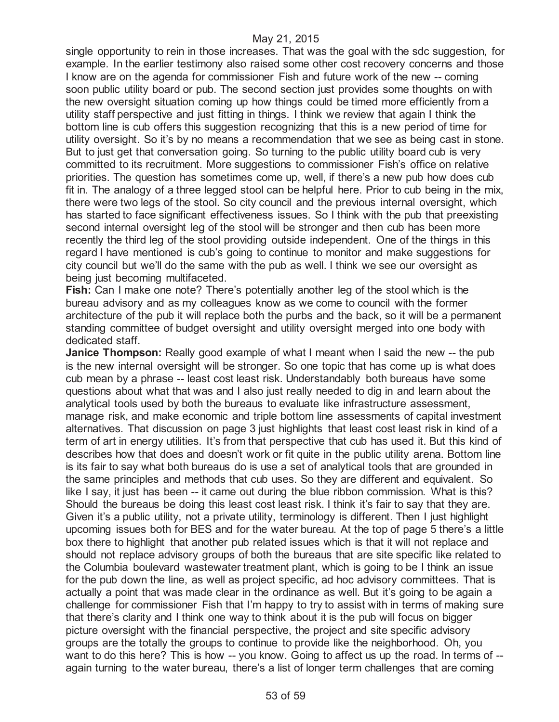#### May 21, 2015

single opportunity to rein in those increases. That was the goal with the sdc suggestion, for example. In the earlier testimony also raised some other cost recovery concerns and those I know are on the agenda for commissioner Fish and future work of the new -- coming soon public utility board or pub. The second section just provides some thoughts on with the new oversight situation coming up how things could be timed more efficiently from a utility staff perspective and just fitting in things. I think we review that again I think the bottom line is cub offers this suggestion recognizing that this is a new period of time for utility oversight. So it's by no means a recommendation that we see as being cast in stone. But to just get that conversation going. So turning to the public utility board cub is very committed to its recruitment. More suggestions to commissioner Fish's office on relative priorities. The question has sometimes come up, well, if there's a new pub how does cub fit in. The analogy of a three legged stool can be helpful here. Prior to cub being in the mix, there were two legs of the stool. So city council and the previous internal oversight, which has started to face significant effectiveness issues. So I think with the pub that preexisting second internal oversight leg of the stool will be stronger and then cub has been more recently the third leg of the stool providing outside independent. One of the things in this regard I have mentioned is cub's going to continue to monitor and make suggestions for city council but we'll do the same with the pub as well. I think we see our oversight as being just becoming multifaceted.

**Fish:** Can I make one note? There's potentially another leg of the stool which is the bureau advisory and as my colleagues know as we come to council with the former architecture of the pub it will replace both the purbs and the back, so it will be a permanent standing committee of budget oversight and utility oversight merged into one body with dedicated staff.

**Janice Thompson:** Really good example of what I meant when I said the new -- the pub is the new internal oversight will be stronger. So one topic that has come up is what does cub mean by a phrase -- least cost least risk. Understandably both bureaus have some questions about what that was and I also just really needed to dig in and learn about the analytical tools used by both the bureaus to evaluate like infrastructure assessment, manage risk, and make economic and triple bottom line assessments of capital investment alternatives. That discussion on page 3 just highlights that least cost least risk in kind of a term of art in energy utilities. It's from that perspective that cub has used it. But this kind of describes how that does and doesn't work or fit quite in the public utility arena. Bottom line is its fair to say what both bureaus do is use a set of analytical tools that are grounded in the same principles and methods that cub uses. So they are different and equivalent. So like I say, it just has been -- it came out during the blue ribbon commission. What is this? Should the bureaus be doing this least cost least risk. I think it's fair to say that they are. Given it's a public utility, not a private utility, terminology is different. Then I just highlight upcoming issues both for BES and for the water bureau. At the top of page 5 there's a little box there to highlight that another pub related issues which is that it will not replace and should not replace advisory groups of both the bureaus that are site specific like related to the Columbia boulevard wastewater treatment plant, which is going to be I think an issue for the pub down the line, as well as project specific, ad hoc advisory committees. That is actually a point that was made clear in the ordinance as well. But it's going to be again a challenge for commissioner Fish that I'm happy to try to assist with in terms of making sure that there's clarity and I think one way to think about it is the pub will focus on bigger picture oversight with the financial perspective, the project and site specific advisory groups are the totally the groups to continue to provide like the neighborhood. Oh, you want to do this here? This is how -- you know. Going to affect us up the road. In terms of -again turning to the water bureau, there's a list of longer term challenges that are coming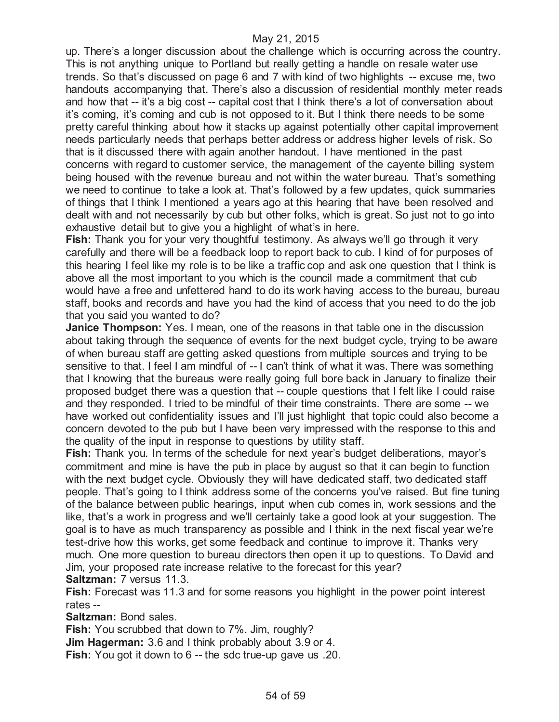up. There's a longer discussion about the challenge which is occurring across the country. This is not anything unique to Portland but really getting a handle on resale water use trends. So that's discussed on page 6 and 7 with kind of two highlights -- excuse me, two handouts accompanying that. There's also a discussion of residential monthly meter reads and how that -- it's a big cost -- capital cost that I think there's a lot of conversation about it's coming, it's coming and cub is not opposed to it. But I think there needs to be some pretty careful thinking about how it stacks up against potentially other capital improvement needs particularly needs that perhaps better address or address higher levels of risk. So that is it discussed there with again another handout. I have mentioned in the past concerns with regard to customer service, the management of the cayente billing system being housed with the revenue bureau and not within the water bureau. That's something we need to continue to take a look at. That's followed by a few updates, quick summaries of things that I think I mentioned a years ago at this hearing that have been resolved and dealt with and not necessarily by cub but other folks, which is great. So just not to go into exhaustive detail but to give you a highlight of what's in here.

**Fish:** Thank you for your very thoughtful testimony. As always we'll go through it very carefully and there will be a feedback loop to report back to cub. I kind of for purposes of this hearing I feel like my role is to be like a traffic cop and ask one question that I think is above all the most important to you which is the council made a commitment that cub would have a free and unfettered hand to do its work having access to the bureau, bureau staff, books and records and have you had the kind of access that you need to do the job that you said you wanted to do?

**Janice Thompson:** Yes. I mean, one of the reasons in that table one in the discussion about taking through the sequence of events for the next budget cycle, trying to be aware of when bureau staff are getting asked questions from multiple sources and trying to be sensitive to that. I feel I am mindful of -- I can't think of what it was. There was something that I knowing that the bureaus were really going full bore back in January to finalize their proposed budget there was a question that -- couple questions that I felt like I could raise and they responded. I tried to be mindful of their time constraints. There are some -- we have worked out confidentiality issues and I'll just highlight that topic could also become a concern devoted to the pub but I have been very impressed with the response to this and the quality of the input in response to questions by utility staff.

**Fish:** Thank you. In terms of the schedule for next year's budget deliberations, mayor's commitment and mine is have the pub in place by august so that it can begin to function with the next budget cycle. Obviously they will have dedicated staff, two dedicated staff people. That's going to I think address some of the concerns you've raised. But fine tuning of the balance between public hearings, input when cub comes in, work sessions and the like, that's a work in progress and we'll certainly take a good look at your suggestion. The goal is to have as much transparency as possible and I think in the next fiscal year we're test-drive how this works, get some feedback and continue to improve it. Thanks very much. One more question to bureau directors then open it up to questions. To David and Jim, your proposed rate increase relative to the forecast for this year? **Saltzman:** 7 versus 11.3.

**Fish:** Forecast was 11.3 and for some reasons you highlight in the power point interest rates --

**Saltzman:** Bond sales.

**Fish:** You scrubbed that down to 7%. Jim, roughly?

**Jim Hagerman:** 3.6 and I think probably about 3.9 or 4.

**Fish:** You got it down to 6 -- the sdc true-up gave us .20.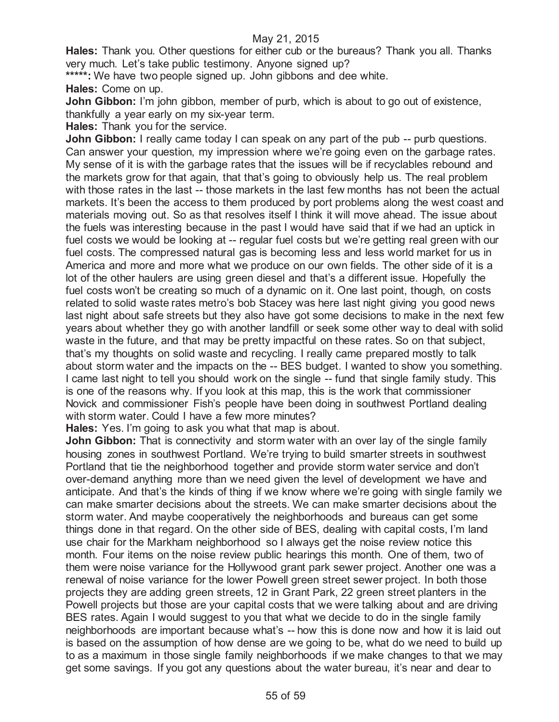**Hales:** Thank you. Other questions for either cub or the bureaus? Thank you all. Thanks very much. Let's take public testimony. Anyone signed up?

**\*\*\*\*\*:** We have two people signed up. John gibbons and dee white.

**Hales:** Come on up.

**John Gibbon:** I'm john gibbon, member of purb, which is about to go out of existence, thankfully a year early on my six-year term.

**Hales:** Thank you for the service.

**John Gibbon:** I really came today I can speak on any part of the pub -- purb questions. Can answer your question, my impression where we're going even on the garbage rates. My sense of it is with the garbage rates that the issues will be if recyclables rebound and the markets grow for that again, that that's going to obviously help us. The real problem with those rates in the last -- those markets in the last few months has not been the actual markets. It's been the access to them produced by port problems along the west coast and materials moving out. So as that resolves itself I think it will move ahead. The issue about the fuels was interesting because in the past I would have said that if we had an uptick in fuel costs we would be looking at -- regular fuel costs but we're getting real green with our fuel costs. The compressed natural gas is becoming less and less world market for us in America and more and more what we produce on our own fields. The other side of it is a lot of the other haulers are using green diesel and that's a different issue. Hopefully the fuel costs won't be creating so much of a dynamic on it. One last point, though, on costs related to solid waste rates metro's bob Stacey was here last night giving you good news last night about safe streets but they also have got some decisions to make in the next few years about whether they go with another landfill or seek some other way to deal with solid waste in the future, and that may be pretty impactful on these rates. So on that subject, that's my thoughts on solid waste and recycling. I really came prepared mostly to talk about storm water and the impacts on the -- BES budget. I wanted to show you something. I came last night to tell you should work on the single -- fund that single family study. This is one of the reasons why. If you look at this map, this is the work that commissioner Novick and commissioner Fish's people have been doing in southwest Portland dealing with storm water. Could I have a few more minutes?

**Hales:** Yes. I'm going to ask you what that map is about.

**John Gibbon:** That is connectivity and storm water with an over lay of the single family housing zones in southwest Portland. We're trying to build smarter streets in southwest Portland that tie the neighborhood together and provide storm water service and don't over-demand anything more than we need given the level of development we have and anticipate. And that's the kinds of thing if we know where we're going with single family we can make smarter decisions about the streets. We can make smarter decisions about the storm water. And maybe cooperatively the neighborhoods and bureaus can get some things done in that regard. On the other side of BES, dealing with capital costs, I'm land use chair for the Markham neighborhood so I always get the noise review notice this month. Four items on the noise review public hearings this month. One of them, two of them were noise variance for the Hollywood grant park sewer project. Another one was a renewal of noise variance for the lower Powell green street sewer project. In both those projects they are adding green streets, 12 in Grant Park, 22 green street planters in the Powell projects but those are your capital costs that we were talking about and are driving BES rates. Again I would suggest to you that what we decide to do in the single family neighborhoods are important because what's -- how this is done now and how it is laid out is based on the assumption of how dense are we going to be, what do we need to build up to as a maximum in those single family neighborhoods if we make changes to that we may get some savings. If you got any questions about the water bureau, it's near and dear to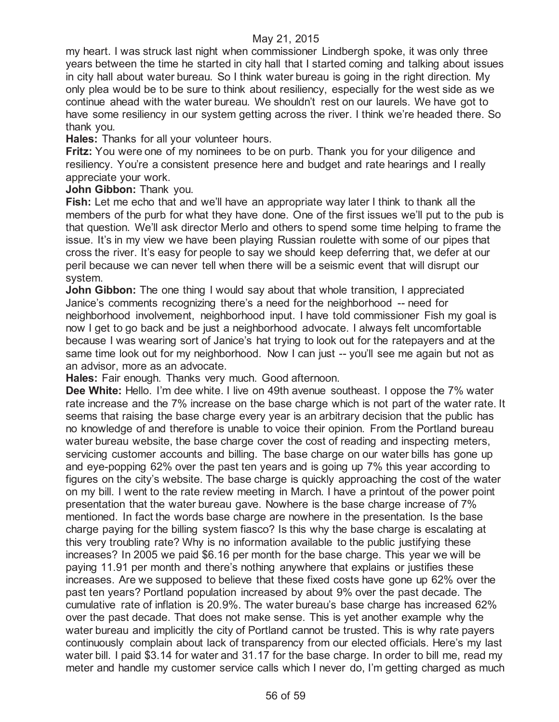#### May 21, 2015

my heart. I was struck last night when commissioner Lindbergh spoke, it was only three years between the time he started in city hall that I started coming and talking about issues in city hall about water bureau. So I think water bureau is going in the right direction. My only plea would be to be sure to think about resiliency, especially for the west side as we continue ahead with the water bureau. We shouldn't rest on our laurels. We have got to have some resiliency in our system getting across the river. I think we're headed there. So thank you.

**Hales:** Thanks for all your volunteer hours.

**Fritz:** You were one of my nominees to be on purb. Thank you for your diligence and resiliency. You're a consistent presence here and budget and rate hearings and I really appreciate your work.

**John Gibbon:** Thank you.

**Fish:** Let me echo that and we'll have an appropriate way later I think to thank all the members of the purb for what they have done. One of the first issues we'll put to the pub is that question. We'll ask director Merlo and others to spend some time helping to frame the issue. It's in my view we have been playing Russian roulette with some of our pipes that cross the river. It's easy for people to say we should keep deferring that, we defer at our peril because we can never tell when there will be a seismic event that will disrupt our system.

**John Gibbon:** The one thing I would say about that whole transition, I appreciated Janice's comments recognizing there's a need for the neighborhood -- need for neighborhood involvement, neighborhood input. I have told commissioner Fish my goal is now I get to go back and be just a neighborhood advocate. I always felt uncomfortable because I was wearing sort of Janice's hat trying to look out for the ratepayers and at the same time look out for my neighborhood. Now I can just -- you'll see me again but not as an advisor, more as an advocate.

**Hales:** Fair enough. Thanks very much. Good afternoon.

**Dee White:** Hello. I'm dee white. I live on 49th avenue southeast. I oppose the 7% water rate increase and the 7% increase on the base charge which is not part of the water rate. It seems that raising the base charge every year is an arbitrary decision that the public has no knowledge of and therefore is unable to voice their opinion. From the Portland bureau water bureau website, the base charge cover the cost of reading and inspecting meters, servicing customer accounts and billing. The base charge on our water bills has gone up and eye-popping 62% over the past ten years and is going up 7% this year according to figures on the city's website. The base charge is quickly approaching the cost of the water on my bill. I went to the rate review meeting in March. I have a printout of the power point presentation that the water bureau gave. Nowhere is the base charge increase of 7% mentioned. In fact the words base charge are nowhere in the presentation. Is the base charge paying for the billing system fiasco? Is this why the base charge is escalating at this very troubling rate? Why is no information available to the public justifying these increases? In 2005 we paid \$6.16 per month for the base charge. This year we will be paying 11.91 per month and there's nothing anywhere that explains or justifies these increases. Are we supposed to believe that these fixed costs have gone up 62% over the past ten years? Portland population increased by about 9% over the past decade. The cumulative rate of inflation is 20.9%. The water bureau's base charge has increased 62% over the past decade. That does not make sense. This is yet another example why the water bureau and implicitly the city of Portland cannot be trusted. This is why rate payers continuously complain about lack of transparency from our elected officials. Here's my last water bill. I paid \$3.14 for water and 31.17 for the base charge. In order to bill me, read my meter and handle my customer service calls which I never do, I'm getting charged as much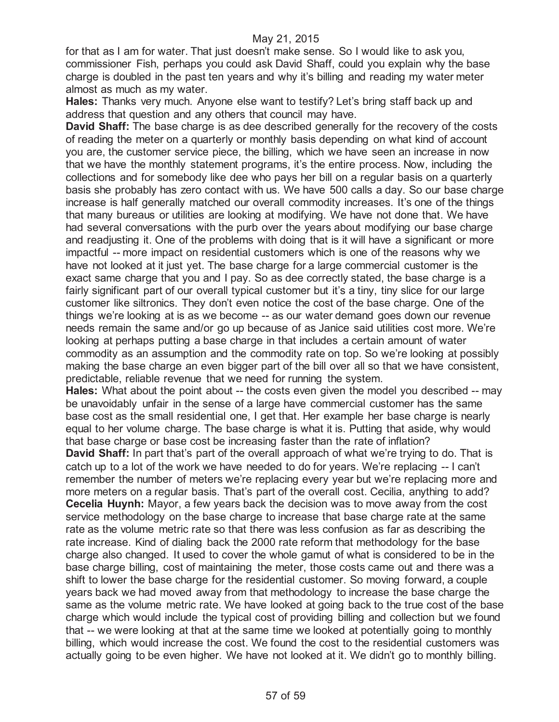for that as I am for water. That just doesn't make sense. So I would like to ask you, commissioner Fish, perhaps you could ask David Shaff, could you explain why the base charge is doubled in the past ten years and why it's billing and reading my water meter almost as much as my water.

**Hales:** Thanks very much. Anyone else want to testify? Let's bring staff back up and address that question and any others that council may have.

**David Shaff:** The base charge is as dee described generally for the recovery of the costs of reading the meter on a quarterly or monthly basis depending on what kind of account you are, the customer service piece, the billing, which we have seen an increase in now that we have the monthly statement programs, it's the entire process. Now, including the collections and for somebody like dee who pays her bill on a regular basis on a quarterly basis she probably has zero contact with us. We have 500 calls a day. So our base charge increase is half generally matched our overall commodity increases. It's one of the things that many bureaus or utilities are looking at modifying. We have not done that. We have had several conversations with the purb over the years about modifying our base charge and readjusting it. One of the problems with doing that is it will have a significant or more impactful -- more impact on residential customers which is one of the reasons why we have not looked at it just yet. The base charge for a large commercial customer is the exact same charge that you and I pay. So as dee correctly stated, the base charge is a fairly significant part of our overall typical customer but it's a tiny, tiny slice for our large customer like siltronics. They don't even notice the cost of the base charge. One of the things we're looking at is as we become -- as our water demand goes down our revenue needs remain the same and/or go up because of as Janice said utilities cost more. We're looking at perhaps putting a base charge in that includes a certain amount of water commodity as an assumption and the commodity rate on top. So we're looking at possibly making the base charge an even bigger part of the bill over all so that we have consistent, predictable, reliable revenue that we need for running the system.

**Hales:** What about the point about -- the costs even given the model you described -- may be unavoidably unfair in the sense of a large have commercial customer has the same base cost as the small residential one, I get that. Her example her base charge is nearly equal to her volume charge. The base charge is what it is. Putting that aside, why would that base charge or base cost be increasing faster than the rate of inflation?

**David Shaff:** In part that's part of the overall approach of what we're trying to do. That is catch up to a lot of the work we have needed to do for years. We're replacing -- I can't remember the number of meters we're replacing every year but we're replacing more and more meters on a regular basis. That's part of the overall cost. Cecilia, anything to add? **Cecelia Huynh:** Mayor, a few years back the decision was to move away from the cost service methodology on the base charge to increase that base charge rate at the same rate as the volume metric rate so that there was less confusion as far as describing the rate increase. Kind of dialing back the 2000 rate reform that methodology for the base charge also changed. It used to cover the whole gamut of what is considered to be in the base charge billing, cost of maintaining the meter, those costs came out and there was a shift to lower the base charge for the residential customer. So moving forward, a couple years back we had moved away from that methodology to increase the base charge the same as the volume metric rate. We have looked at going back to the true cost of the base charge which would include the typical cost of providing billing and collection but we found that -- we were looking at that at the same time we looked at potentially going to monthly billing, which would increase the cost. We found the cost to the residential customers was actually going to be even higher. We have not looked at it. We didn't go to monthly billing.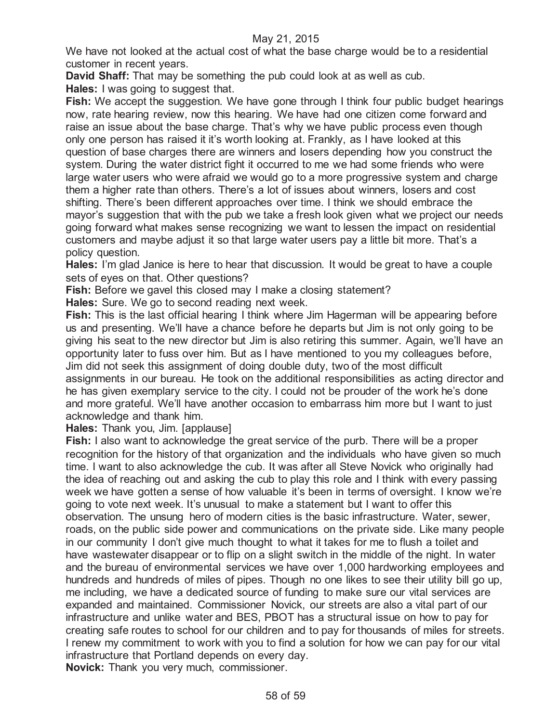## May 21, 2015

We have not looked at the actual cost of what the base charge would be to a residential customer in recent years.

**David Shaff:** That may be something the pub could look at as well as cub. **Hales:** I was going to suggest that.

**Fish:** We accept the suggestion. We have gone through I think four public budget hearings now, rate hearing review, now this hearing. We have had one citizen come forward and raise an issue about the base charge. That's why we have public process even though only one person has raised it it's worth looking at. Frankly, as I have looked at this question of base charges there are winners and losers depending how you construct the system. During the water district fight it occurred to me we had some friends who were large water users who were afraid we would go to a more progressive system and charge them a higher rate than others. There's a lot of issues about winners, losers and cost shifting. There's been different approaches over time. I think we should embrace the mayor's suggestion that with the pub we take a fresh look given what we project our needs going forward what makes sense recognizing we want to lessen the impact on residential customers and maybe adjust it so that large water users pay a little bit more. That's a policy question.

**Hales:** I'm glad Janice is here to hear that discussion. It would be great to have a couple sets of eyes on that. Other questions?

**Fish:** Before we gavel this closed may I make a closing statement?

**Hales:** Sure. We go to second reading next week.

**Fish:** This is the last official hearing I think where Jim Hagerman will be appearing before us and presenting. We'll have a chance before he departs but Jim is not only going to be giving his seat to the new director but Jim is also retiring this summer. Again, we'll have an opportunity later to fuss over him. But as I have mentioned to you my colleagues before, Jim did not seek this assignment of doing double duty, two of the most difficult assignments in our bureau. He took on the additional responsibilities as acting director and he has given exemplary service to the city. I could not be prouder of the work he's done and more grateful. We'll have another occasion to embarrass him more but I want to just acknowledge and thank him.

**Hales:** Thank you, Jim. [applause]

**Fish:** I also want to acknowledge the great service of the purb. There will be a proper recognition for the history of that organization and the individuals who have given so much time. I want to also acknowledge the cub. It was after all Steve Novick who originally had the idea of reaching out and asking the cub to play this role and I think with every passing week we have gotten a sense of how valuable it's been in terms of oversight. I know we're going to vote next week. It's unusual to make a statement but I want to offer this observation. The unsung hero of modern cities is the basic infrastructure. Water, sewer, roads, on the public side power and communications on the private side. Like many people in our community I don't give much thought to what it takes for me to flush a toilet and have wastewater disappear or to flip on a slight switch in the middle of the night. In water and the bureau of environmental services we have over 1,000 hardworking employees and hundreds and hundreds of miles of pipes. Though no one likes to see their utility bill go up, me including, we have a dedicated source of funding to make sure our vital services are expanded and maintained. Commissioner Novick, our streets are also a vital part of our infrastructure and unlike water and BES, PBOT has a structural issue on how to pay for creating safe routes to school for our children and to pay for thousands of miles for streets. I renew my commitment to work with you to find a solution for how we can pay for our vital infrastructure that Portland depends on every day. **Novick:** Thank you very much, commissioner.